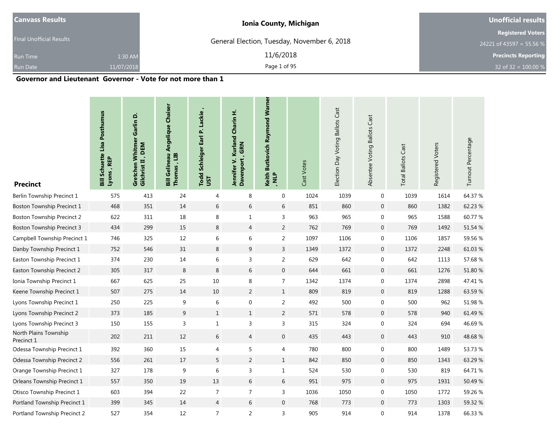| <b>Canvass Results</b>          |            | <b>Ionia County, Michigan</b>               | <b>Unofficial results</b>  |
|---------------------------------|------------|---------------------------------------------|----------------------------|
|                                 |            |                                             | <b>Registered Voters</b>   |
| <b>Final Unofficial Results</b> |            | General Election, Tuesday, November 6, 2018 | 24221 of 43597 = 55.56 %   |
| <b>Run Time</b>                 | 1:30 AM    | 11/6/2018                                   | <b>Precincts Reporting</b> |
| <b>Run Date</b>                 | 11/07/2018 | Page 1 of 95                                | 32 of 32 = $100.00\%$      |

.

and the control of the control of the control of the control of the control of the control of

### **Governor and Lieutenant Governor - Vote for not more than 1**

| <b>Precinct</b>                     | <b>Bill Schuette Lisa Posthumus</b><br>Lyons , REP | Garlin D.<br>Gretchen Whitmer<br>Gilchrist II, DEM | <b>Bill Gelineau Angelique Chaiser</b><br>ED<br>Thomas, | Todd Schleiger Earl P. Lackie<br>JST | Kurland Charin H.<br>, GRN<br>Jennifer V.<br><b>Davenport</b> | Keith Butkovich Raymond Warner<br>JIN' | Cast Votes | Election Day Voting Ballots Cast | Absentee Voting Ballots Cast | <b>Total Ballots Cast</b> | Registered Voters | Turnout Percentage |
|-------------------------------------|----------------------------------------------------|----------------------------------------------------|---------------------------------------------------------|--------------------------------------|---------------------------------------------------------------|----------------------------------------|------------|----------------------------------|------------------------------|---------------------------|-------------------|--------------------|
| Berlin Township Precinct 1          | 575                                                | 413                                                | 24                                                      | 4                                    | 8                                                             | $\mathbf 0$                            | 1024       | 1039                             | 0                            | 1039                      | 1614              | 64.37 %            |
| Boston Township Precinct 1          | 468                                                | 351                                                | 14                                                      | 6                                    | 6                                                             | 6                                      | 851        | 860                              | $\mathbf 0$                  | 860                       | 1382              | 62.23 %            |
| Boston Township Precinct 2          | 622                                                | 311                                                | 18                                                      | 8                                    | $\mathbf{1}$                                                  | 3                                      | 963        | 965                              | 0                            | 965                       | 1588              | 60.77%             |
| Boston Township Precinct 3          | 434                                                | 299                                                | 15                                                      | 8                                    | 4                                                             | $\overline{2}$                         | 762        | 769                              | $\mathbf 0$                  | 769                       | 1492              | 51.54 %            |
| Campbell Township Precinct 1        | 746                                                | 325                                                | 12                                                      | $\,$ 6 $\,$                          | 6                                                             | $\overline{2}$                         | 1097       | 1106                             | $\boldsymbol{0}$             | 1106                      | 1857              | 59.56 %            |
| Danby Township Precinct 1           | 752                                                | 546                                                | 31                                                      | 8                                    | $\boldsymbol{9}$                                              | $\overline{3}$                         | 1349       | 1372                             | $\mathbf 0$                  | 1372                      | 2248              | 61.03%             |
| Easton Township Precinct 1          | 374                                                | 230                                                | 14                                                      | 6                                    | 3                                                             | $\overline{2}$                         | 629        | 642                              | 0                            | 642                       | 1113              | 57.68 %            |
| Easton Township Precinct 2          | 305                                                | 317                                                | 8                                                       | 8                                    | 6                                                             | $\mathbf 0$                            | 644        | 661                              | $\mathbf{0}$                 | 661                       | 1276              | 51.80 %            |
| Ionia Township Precinct 1           | 667                                                | 625                                                | 25                                                      | 10                                   | 8                                                             | $\overline{7}$                         | 1342       | 1374                             | $\mathbf 0$                  | 1374                      | 2898              | 47.41 %            |
| Keene Township Precinct 1           | 507                                                | 275                                                | 14                                                      | 10                                   | $\overline{2}$                                                | $\mathbf{1}$                           | 809        | 819                              | $\mathbf{0}$                 | 819                       | 1288              | 63.59%             |
| Lyons Township Precinct 1           | 250                                                | 225                                                | 9                                                       | 6                                    | $\mathbf 0$                                                   | 2                                      | 492        | 500                              | 0                            | 500                       | 962               | 51.98%             |
| Lyons Township Precinct 2           | 373                                                | 185                                                | 9                                                       | $\mathbf{1}$                         | $\mathbf{1}$                                                  | $\overline{2}$                         | 571        | 578                              | $\mathbf 0$                  | 578                       | 940               | 61.49 %            |
| Lyons Township Precinct 3           | 150                                                | 155                                                | $\mathsf{3}$                                            | $\mathbf 1$                          | 3                                                             | 3                                      | 315        | 324                              | 0                            | 324                       | 694               | 46.69%             |
| North Plains Township<br>Precinct 1 | 202                                                | 211                                                | 12                                                      | 6                                    | $\overline{4}$                                                | $\mathbf 0$                            | 435        | 443                              | $\mathbf 0$                  | 443                       | 910               | 48.68%             |
| Odessa Township Precinct 1          | 392                                                | 360                                                | 15                                                      | 4                                    | 5                                                             | 4                                      | 780        | 800                              | 0                            | 800                       | 1489              | 53.73 %            |
| Odessa Township Precinct 2          | 556                                                | 261                                                | 17                                                      | 5                                    | 2                                                             | $\mathbf{1}$                           | 842        | 850                              | $\mathbf 0$                  | 850                       | 1343              | 63.29 %            |
| Orange Township Precinct 1          | 327                                                | 178                                                | $\boldsymbol{9}$                                        | $\,6$                                | 3                                                             | $\mathbf{1}$                           | 524        | 530                              | $\boldsymbol{0}$             | 530                       | 819               | 64.71 %            |
| Orleans Township Precinct 1         | 557                                                | 350                                                | 19                                                      | 13                                   | 6                                                             | 6                                      | 951        | 975                              | $\mathbf 0$                  | 975                       | 1931              | 50.49%             |
| Otisco Township Precinct 1          | 603                                                | 394                                                | 22                                                      | $\overline{7}$                       | $\overline{7}$                                                | 3                                      | 1036       | 1050                             | $\boldsymbol{0}$             | 1050                      | 1772              | 59.26 %            |
| Portland Township Precinct 1        | 399                                                | 345                                                | 14                                                      | $\overline{4}$                       | 6                                                             | $\mathbf{0}$                           | 768        | 773                              | $\boldsymbol{0}$             | 773                       | 1303              | 59.32 %            |
| Portland Township Precinct 2        | 527                                                | 354                                                | 12                                                      | $\overline{7}$                       | $\overline{2}$                                                | $\overline{3}$                         | 905        | 914                              | $\mathbf 0$                  | 914                       | 1378              | 66.33 %            |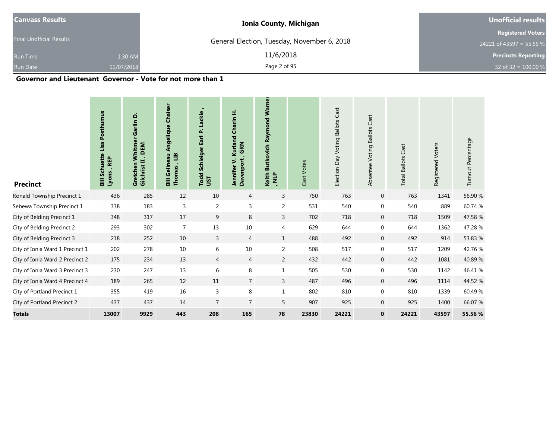| <b>Canvass Results</b>          |            | <b>Ionia County, Michigan</b>               | <b>Unofficial results</b>  |
|---------------------------------|------------|---------------------------------------------|----------------------------|
|                                 |            |                                             | <b>Registered Voters</b>   |
| <b>Final Unofficial Results</b> |            | General Election, Tuesday, November 6, 2018 | 24221 of 43597 = 55.56 %   |
| <b>Run Time</b>                 | 1:30 AM    | 11/6/2018                                   | <b>Precincts Reporting</b> |
| Run Date                        | 11/07/2018 | Page 2 of 95                                | 32 of 32 = $100.00\%$      |

### **Governor and Lieutenant Governor - Vote for not more than 1**

| <b>Precinct</b>                 | Posthumus<br>Lisa<br><b>Bill Schuett</b><br>Lyons, REP | Garlin D.<br>Whitme<br>Gilchrist II, DEM<br>Gretchen | <b>Angelique Chaiser</b><br><b>Bill Gelineau</b><br>ED<br>Thomas | Lackie<br>ثه<br>Earl<br>Schleiger<br>Todd<br>JSΤ | Kurland Charin H.<br>GRN<br>Jennifer V.<br>Davenport | <b>Butkovich Raymond Warner</b><br>Keith<br>JIN. | Cast Votes | Cast<br><b>Ballots</b><br>Election Day Voting | Cast<br>Absentee Voting Ballots | <b>Total Ballots Cast</b> | Registered Voters | Turnout Percentage |
|---------------------------------|--------------------------------------------------------|------------------------------------------------------|------------------------------------------------------------------|--------------------------------------------------|------------------------------------------------------|--------------------------------------------------|------------|-----------------------------------------------|---------------------------------|---------------------------|-------------------|--------------------|
| Ronald Township Precinct 1      | 436                                                    | 285                                                  | 12                                                               | 10                                               | $\overline{4}$                                       | $\mathsf{3}$                                     | 750        | 763                                           | $\mathbf 0$                     | 763                       | 1341              | 56.90 %            |
| Sebewa Township Precinct 1      | 338                                                    | 183                                                  | 3                                                                | 2                                                | 3                                                    | 2                                                | 531        | 540                                           | $\mathbf 0$                     | 540                       | 889               | 60.74 %            |
| City of Belding Precinct 1      | 348                                                    | 317                                                  | 17                                                               | 9                                                | 8                                                    | $\overline{3}$                                   | 702        | 718                                           | $\mathbf 0$                     | 718                       | 1509              | 47.58%             |
| City of Belding Precinct 2      | 293                                                    | 302                                                  | $\overline{7}$                                                   | 13                                               | 10                                                   | $\overline{4}$                                   | 629        | 644                                           | $\boldsymbol{0}$                | 644                       | 1362              | 47.28%             |
| City of Belding Precinct 3      | 218                                                    | 252                                                  | 10                                                               | 3                                                | $\overline{4}$                                       | $\mathbf{1}$                                     | 488        | 492                                           | $\mathbf 0$                     | 492                       | 914               | 53.83 %            |
| City of Ionia Ward 1 Precinct 1 | 202                                                    | 278                                                  | 10                                                               | 6                                                | 10                                                   | 2                                                | 508        | 517                                           | 0                               | 517                       | 1209              | 42.76 %            |
| City of Ionia Ward 2 Precinct 2 | 175                                                    | 234                                                  | 13                                                               | $\overline{4}$                                   | $\overline{4}$                                       | 2                                                | 432        | 442                                           | $\mathbf{0}$                    | 442                       | 1081              | 40.89%             |
| City of Ionia Ward 3 Precinct 3 | 230                                                    | 247                                                  | 13                                                               | 6                                                | 8                                                    | $\mathbf{1}$                                     | 505        | 530                                           | 0                               | 530                       | 1142              | 46.41 %            |
| City of Ionia Ward 4 Precinct 4 | 189                                                    | 265                                                  | 12                                                               | 11                                               | $\overline{7}$                                       | $\overline{3}$                                   | 487        | 496                                           | $\overline{0}$                  | 496                       | 1114              | 44.52 %            |
| City of Portland Precinct 1     | 355                                                    | 419                                                  | 16                                                               | 3                                                | 8                                                    | $\mathbf{1}$                                     | 802        | 810                                           | 0                               | 810                       | 1339              | 60.49%             |
| City of Portland Precinct 2     | 437                                                    | 437                                                  | 14                                                               | $\overline{7}$                                   | $\overline{7}$                                       | 5                                                | 907        | 925                                           | $\overline{0}$                  | 925                       | 1400              | 66.07%             |
| <b>Totals</b>                   | 13007                                                  | 9929                                                 | 443                                                              | 208                                              | 165                                                  | 78                                               | 23830      | 24221                                         | $\mathbf{0}$                    | 24221                     | 43597             | 55.56 %            |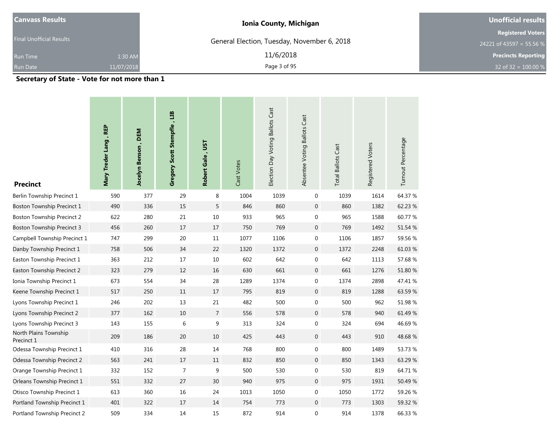| <b>Canvass Results</b>          |            | <b>Ionia County, Michigan</b>               | Unofficial results                                   |
|---------------------------------|------------|---------------------------------------------|------------------------------------------------------|
| <b>Final Unofficial Results</b> |            | General Election, Tuesday, November 6, 2018 | <b>Registered Voters</b><br>24221 of 43597 = 55.56 % |
| Run Time                        | 1:30 AM    | 11/6/2018                                   | <b>Precincts Reporting</b>                           |
| <b>Run Date</b>                 | 11/07/2018 | Page 3 of 95                                | 32 of 32 = $100.00 %$                                |
|                                 |            |                                             |                                                      |

**Secretary of State - Vote for not more than 1**

| <b>Precinct</b>                     | Mary Treder Lang, REP | , DEM<br><b>Jocelyn Benson</b> | Gregory Scott Stempfle, LIB | Robert Gale, UST | Cast Votes | Election Day Voting Ballots Cast | Absentee Voting Ballots Cast | <b>Total Ballots Cast</b> | Registered Voters | Turnout Percentage |
|-------------------------------------|-----------------------|--------------------------------|-----------------------------|------------------|------------|----------------------------------|------------------------------|---------------------------|-------------------|--------------------|
| Berlin Township Precinct 1          | 590                   | 377                            | 29                          | 8                | 1004       | 1039                             | $\mathbf 0$                  | 1039                      | 1614              | 64.37 %            |
| Boston Township Precinct 1          | 490                   | 336                            | 15                          | 5                | 846        | 860                              | $\mathbf{0}$                 | 860                       | 1382              | 62.23 %            |
| <b>Boston Township Precinct 2</b>   | 622                   | 280                            | 21                          | 10               | 933        | 965                              | $\mathbf 0$                  | 965                       | 1588              | 60.77 %            |
| <b>Boston Township Precinct 3</b>   | 456                   | 260                            | 17                          | 17               | 750        | 769                              | $\mathbf{0}$                 | 769                       | 1492              | 51.54 %            |
| Campbell Township Precinct 1        | 747                   | 299                            | 20                          | 11               | 1077       | 1106                             | 0                            | 1106                      | 1857              | 59.56 %            |
| Danby Township Precinct 1           | 758                   | 506                            | 34                          | 22               | 1320       | 1372                             | $\mathbf{0}$                 | 1372                      | 2248              | 61.03%             |
| Easton Township Precinct 1          | 363                   | 212                            | 17                          | 10               | 602        | 642                              | 0                            | 642                       | 1113              | 57.68%             |
| Easton Township Precinct 2          | 323                   | 279                            | 12                          | 16               | 630        | 661                              | $\mathbf 0$                  | 661                       | 1276              | 51.80 %            |
| Ionia Township Precinct 1           | 673                   | 554                            | 34                          | 28               | 1289       | 1374                             | 0                            | 1374                      | 2898              | 47.41 %            |
| Keene Township Precinct 1           | 517                   | 250                            | 11                          | 17               | 795        | 819                              | $\mathbf{0}$                 | 819                       | 1288              | 63.59%             |
| Lyons Township Precinct 1           | 246                   | 202                            | 13                          | 21               | 482        | 500                              | 0                            | 500                       | 962               | 51.98 %            |
| Lyons Township Precinct 2           | 377                   | 162                            | 10                          | $\overline{7}$   | 556        | 578                              | $\mathbf 0$                  | 578                       | 940               | 61.49%             |
| Lyons Township Precinct 3           | 143                   | 155                            | 6                           | 9                | 313        | 324                              | 0                            | 324                       | 694               | 46.69%             |
| North Plains Township<br>Precinct 1 | 209                   | 186                            | $20\,$                      | $10\,$           | 425        | 443                              | $\mathbf 0$                  | 443                       | 910               | 48.68%             |
| Odessa Township Precinct 1          | 410                   | 316                            | 28                          | 14               | 768        | 800                              | 0                            | 800                       | 1489              | 53.73 %            |
| Odessa Township Precinct 2          | 563                   | 241                            | 17                          | 11               | 832        | 850                              | $\mathbf 0$                  | 850                       | 1343              | 63.29 %            |
| Orange Township Precinct 1          | 332                   | 152                            | $\overline{7}$              | 9                | 500        | 530                              | 0                            | 530                       | 819               | 64.71%             |
| Orleans Township Precinct 1         | 551                   | 332                            | 27                          | 30               | 940        | 975                              | $\mathbf{0}$                 | 975                       | 1931              | 50.49 %            |
| Otisco Township Precinct 1          | 613                   | 360                            | 16                          | 24               | 1013       | 1050                             | 0                            | 1050                      | 1772              | 59.26 %            |
| Portland Township Precinct 1        | 401                   | 322                            | 17                          | 14               | 754        | 773                              | $\mathbf{0}$                 | 773                       | 1303              | 59.32 %            |
| Portland Township Precinct 2        | 509                   | 334                            | 14                          | 15               | 872        | 914                              | 0                            | 914                       | 1378              | 66.33 %            |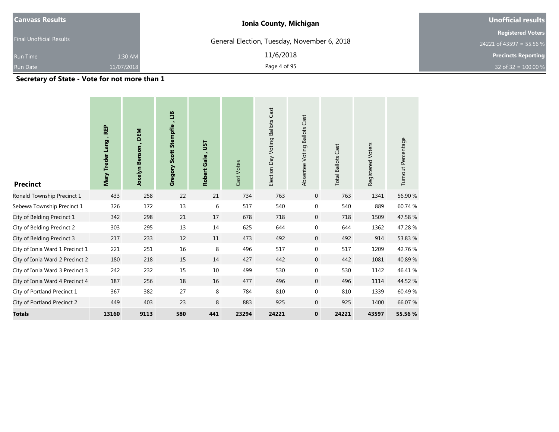| <b>Canvass Results</b>          |            | <b>Ionia County, Michigan</b>               | Unofficial results                                   |
|---------------------------------|------------|---------------------------------------------|------------------------------------------------------|
| <b>Final Unofficial Results</b> |            | General Election, Tuesday, November 6, 2018 | <b>Registered Voters</b><br>24221 of 43597 = 55.56 % |
| Run Time                        | 1:30 AM    | 11/6/2018                                   | <b>Precincts Reporting</b>                           |
| <b>Run Date</b>                 | 11/07/2018 | Page 4 of 95                                | 32 of 32 = $100.00 %$                                |
|                                 |            |                                             |                                                      |

**Secretary of State - Vote for not more than 1**

| <b>Precinct</b>                 | <b>REP</b><br>Mary Treder Lang | DEM<br>Jocelyn Benson | E<br>Gregory Scott Stempfle | <b>LSL</b><br>Robert Gale, | Cast Votes | Election Day Voting Ballots Cast | Absentee Voting Ballots Cast | <b>Total Ballots Cast</b> | Registered Voters | Turnout Percentage |
|---------------------------------|--------------------------------|-----------------------|-----------------------------|----------------------------|------------|----------------------------------|------------------------------|---------------------------|-------------------|--------------------|
| Ronald Township Precinct 1      | 433                            | 258                   | 22                          | 21                         | 734        | 763                              | $\mathbf 0$                  | 763                       | 1341              | 56.90 %            |
| Sebewa Township Precinct 1      | 326                            | 172                   | 13                          | 6                          | 517        | 540                              | $\boldsymbol{0}$             | 540                       | 889               | 60.74 %            |
| City of Belding Precinct 1      | 342                            | 298                   | 21                          | 17                         | 678        | 718                              | $\mathbf{0}$                 | 718                       | 1509              | 47.58%             |
| City of Belding Precinct 2      | 303                            | 295                   | 13                          | 14                         | 625        | 644                              | $\pmb{0}$                    | 644                       | 1362              | 47.28 %            |
| City of Belding Precinct 3      | 217                            | 233                   | 12                          | 11                         | 473        | 492                              | $\mathbf{0}$                 | 492                       | 914               | 53.83 %            |
| City of Ionia Ward 1 Precinct 1 | 221                            | 251                   | 16                          | 8                          | 496        | 517                              | $\pmb{0}$                    | 517                       | 1209              | 42.76 %            |
| City of Ionia Ward 2 Precinct 2 | 180                            | 218                   | 15                          | 14                         | 427        | 442                              | $\boldsymbol{0}$             | 442                       | 1081              | 40.89%             |
| City of Ionia Ward 3 Precinct 3 | 242                            | 232                   | 15                          | 10                         | 499        | 530                              | $\mathbf 0$                  | 530                       | 1142              | 46.41 %            |
| City of Ionia Ward 4 Precinct 4 | 187                            | 256                   | 18                          | 16                         | 477        | 496                              | $\mathbf{0}$                 | 496                       | 1114              | 44.52 %            |
| City of Portland Precinct 1     | 367                            | 382                   | 27                          | 8                          | 784        | 810                              | $\mathbf{0}$                 | 810                       | 1339              | 60.49%             |
| City of Portland Precinct 2     | 449                            | 403                   | 23                          | 8                          | 883        | 925                              | $\mathbf 0$                  | 925                       | 1400              | 66.07 %            |
| <b>Totals</b>                   | 13160                          | 9113                  | 580                         | 441                        | 23294      | 24221                            | $\bf{0}$                     | 24221                     | 43597             | 55.56 %            |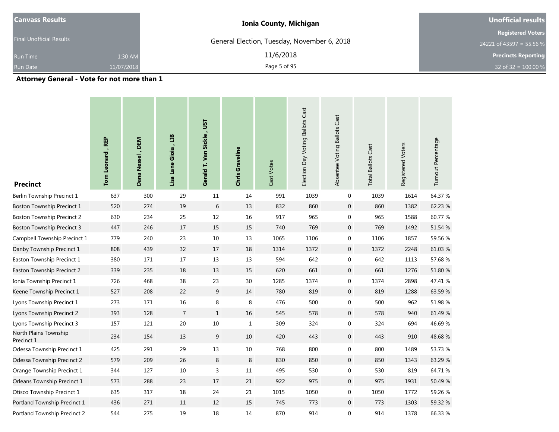| <b>Canvass Results</b>                                                                                                                                                                                                            |            | <b>Ionia County, Michigan</b>               | Unofficial results                                   |
|-----------------------------------------------------------------------------------------------------------------------------------------------------------------------------------------------------------------------------------|------------|---------------------------------------------|------------------------------------------------------|
| <b>Final Unofficial Results</b>                                                                                                                                                                                                   |            | General Election, Tuesday, November 6, 2018 | <b>Registered Voters</b><br>24221 of 43597 = 55.56 % |
| <b>Run Time</b>                                                                                                                                                                                                                   | 1:30 AM    | 11/6/2018                                   | <b>Precincts Reporting</b>                           |
| <b>Run Date</b>                                                                                                                                                                                                                   | 11/07/2018 | Page 5 of 95                                | 32 of 32 = $100.00\%$                                |
| $\mathbf{A}$ . The contract of the contract of the contract of the contract of the contract of the contract of the contract of the contract of the contract of the contract of the contract of the contract of the contract of th |            |                                             |                                                      |

**Attorney General - Vote for not more than 1**

| <b>Precinct</b>                     | Tom Leonard, REP | Dana Nessel, DEM | Lisa Lane Gioia, LIB | Gerald T. Van Sickle, UST | Chris Graveline | Cast Votes | Election Day Voting Ballots Cast | Absentee Voting Ballots Cast | <b>Total Ballots Cast</b> | Registered Voters | Turnout Percentage |
|-------------------------------------|------------------|------------------|----------------------|---------------------------|-----------------|------------|----------------------------------|------------------------------|---------------------------|-------------------|--------------------|
| Berlin Township Precinct 1          | 637              | 300              | 29                   | 11                        | 14              | 991        | 1039                             | $\mathbf 0$                  | 1039                      | 1614              | 64.37 %            |
| Boston Township Precinct 1          | 520              | 274              | 19                   | 6                         | 13              | 832        | 860                              | $\mathbf 0$                  | 860                       | 1382              | 62.23 %            |
| <b>Boston Township Precinct 2</b>   | 630              | 234              | 25                   | 12                        | 16              | 917        | 965                              | 0                            | 965                       | 1588              | 60.77 %            |
| <b>Boston Township Precinct 3</b>   | 447              | 246              | 17                   | 15                        | 15              | 740        | 769                              | $\mathbf 0$                  | 769                       | 1492              | 51.54 %            |
| Campbell Township Precinct 1        | 779              | 240              | 23                   | 10                        | 13              | 1065       | 1106                             | $\mathbf 0$                  | 1106                      | 1857              | 59.56 %            |
| Danby Township Precinct 1           | 808              | 439              | 32                   | 17                        | 18              | 1314       | 1372                             | $\mathbf 0$                  | 1372                      | 2248              | 61.03%             |
| Easton Township Precinct 1          | 380              | 171              | 17                   | 13                        | 13              | 594        | 642                              | 0                            | 642                       | 1113              | 57.68 %            |
| Easton Township Precinct 2          | 339              | 235              | 18                   | 13                        | 15              | 620        | 661                              | $\mathbf 0$                  | 661                       | 1276              | 51.80 %            |
| Ionia Township Precinct 1           | 726              | 468              | 38                   | 23                        | $30\,$          | 1285       | 1374                             | 0                            | 1374                      | 2898              | 47.41 %            |
| Keene Township Precinct 1           | 527              | 208              | 22                   | 9                         | 14              | 780        | 819                              | $\mathbf 0$                  | 819                       | 1288              | 63.59%             |
| Lyons Township Precinct 1           | 273              | 171              | $16\,$               | 8                         | 8               | 476        | 500                              | 0                            | 500                       | 962               | 51.98 %            |
| Lyons Township Precinct 2           | 393              | 128              | $\overline{7}$       | $\mathbf{1}$              | 16              | 545        | 578                              | $\mathbf 0$                  | 578                       | 940               | 61.49 %            |
| Lyons Township Precinct 3           | 157              | 121              | $20\,$               | $10\,$                    | $1\,$           | 309        | 324                              | 0                            | 324                       | 694               | 46.69%             |
| North Plains Township<br>Precinct 1 | 234              | 154              | 13                   | 9                         | 10              | 420        | 443                              | $\mathbf 0$                  | 443                       | 910               | 48.68%             |
| Odessa Township Precinct 1          | 425              | 291              | 29                   | 13                        | $10\,$          | 768        | 800                              | 0                            | 800                       | 1489              | 53.73 %            |
| Odessa Township Precinct 2          | 579              | 209              | 26                   | 8                         | $\,8\,$         | 830        | 850                              | $\overline{0}$               | 850                       | 1343              | 63.29 %            |
| Orange Township Precinct 1          | 344              | 127              | $10\,$               | 3                         | $11\,$          | 495        | 530                              | 0                            | 530                       | 819               | 64.71%             |
| Orleans Township Precinct 1         | 573              | 288              | 23                   | 17                        | 21              | 922        | 975                              | $\mathbf 0$                  | 975                       | 1931              | 50.49 %            |
| Otisco Township Precinct 1          | 635              | 317              | $18\,$               | 24                        | 21              | 1015       | 1050                             | 0                            | 1050                      | 1772              | 59.26 %            |
| Portland Township Precinct 1        | 436              | 271              | 11                   | 12                        | 15              | 745        | 773                              | $\mathbf 0$                  | 773                       | 1303              | 59.32 %            |
| Portland Township Precinct 2        | 544              | 275              | 19                   | 18                        | 14              | 870        | 914                              | 0                            | 914                       | 1378              | 66.33 %            |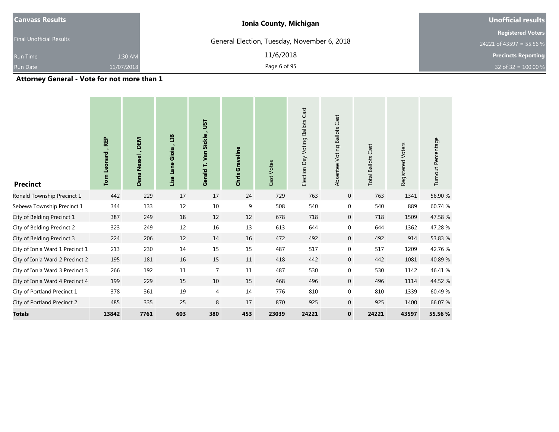| <b>Canvass Results</b>                                                                                                                                                                                                            |            | <b>Ionia County, Michigan</b>               | Unofficial results                                   |
|-----------------------------------------------------------------------------------------------------------------------------------------------------------------------------------------------------------------------------------|------------|---------------------------------------------|------------------------------------------------------|
| <b>Final Unofficial Results</b>                                                                                                                                                                                                   |            | General Election, Tuesday, November 6, 2018 | <b>Registered Voters</b><br>24221 of 43597 = 55.56 % |
| Run Time                                                                                                                                                                                                                          | 1:30 AM    | 11/6/2018                                   | <b>Precincts Reporting</b>                           |
| <b>Run Date</b>                                                                                                                                                                                                                   | 11/07/2018 | Page 6 of 95                                | 32 of 32 = $100.00 %$                                |
| $\mathbf{A}$ , and a set of the set of the set of the set of the set of the set of the set of the set of the set of the set of the set of the set of the set of the set of the set of the set of the set of the set of the set of |            |                                             |                                                      |

**Attorney General - Vote for not more than 1**

| <b>Precinct</b>                 | <b>REP</b><br>Leonard<br>Tom | Nessel, DEM<br>Dana | ED<br>٠<br>Lisa Lane Gioia | Gerald T. Van Sickle, UST | <b>Chris Graveline</b> | Cast Votes | <b>Ballots Cast</b><br>Election Day Voting | Cast<br>Absentee Voting Ballots | <b>Total Ballots Cast</b> | Registered Voters | Turnout Percentage |
|---------------------------------|------------------------------|---------------------|----------------------------|---------------------------|------------------------|------------|--------------------------------------------|---------------------------------|---------------------------|-------------------|--------------------|
| Ronald Township Precinct 1      | 442                          | 229                 | 17                         | 17                        | 24                     | 729        | 763                                        | $\overline{0}$                  | 763                       | 1341              | 56.90 %            |
| Sebewa Township Precinct 1      | 344                          | 133                 | 12                         | 10                        | 9                      | 508        | 540                                        | $\mathbf 0$                     | 540                       | 889               | 60.74 %            |
| City of Belding Precinct 1      | 387                          | 249                 | 18                         | 12                        | 12                     | 678        | 718                                        | $\overline{0}$                  | 718                       | 1509              | 47.58 %            |
| City of Belding Precinct 2      | 323                          | 249                 | 12                         | $16\,$                    | 13                     | 613        | 644                                        | $\mathbf 0$                     | 644                       | 1362              | 47.28 %            |
| City of Belding Precinct 3      | 224                          | 206                 | 12                         | 14                        | 16                     | 472        | 492                                        | $\overline{0}$                  | 492                       | 914               | 53.83 %            |
| City of Ionia Ward 1 Precinct 1 | 213                          | 230                 | 14                         | 15                        | 15                     | 487        | 517                                        | 0                               | 517                       | 1209              | 42.76 %            |
| City of Ionia Ward 2 Precinct 2 | 195                          | 181                 | 16                         | 15                        | 11                     | 418        | 442                                        | $\overline{0}$                  | 442                       | 1081              | 40.89%             |
| City of Ionia Ward 3 Precinct 3 | 266                          | 192                 | 11                         | $\overline{7}$            | 11                     | 487        | 530                                        | $\mathbf 0$                     | 530                       | 1142              | 46.41 %            |
| City of Ionia Ward 4 Precinct 4 | 199                          | 229                 | 15                         | 10                        | 15                     | 468        | 496                                        | $\overline{0}$                  | 496                       | 1114              | 44.52 %            |
| City of Portland Precinct 1     | 378                          | 361                 | 19                         | $\overline{4}$            | 14                     | 776        | 810                                        | 0                               | 810                       | 1339              | 60.49%             |
| City of Portland Precinct 2     | 485                          | 335                 | 25                         | 8                         | 17                     | 870        | 925                                        | $\overline{0}$                  | 925                       | 1400              | 66.07 %            |
| <b>Totals</b>                   | 13842                        | 7761                | 603                        | 380                       | 453                    | 23039      | 24221                                      | $\mathbf{0}$                    | 24221                     | 43597             | 55.56 %            |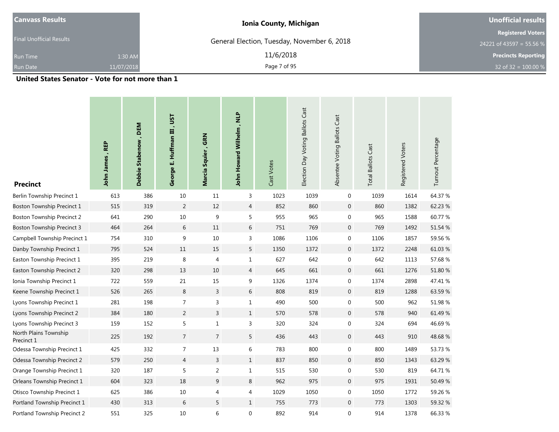| <b>Canvass Results</b>                                       |            | <b>Ionia County, Michigan</b>               | Unofficial results         |  |  |
|--------------------------------------------------------------|------------|---------------------------------------------|----------------------------|--|--|
| <b>Final Unofficial Results</b>                              |            |                                             | <b>Registered Voters</b>   |  |  |
|                                                              |            | General Election, Tuesday, November 6, 2018 | 24221 of 43597 = 55.56 %   |  |  |
| Run Time                                                     | 1:30 AM    | 11/6/2018                                   | <b>Precincts Reporting</b> |  |  |
| <b>Run Date</b>                                              | 11/07/2018 | Page 7 of 95                                | 32 of 32 = $100.00\%$      |  |  |
| The book Country Constant Material and the country of the Co |            |                                             |                            |  |  |

**United States Senator - Vote for not more than 1**

| <b>Precinct</b>                     | John James, REP | Debbie Stabenow, DEM | George E. Huffman III, UST | Marcia Squier, GRN | John Howard Wilhelm, NLP | Cast Votes | Election Day Voting Ballots Cast | Absentee Voting Ballots Cast | <b>Total Ballots Cast</b> | Registered Voters | Turnout Percentage |
|-------------------------------------|-----------------|----------------------|----------------------------|--------------------|--------------------------|------------|----------------------------------|------------------------------|---------------------------|-------------------|--------------------|
| Berlin Township Precinct 1          | 613             | 386                  | 10                         | 11                 | 3                        | 1023       | 1039                             | $\mathbf 0$                  | 1039                      | 1614              | 64.37 %            |
| Boston Township Precinct 1          | 515             | 319                  | $\overline{2}$             | 12                 | $\overline{4}$           | 852        | 860                              | $\mathbf 0$                  | 860                       | 1382              | 62.23 %            |
| <b>Boston Township Precinct 2</b>   | 641             | 290                  | $10\,$                     | 9                  | 5                        | 955        | 965                              | $\mathbf 0$                  | 965                       | 1588              | 60.77 %            |
| <b>Boston Township Precinct 3</b>   | 464             | 264                  | 6                          | 11                 | 6                        | 751        | 769                              | $\mathbf 0$                  | 769                       | 1492              | 51.54 %            |
| Campbell Township Precinct 1        | 754             | 310                  | 9                          | 10                 | 3                        | 1086       | 1106                             | $\mathbf 0$                  | 1106                      | 1857              | 59.56 %            |
| Danby Township Precinct 1           | 795             | 524                  | 11                         | 15                 | 5                        | 1350       | 1372                             | $\mathbf 0$                  | 1372                      | 2248              | 61.03%             |
| Easton Township Precinct 1          | 395             | 219                  | 8                          | 4                  | $\mathbf{1}$             | 627        | 642                              | $\mathbf 0$                  | 642                       | 1113              | 57.68 %            |
| Easton Township Precinct 2          | 320             | 298                  | 13                         | $10$               | $\overline{4}$           | 645        | 661                              | $\mathbf 0$                  | 661                       | 1276              | 51.80 %            |
| Ionia Township Precinct 1           | 722             | 559                  | 21                         | 15                 | 9                        | 1326       | 1374                             | $\mathbf 0$                  | 1374                      | 2898              | 47.41 %            |
| Keene Township Precinct 1           | 526             | 265                  | $\,8\,$                    | $\overline{3}$     | $6\,$                    | 808        | 819                              | $\overline{0}$               | 819                       | 1288              | 63.59%             |
| Lyons Township Precinct 1           | 281             | 198                  | 7                          | 3                  | $\mathbf{1}$             | 490        | 500                              | $\mathbf 0$                  | 500                       | 962               | 51.98 %            |
| Lyons Township Precinct 2           | 384             | 180                  | $\overline{2}$             | $\overline{3}$     | $\mathbf{1}$             | 570        | 578                              | $\mathbf 0$                  | 578                       | 940               | 61.49 %            |
| Lyons Township Precinct 3           | 159             | 152                  | 5                          | 1                  | 3                        | 320        | 324                              | $\mathbf 0$                  | 324                       | 694               | 46.69%             |
| North Plains Township<br>Precinct 1 | 225             | 192                  | $7\overline{ }$            | $\overline{7}$     | 5                        | 436        | 443                              | $\mathbf 0$                  | 443                       | 910               | 48.68%             |
| Odessa Township Precinct 1          | 425             | 332                  | 7                          | 13                 | 6                        | 783        | 800                              | $\mathbf 0$                  | 800                       | 1489              | 53.73 %            |
| Odessa Township Precinct 2          | 579             | 250                  | $\overline{4}$             | 3                  | $\mathbf{1}$             | 837        | 850                              | $\mathbf 0$                  | 850                       | 1343              | 63.29 %            |
| Orange Township Precinct 1          | 320             | 187                  | 5                          | 2                  | $\mathbf{1}$             | 515        | 530                              | $\mathbf 0$                  | 530                       | 819               | 64.71 %            |
| Orleans Township Precinct 1         | 604             | 323                  | 18                         | 9                  | 8                        | 962        | 975                              | $\mathbf 0$                  | 975                       | 1931              | 50.49 %            |
| Otisco Township Precinct 1          | 625             | 386                  | $10\,$                     | 4                  | 4                        | 1029       | 1050                             | $\mathbf 0$                  | 1050                      | 1772              | 59.26 %            |
| Portland Township Precinct 1        | 430             | 313                  | 6                          | 5                  | $\mathbf{1}$             | 755        | 773                              | $\mathbf 0$                  | 773                       | 1303              | 59.32 %            |
| Portland Township Precinct 2        | 551             | 325                  | 10                         | 6                  | 0                        | 892        | 914                              | $\mathbf 0$                  | 914                       | 1378              | 66.33 %            |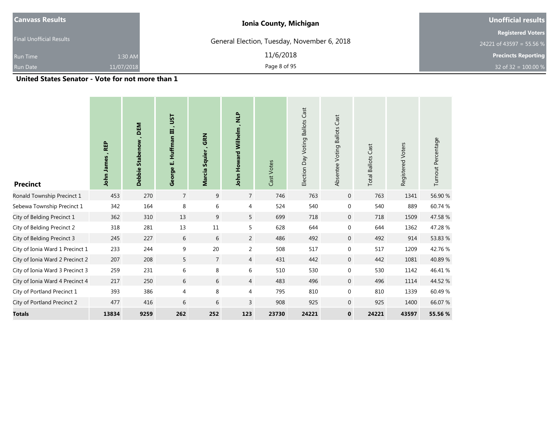| <b>Canvass Results</b>                                                                                                               |            | <b>Ionia County, Michigan</b>               | Unofficial results                                   |  |  |
|--------------------------------------------------------------------------------------------------------------------------------------|------------|---------------------------------------------|------------------------------------------------------|--|--|
| <b>Final Unofficial Results</b>                                                                                                      |            | General Election, Tuesday, November 6, 2018 | <b>Registered Voters</b><br>24221 of 43597 = 55.56 % |  |  |
| Run Time                                                                                                                             | 1:30 AM    | 11/6/2018                                   | <b>Precincts Reporting</b>                           |  |  |
| <b>Run Date</b>                                                                                                                      | 11/07/2018 | Page 8 of 95                                | 32 of 32 = $100.00 %$                                |  |  |
| $\mathbf{u}$ , $\mathbf{u}$ , $\mathbf{u}$ , $\mathbf{u}$ , $\mathbf{u}$ , $\mathbf{u}$ , $\mathbf{u}$ , $\mathbf{u}$ , $\mathbf{u}$ |            |                                             |                                                      |  |  |

**United States Senator - Vote for not more than 1**

| <b>Precinct</b>                 | <b>REP</b><br>John James | DEM<br>Debbie Stabenow | Ξ<br>$\blacksquare$<br><b>Huffman III</b><br>Ш<br>George | , GRN<br>Marcia Squier | John Howard Wilhelm, NLP | Cast Votes | Cast<br><b>Ballots</b><br>Election Day Voting | Cast<br><b>Ballots</b><br>Absentee Voting | <b>Total Ballots Cast</b> | Registered Voters | Turnout Percentage |
|---------------------------------|--------------------------|------------------------|----------------------------------------------------------|------------------------|--------------------------|------------|-----------------------------------------------|-------------------------------------------|---------------------------|-------------------|--------------------|
| Ronald Township Precinct 1      | 453                      | 270                    | $\overline{7}$                                           | 9                      | $\overline{7}$           | 746        | 763                                           | $\overline{0}$                            | 763                       | 1341              | 56.90 %            |
| Sebewa Township Precinct 1      | 342                      | 164                    | 8                                                        | 6                      | 4                        | 524        | 540                                           | $\mathbf{0}$                              | 540                       | 889               | 60.74 %            |
| City of Belding Precinct 1      | 362                      | 310                    | 13                                                       | 9                      | 5                        | 699        | 718                                           | $\mathbf 0$                               | 718                       | 1509              | 47.58 %            |
| City of Belding Precinct 2      | 318                      | 281                    | 13                                                       | 11                     | 5                        | 628        | 644                                           | $\mathbf{0}$                              | 644                       | 1362              | 47.28 %            |
| City of Belding Precinct 3      | 245                      | 227                    | 6                                                        | 6                      | $\overline{2}$           | 486        | 492                                           | $\mathbf 0$                               | 492                       | 914               | 53.83 %            |
| City of Ionia Ward 1 Precinct 1 | 233                      | 244                    | 9                                                        | 20                     | $\overline{2}$           | 508        | 517                                           | $\overline{0}$                            | 517                       | 1209              | 42.76%             |
| City of Ionia Ward 2 Precinct 2 | 207                      | 208                    | 5                                                        | $\overline{7}$         | $\overline{4}$           | 431        | 442                                           | $\mathbf 0$                               | 442                       | 1081              | 40.89%             |
| City of Ionia Ward 3 Precinct 3 | 259                      | 231                    | 6                                                        | 8                      | 6                        | 510        | 530                                           | 0                                         | 530                       | 1142              | 46.41 %            |
| City of Ionia Ward 4 Precinct 4 | 217                      | 250                    | 6                                                        | 6                      | $\overline{4}$           | 483        | 496                                           | $\mathbf 0$                               | 496                       | 1114              | 44.52 %            |
| City of Portland Precinct 1     | 393                      | 386                    | 4                                                        | 8                      | 4                        | 795        | 810                                           | 0                                         | 810                       | 1339              | 60.49%             |
| City of Portland Precinct 2     | 477                      | 416                    | 6                                                        | 6                      | 3                        | 908        | 925                                           | $\overline{0}$                            | 925                       | 1400              | 66.07 %            |
| <b>Totals</b>                   | 13834                    | 9259                   | 262                                                      | 252                    | 123                      | 23730      | 24221                                         | $\mathbf{0}$                              | 24221                     | 43597             | 55.56 %            |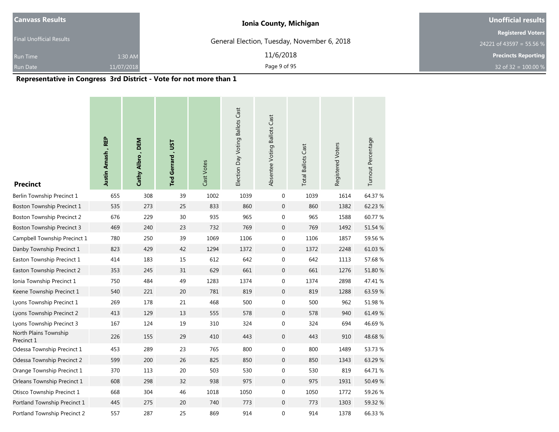| <b>Canvass Results</b>          | <b>Ionia County, Michigan</b>               | Unofficial results         |  |  |
|---------------------------------|---------------------------------------------|----------------------------|--|--|
|                                 |                                             | <b>Registered Voters</b>   |  |  |
| <b>Final Unofficial Results</b> | General Election, Tuesday, November 6, 2018 | 24221 of 43597 = 55.56 %   |  |  |
| 1:30 AM<br><b>Run Time</b>      | 11/6/2018                                   | <b>Precincts Reporting</b> |  |  |
| <b>Run Date</b><br>11/07/2018   | Page 9 of 95                                | 32 of 32 = $100.00\%$      |  |  |

#### **Representative in Congress 3rd District - Vote for not more than 1**

| <b>Precinct</b>                     | Justin Amash, REP | Cathy Albro, DEM | Ted Gerrard, UST | Cast Votes | Election Day Voting Ballots Cast | Absentee Voting Ballots Cast | <b>Total Ballots Cast</b> | Registered Voters | Turnout Percentage |
|-------------------------------------|-------------------|------------------|------------------|------------|----------------------------------|------------------------------|---------------------------|-------------------|--------------------|
| Berlin Township Precinct 1          | 655               | 308              | 39               | 1002       | 1039                             | 0                            | 1039                      | 1614              | 64.37 %            |
| Boston Township Precinct 1          | 535               | 273              | 25               | 833        | 860                              | $\mathbf 0$                  | 860                       | 1382              | 62.23 %            |
| <b>Boston Township Precinct 2</b>   | 676               | 229              | 30               | 935        | 965                              | $\boldsymbol{0}$             | 965                       | 1588              | 60.77 %            |
| <b>Boston Township Precinct 3</b>   | 469               | 240              | 23               | 732        | 769                              | $\mathbf 0$                  | 769                       | 1492              | 51.54 %            |
| Campbell Township Precinct 1        | 780               | 250              | 39               | 1069       | 1106                             | 0                            | 1106                      | 1857              | 59.56 %            |
| Danby Township Precinct 1           | 823               | 429              | 42               | 1294       | 1372                             | $\mathbf 0$                  | 1372                      | 2248              | 61.03%             |
| Easton Township Precinct 1          | 414               | 183              | 15               | 612        | 642                              | $\boldsymbol{0}$             | 642                       | 1113              | 57.68 %            |
| Easton Township Precinct 2          | 353               | 245              | 31               | 629        | 661                              | $\mathbf 0$                  | 661                       | 1276              | 51.80 %            |
| Ionia Township Precinct 1           | 750               | 484              | 49               | 1283       | 1374                             | 0                            | 1374                      | 2898              | 47.41 %            |
| Keene Township Precinct 1           | 540               | 221              | 20               | 781        | 819                              | $\mathbf 0$                  | 819                       | 1288              | 63.59%             |
| Lyons Township Precinct 1           | 269               | 178              | 21               | 468        | 500                              | 0                            | 500                       | 962               | 51.98 %            |
| Lyons Township Precinct 2           | 413               | 129              | 13               | 555        | 578                              | $\mathbf 0$                  | 578                       | 940               | 61.49 %            |
| Lyons Township Precinct 3           | 167               | 124              | 19               | 310        | 324                              | $\boldsymbol{0}$             | 324                       | 694               | 46.69%             |
| North Plains Township<br>Precinct 1 | 226               | 155              | 29               | 410        | 443                              | $\boldsymbol{0}$             | 443                       | 910               | 48.68%             |
| Odessa Township Precinct 1          | 453               | 289              | 23               | 765        | 800                              | 0                            | 800                       | 1489              | 53.73 %            |
| Odessa Township Precinct 2          | 599               | 200              | 26               | 825        | 850                              | $\mathbf 0$                  | 850                       | 1343              | 63.29 %            |
| Orange Township Precinct 1          | 370               | 113              | 20               | 503        | 530                              | 0                            | 530                       | 819               | 64.71 %            |
| Orleans Township Precinct 1         | 608               | 298              | 32               | 938        | 975                              | $\mathbf 0$                  | 975                       | 1931              | 50.49 %            |
| Otisco Township Precinct 1          | 668               | 304              | 46               | 1018       | 1050                             | 0                            | 1050                      | 1772              | 59.26 %            |
| Portland Township Precinct 1        | 445               | 275              | 20               | 740        | 773                              | $\mathbf 0$                  | 773                       | 1303              | 59.32 %            |
| Portland Township Precinct 2        | 557               | 287              | 25               | 869        | 914                              | $\mathbf 0$                  | 914                       | 1378              | 66.33 %            |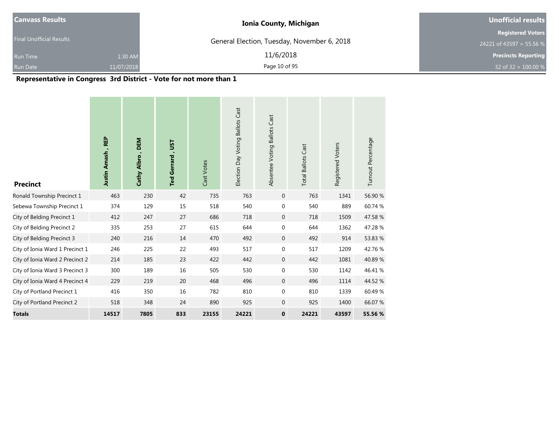| <b>Canvass Results</b>          | <b>Ionia County, Michigan</b>               | Unofficial results         |  |  |
|---------------------------------|---------------------------------------------|----------------------------|--|--|
|                                 |                                             | <b>Registered Voters</b>   |  |  |
| <b>Final Unofficial Results</b> | General Election, Tuesday, November 6, 2018 | 24221 of 43597 = 55.56 %   |  |  |
| 1:30 AM<br><b>Run Time</b>      | 11/6/2018                                   | <b>Precincts Reporting</b> |  |  |
| <b>Run Date</b><br>11/07/2018   | Page 10 of 95                               | 32 of 32 = $100.00\%$      |  |  |

#### **Representative in Congress 3rd District - Vote for not more than 1**

| <b>Precinct</b>                 | Justin Amash, REP | DEM<br>Cathy Albro | Ted Gerrard, UST | Cast Votes | Election Day Voting Ballots Cast | Absentee Voting Ballots Cast | <b>Total Ballots Cast</b> | Registered Voters | Turnout Percentage |
|---------------------------------|-------------------|--------------------|------------------|------------|----------------------------------|------------------------------|---------------------------|-------------------|--------------------|
| Ronald Township Precinct 1      | 463               | 230                | 42               | 735        | 763                              | $\mathbf 0$                  | 763                       | 1341              | 56.90 %            |
| Sebewa Township Precinct 1      | 374               | 129                | 15               | 518        | 540                              | $\boldsymbol{0}$             | 540                       | 889               | 60.74 %            |
| City of Belding Precinct 1      | 412               | 247                | 27               | 686        | 718                              | $\mathbf 0$                  | 718                       | 1509              | 47.58 %            |
| City of Belding Precinct 2      | 335               | 253                | 27               | 615        | 644                              | $\boldsymbol{0}$             | 644                       | 1362              | 47.28 %            |
| City of Belding Precinct 3      | 240               | 216                | 14               | 470        | 492                              | $\mathbf{0}$                 | 492                       | 914               | 53.83 %            |
| City of Ionia Ward 1 Precinct 1 | 246               | 225                | 22               | 493        | 517                              | $\mathbf{0}$                 | 517                       | 1209              | 42.76%             |
| City of Ionia Ward 2 Precinct 2 | 214               | 185                | 23               | 422        | 442                              | $\mathbf 0$                  | 442                       | 1081              | 40.89%             |
| City of Ionia Ward 3 Precinct 3 | 300               | 189                | 16               | 505        | 530                              | $\mathbf 0$                  | 530                       | 1142              | 46.41 %            |
| City of Ionia Ward 4 Precinct 4 | 229               | 219                | 20               | 468        | 496                              | $\mathbf 0$                  | 496                       | 1114              | 44.52 %            |
| City of Portland Precinct 1     | 416               | 350                | 16               | 782        | 810                              | $\boldsymbol{0}$             | 810                       | 1339              | 60.49%             |
| City of Portland Precinct 2     | 518               | 348                | 24               | 890        | 925                              | $\mathbf 0$                  | 925                       | 1400              | 66.07 %            |
| <b>Totals</b>                   | 14517             | 7805               | 833              | 23155      | 24221                            | $\mathbf 0$                  | 24221                     | 43597             | 55.56 %            |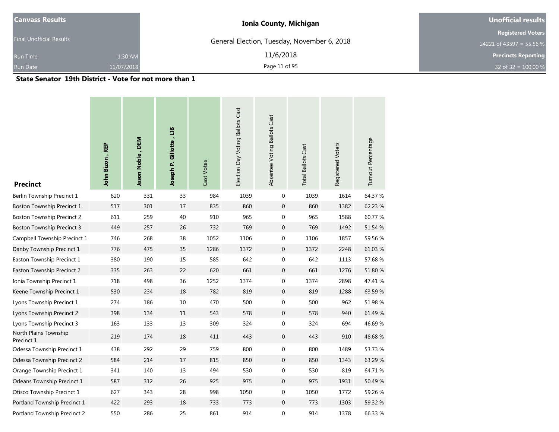| <b>Canvass Results</b>          |                | <b>Ionia County, Michigan</b>               | Unofficial results         |  |  |
|---------------------------------|----------------|---------------------------------------------|----------------------------|--|--|
| <b>Final Unofficial Results</b> |                | General Election, Tuesday, November 6, 2018 | <b>Registered Voters</b>   |  |  |
|                                 |                |                                             | 24221 of 43597 = 55.56 %   |  |  |
| <b>Run Time</b>                 | 1:30 AM        | 11/6/2018                                   | <b>Precincts Reporting</b> |  |  |
| <b>Run Date</b>                 | 11/07/2018     | Page 11 of 95                               | 32 of 32 = $100.00 %$      |  |  |
| ______                          | -------------- |                                             |                            |  |  |

**State Senator 19th District - Vote for not more than 1**

| <b>Precinct</b>                     | John Bizon, REP | Jason Noble, DEM | Joseph P. Gillotte, LIB | Cast Votes | Election Day Voting Ballots Cast | Absentee Voting Ballots Cast | <b>Total Ballots Cast</b> | Registered Voters | Turnout Percentage |
|-------------------------------------|-----------------|------------------|-------------------------|------------|----------------------------------|------------------------------|---------------------------|-------------------|--------------------|
| Berlin Township Precinct 1          | 620             | 331              | 33                      | 984        | 1039                             | 0                            | 1039                      | 1614              | 64.37 %            |
| Boston Township Precinct 1          | 517             | 301              | 17                      | 835        | 860                              | $\boldsymbol{0}$             | 860                       | 1382              | 62.23 %            |
| <b>Boston Township Precinct 2</b>   | 611             | 259              | 40                      | 910        | 965                              | $\mathbf 0$                  | 965                       | 1588              | 60.77 %            |
| <b>Boston Township Precinct 3</b>   | 449             | 257              | 26                      | 732        | 769                              | $\mathbf{0}$                 | 769                       | 1492              | 51.54 %            |
| Campbell Township Precinct 1        | 746             | 268              | 38                      | 1052       | 1106                             | $\mathbf 0$                  | 1106                      | 1857              | 59.56 %            |
| Danby Township Precinct 1           | 776             | 475              | 35                      | 1286       | 1372                             | $\boldsymbol{0}$             | 1372                      | 2248              | 61.03%             |
| Easton Township Precinct 1          | 380             | 190              | 15                      | 585        | 642                              | $\pmb{0}$                    | 642                       | 1113              | 57.68 %            |
| Easton Township Precinct 2          | 335             | 263              | 22                      | 620        | 661                              | $\mathbf{0}$                 | 661                       | 1276              | 51.80 %            |
| Ionia Township Precinct 1           | 718             | 498              | 36                      | 1252       | 1374                             | $\boldsymbol{0}$             | 1374                      | 2898              | 47.41 %            |
| Keene Township Precinct 1           | 530             | 234              | 18                      | 782        | 819                              | $\mathbf{0}$                 | 819                       | 1288              | 63.59%             |
| Lyons Township Precinct 1           | 274             | 186              | 10                      | 470        | 500                              | $\mathbf 0$                  | 500                       | 962               | 51.98 %            |
| Lyons Township Precinct 2           | 398             | 134              | 11                      | 543        | 578                              | $\boldsymbol{0}$             | 578                       | 940               | 61.49 %            |
| Lyons Township Precinct 3           | 163             | 133              | 13                      | 309        | 324                              | $\pmb{0}$                    | 324                       | 694               | 46.69%             |
| North Plains Township<br>Precinct 1 | 219             | 174              | 18                      | 411        | 443                              | $\mathbf{0}$                 | 443                       | 910               | 48.68%             |
| Odessa Township Precinct 1          | 438             | 292              | 29                      | 759        | 800                              | $\mathbf 0$                  | 800                       | 1489              | 53.73 %            |
| Odessa Township Precinct 2          | 584             | 214              | 17                      | 815        | 850                              | $\mathbf{0}$                 | 850                       | 1343              | 63.29 %            |
| Orange Township Precinct 1          | 341             | 140              | 13                      | 494        | 530                              | $\mathbf 0$                  | 530                       | 819               | 64.71 %            |
| Orleans Township Precinct 1         | 587             | 312              | 26                      | 925        | 975                              | $\boldsymbol{0}$             | 975                       | 1931              | 50.49%             |
| Otisco Township Precinct 1          | 627             | 343              | 28                      | 998        | 1050                             | $\pmb{0}$                    | 1050                      | 1772              | 59.26 %            |
| Portland Township Precinct 1        | 422             | 293              | 18                      | 733        | 773                              | $\mathbf{0}$                 | 773                       | 1303              | 59.32 %            |
| Portland Township Precinct 2        | 550             | 286              | 25                      | 861        | 914                              | $\mathbf 0$                  | 914                       | 1378              | 66.33 %            |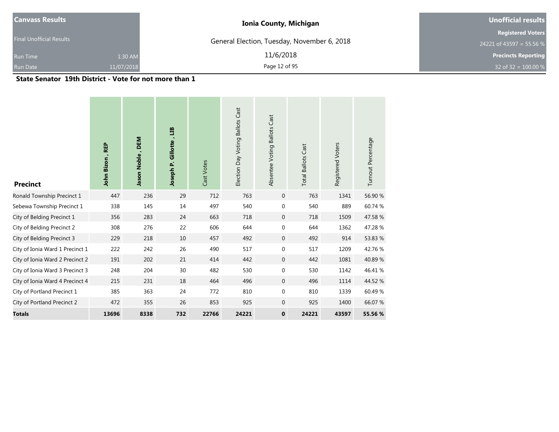| <b>Canvass Results</b>          | <b>Ionia County, Michigan</b>               | Unofficial results                                   |
|---------------------------------|---------------------------------------------|------------------------------------------------------|
| <b>Final Unofficial Results</b> | General Election, Tuesday, November 6, 2018 | <b>Registered Voters</b><br>24221 of 43597 = 55.56 % |
| 1:30 AM<br><b>Run Time</b>      | 11/6/2018                                   | <b>Precincts Reporting</b>                           |
| 11/07/2018<br><b>Run Date</b>   | Page 12 of 95                               | 32 of $32 = 100.00 %$                                |

**State Senator 19th District - Vote for not more than 1**

| <b>Precinct</b>                 | John Bizon, REP | <b>DEM</b><br>Jason Noble | E<br>Gillotte,<br>Joseph P. | Cast Votes | Cast<br><b>Ballots</b><br>Election Day Voting | Cast<br>Ballots<br>Absentee Voting | <b>Total Ballots Cast</b> | Registered Voters | Turnout Percentage |
|---------------------------------|-----------------|---------------------------|-----------------------------|------------|-----------------------------------------------|------------------------------------|---------------------------|-------------------|--------------------|
| Ronald Township Precinct 1      | 447             | 236                       | 29                          | 712        | 763                                           | $\mathbf 0$                        | 763                       | 1341              | 56.90 %            |
| Sebewa Township Precinct 1      | 338             | 145                       | 14                          | 497        | 540                                           | $\boldsymbol{0}$                   | 540                       | 889               | 60.74 %            |
| City of Belding Precinct 1      | 356             | 283                       | 24                          | 663        | 718                                           | $\mathbf{0}$                       | 718                       | 1509              | 47.58 %            |
| City of Belding Precinct 2      | 308             | 276                       | 22                          | 606        | 644                                           | $\mathbf 0$                        | 644                       | 1362              | 47.28 %            |
| City of Belding Precinct 3      | 229             | 218                       | 10                          | 457        | 492                                           | $\mathbf{0}$                       | 492                       | 914               | 53.83 %            |
| City of Ionia Ward 1 Precinct 1 | 222             | 242                       | 26                          | 490        | 517                                           | 0                                  | 517                       | 1209              | 42.76%             |
| City of Ionia Ward 2 Precinct 2 | 191             | 202                       | 21                          | 414        | 442                                           | $\mathbf 0$                        | 442                       | 1081              | 40.89%             |
| City of Ionia Ward 3 Precinct 3 | 248             | 204                       | 30                          | 482        | 530                                           | $\boldsymbol{0}$                   | 530                       | 1142              | 46.41 %            |
| City of Ionia Ward 4 Precinct 4 | 215             | 231                       | 18                          | 464        | 496                                           | $\mathbf{0}$                       | 496                       | 1114              | 44.52 %            |
| City of Portland Precinct 1     | 385             | 363                       | 24                          | 772        | 810                                           | $\mathbf{0}$                       | 810                       | 1339              | 60.49%             |
| City of Portland Precinct 2     | 472             | 355                       | 26                          | 853        | 925                                           | $\mathbf 0$                        | 925                       | 1400              | 66.07%             |
| <b>Totals</b>                   | 13696           | 8338                      | 732                         | 22766      | 24221                                         | $\bf{0}$                           | 24221                     | 43597             | 55.56 %            |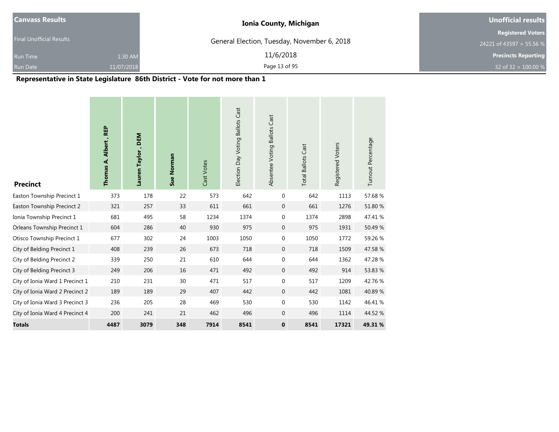| <b>Canvass Results</b>          | <b>Ionia County, Michigan</b>               | Unofficial results                                     |  |  |
|---------------------------------|---------------------------------------------|--------------------------------------------------------|--|--|
| <b>Final Unofficial Results</b> | General Election, Tuesday, November 6, 2018 | <b>Registered Voters</b>                               |  |  |
| 1:30 AM<br><b>Run Time</b>      | 11/6/2018                                   | 24221 of 43597 = 55.56 %<br><b>Precincts Reporting</b> |  |  |
| <b>Run Date</b><br>11/07/2018   | Page 13 of 95                               | 32 of 32 = $100.00\%$                                  |  |  |

## **Representative in State Legislature 86th District - Vote for not more than 1**

| <b>Precinct</b>                 | Thomas A. Albert, REP | DEM<br>Lauren Taylor | Sue Norman | Cast Votes | Election Day Voting Ballots Cast | Absentee Voting Ballots Cast | <b>Total Ballots Cast</b> | Registered Voters | Turnout Percentage |
|---------------------------------|-----------------------|----------------------|------------|------------|----------------------------------|------------------------------|---------------------------|-------------------|--------------------|
| Easton Township Precinct 1      | 373                   | 178                  | 22         | 573        | 642                              | $\mathbf 0$                  | 642                       | 1113              | 57.68%             |
| Easton Township Precinct 2      | 321                   | 257                  | 33         | 611        | 661                              | $\mathbf{0}$                 | 661                       | 1276              | 51.80 %            |
| Ionia Township Precinct 1       | 681                   | 495                  | 58         | 1234       | 1374                             | $\mathbf 0$                  | 1374                      | 2898              | 47.41 %            |
| Orleans Township Precinct 1     | 604                   | 286                  | 40         | 930        | 975                              | $\mathbf{0}$                 | 975                       | 1931              | 50.49 %            |
| Otisco Township Precinct 1      | 677                   | 302                  | 24         | 1003       | 1050                             | $\mathbf 0$                  | 1050                      | 1772              | 59.26 %            |
| City of Belding Precinct 1      | 408                   | 239                  | 26         | 673        | 718                              | $\mathbf{0}$                 | 718                       | 1509              | 47.58 %            |
| City of Belding Precinct 2      | 339                   | 250                  | 21         | 610        | 644                              | $\mathbf 0$                  | 644                       | 1362              | 47.28 %            |
| City of Belding Precinct 3      | 249                   | 206                  | 16         | 471        | 492                              | $\mathbf 0$                  | 492                       | 914               | 53.83 %            |
| City of Ionia Ward 1 Precinct 1 | 210                   | 231                  | 30         | 471        | 517                              | $\mathbf{0}$                 | 517                       | 1209              | 42.76%             |
| City of Ionia Ward 2 Precinct 2 | 189                   | 189                  | 29         | 407        | 442                              | $\mathbf{0}$                 | 442                       | 1081              | 40.89%             |
| City of Ionia Ward 3 Precinct 3 | 236                   | 205                  | 28         | 469        | 530                              | $\mathbf 0$                  | 530                       | 1142              | 46.41 %            |
| City of Ionia Ward 4 Precinct 4 | 200                   | 241                  | 21         | 462        | 496                              | $\mathbf{0}$                 | 496                       | 1114              | 44.52 %            |
| <b>Totals</b>                   | 4487                  | 3079                 | 348        | 7914       | 8541                             | $\mathbf{0}$                 | 8541                      | 17321             | 49.31%             |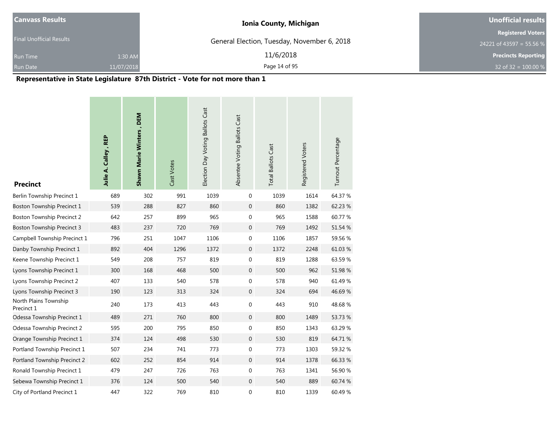| <b>Canvass Results</b>          |            | <b>Ionia County, Michigan</b>               | Unofficial results         |
|---------------------------------|------------|---------------------------------------------|----------------------------|
| <b>Final Unofficial Results</b> |            |                                             | <b>Registered Voters</b>   |
|                                 |            | General Election, Tuesday, November 6, 2018 | 24221 of 43597 = 55.56 %   |
| <b>Run Time</b>                 | 1:30 AM    | 11/6/2018                                   | <b>Precincts Reporting</b> |
| <b>Run Date</b>                 | 11/07/2018 | Page 14 of 95                               | 32 of 32 = $100.00\%$      |

## **Representative in State Legislature 87th District - Vote for not more than 1**

| <b>Precinct</b>                     | Julie A. Calley, REP | Shawn Marie Winters, DEM | Cast Votes | Election Day Voting Ballots Cast | Absentee Voting Ballots Cast | <b>Total Ballots Cast</b> | Registered Voters | Turnout Percentage |
|-------------------------------------|----------------------|--------------------------|------------|----------------------------------|------------------------------|---------------------------|-------------------|--------------------|
| Berlin Township Precinct 1          | 689                  | 302                      | 991        | 1039                             | 0                            | 1039                      | 1614              | 64.37 %            |
| <b>Boston Township Precinct 1</b>   | 539                  | 288                      | 827        | 860                              | $\boldsymbol{0}$             | 860                       | 1382              | 62.23 %            |
| <b>Boston Township Precinct 2</b>   | 642                  | 257                      | 899        | 965                              | 0                            | 965                       | 1588              | 60.77 %            |
| <b>Boston Township Precinct 3</b>   | 483                  | 237                      | 720        | 769                              | $\mathbf 0$                  | 769                       | 1492              | 51.54 %            |
| Campbell Township Precinct 1        | 796                  | 251                      | 1047       | 1106                             | $\boldsymbol{0}$             | 1106                      | 1857              | 59.56 %            |
| Danby Township Precinct 1           | 892                  | 404                      | 1296       | 1372                             | $\mathbf 0$                  | 1372                      | 2248              | 61.03%             |
| Keene Township Precinct 1           | 549                  | 208                      | 757        | 819                              | $\boldsymbol{0}$             | 819                       | 1288              | 63.59%             |
| Lyons Township Precinct 1           | 300                  | 168                      | 468        | 500                              | $\mathbf 0$                  | 500                       | 962               | 51.98 %            |
| Lyons Township Precinct 2           | 407                  | 133                      | 540        | 578                              | 0                            | 578                       | 940               | 61.49 %            |
| Lyons Township Precinct 3           | 190                  | 123                      | 313        | 324                              | $\mathbf 0$                  | 324                       | 694               | 46.69 %            |
| North Plains Township<br>Precinct 1 | 240                  | 173                      | 413        | 443                              | $\boldsymbol{0}$             | 443                       | 910               | 48.68%             |
| Odessa Township Precinct 1          | 489                  | 271                      | 760        | 800                              | $\mathbf 0$                  | 800                       | 1489              | 53.73 %            |
| Odessa Township Precinct 2          | 595                  | 200                      | 795        | 850                              | $\boldsymbol{0}$             | 850                       | 1343              | 63.29 %            |
| Orange Township Precinct 1          | 374                  | 124                      | 498        | 530                              | $\mathbf 0$                  | 530                       | 819               | 64.71%             |
| Portland Township Precinct 1        | 507                  | 234                      | 741        | 773                              | 0                            | 773                       | 1303              | 59.32 %            |
| Portland Township Precinct 2        | 602                  | 252                      | 854        | 914                              | $\mathbf{0}$                 | 914                       | 1378              | 66.33 %            |
| Ronald Township Precinct 1          | 479                  | 247                      | 726        | 763                              | 0                            | 763                       | 1341              | 56.90 %            |
| Sebewa Township Precinct 1          | 376                  | 124                      | 500        | 540                              | $\mathbf 0$                  | 540                       | 889               | 60.74 %            |
| City of Portland Precinct 1         | 447                  | 322                      | 769        | 810                              | $\mathbf 0$                  | 810                       | 1339              | 60.49%             |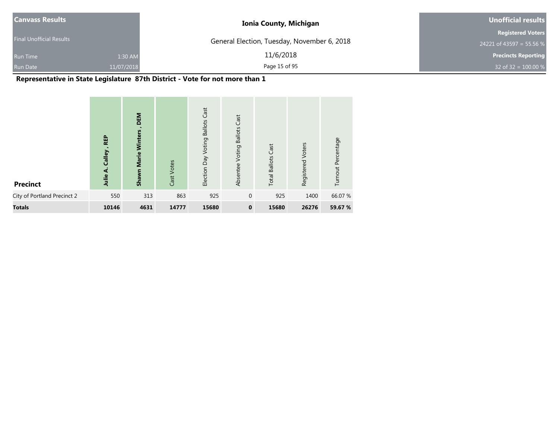| <b>Canvass Results</b>          |            | <b>Ionia County, Michigan</b>               | Unofficial results         |
|---------------------------------|------------|---------------------------------------------|----------------------------|
|                                 |            |                                             | <b>Registered Voters</b>   |
| <b>Final Unofficial Results</b> |            | General Election, Tuesday, November 6, 2018 | 24221 of 43597 = 55.56 %   |
| <b>Run Time</b>                 | 1:30 AM    | 11/6/2018                                   | <b>Precincts Reporting</b> |
| <b>Run Date</b>                 | 11/07/2018 | Page 15 of 95                               | 32 of 32 = $100.00 %$      |

## **Representative in State Legislature 87th District - Vote for not more than 1**

| <b>Precinct</b>             | <b>REP</b><br>Calley<br>⋖<br>Julie | DEM<br>Winters<br>Marie<br><b>Shawn</b> | Cast Votes | Cast<br><b>Ballots</b><br>Voting<br>Election Day | Cast<br><b>Ballots</b><br>Voting<br>Absentee | Cast<br><b>Total Ballots</b> | Voters<br>Registered | Turnout Percentage |
|-----------------------------|------------------------------------|-----------------------------------------|------------|--------------------------------------------------|----------------------------------------------|------------------------------|----------------------|--------------------|
| City of Portland Precinct 2 | 550                                | 313                                     | 863        | 925                                              | $\mathbf{0}$                                 | 925                          | 1400                 | 66.07 %            |
| <b>Totals</b>               | 10146                              | 4631                                    | 14777      | 15680                                            | $\mathbf 0$                                  | 15680                        | 26276                | 59.67 %            |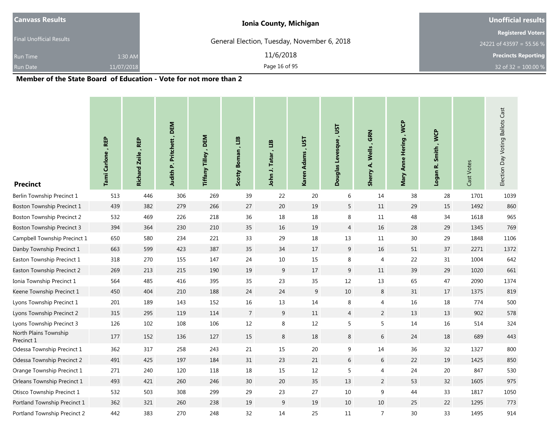| <b>Canvass Results</b>          |            | <b>Ionia County, Michigan</b>               | <b>Unofficial results</b>  |  |  |
|---------------------------------|------------|---------------------------------------------|----------------------------|--|--|
|                                 |            |                                             | <b>Registered Voters</b>   |  |  |
| <b>Final Unofficial Results</b> |            | General Election, Tuesday, November 6, 2018 | 24221 of 43597 = 55.56 %   |  |  |
| <b>Run Time</b>                 | 1:30 AM    | 11/6/2018                                   | <b>Precincts Reporting</b> |  |  |
| <b>Run Date</b>                 | 11/07/2018 | Page 16 of 95                               | 32 of 32 = $100.00\%$      |  |  |

| <b>Precinct</b>                     | Tami Carlone, REP | , REP<br><b>Richard Zeile</b> | Judith P. Pritchett, DEM | Tiffany Tilley, DEM | Scotty Boman, LIB | E<br>John J. Tatar | Karen Adams, UST | Douglas Levesque, UST | Wells, GRN<br>خ<br><b>Sherry</b> | Mary Anne Hering, WCP | Logan R. Smith, WCP | Cast Votes | Election Day Voting Ballots Cast |
|-------------------------------------|-------------------|-------------------------------|--------------------------|---------------------|-------------------|--------------------|------------------|-----------------------|----------------------------------|-----------------------|---------------------|------------|----------------------------------|
| Berlin Township Precinct 1          | 513               | 446                           | 306                      | 269                 | 39                | 22                 | 20               | 6                     | 14                               | 38                    | 28                  | 1701       | 1039                             |
| Boston Township Precinct 1          | 439               | 382                           | 279                      | 266                 | 27                | $20\,$             | 19               | 5                     | $11\,$                           | 29                    | 15                  | 1492       | 860                              |
| <b>Boston Township Precinct 2</b>   | 532               | 469                           | 226                      | 218                 | 36                | 18                 | 18               | 8                     | 11                               | 48                    | 34                  | 1618       | 965                              |
| <b>Boston Township Precinct 3</b>   | 394               | 364                           | 230                      | 210                 | 35                | $16\,$             | 19               | $\overline{4}$        | 16                               | 28                    | 29                  | 1345       | 769                              |
| Campbell Township Precinct 1        | 650               | 580                           | 234                      | 221                 | 33                | 29                 | 18               | 13                    | $11\,$                           | 30                    | 29                  | 1848       | 1106                             |
| Danby Township Precinct 1           | 663               | 599                           | 423                      | 387                 | 35                | 34                 | 17               | 9                     | 16                               | 51                    | 37                  | 2271       | 1372                             |
| Easton Township Precinct 1          | 318               | 270                           | 155                      | 147                 | 24                | $10\,$             | 15               | 8                     | $\overline{4}$                   | 22                    | 31                  | 1004       | 642                              |
| Easton Township Precinct 2          | 269               | 213                           | 215                      | 190                 | 19                | 9                  | 17               | 9                     | $11\,$                           | 39                    | 29                  | 1020       | 661                              |
| Ionia Township Precinct 1           | 564               | 485                           | 416                      | 395                 | 35                | 23                 | 35               | 12                    | 13                               | 65                    | 47                  | 2090       | 1374                             |
| Keene Township Precinct 1           | 450               | 404                           | 210                      | 188                 | 24                | 24                 | 9                | $10\,$                | $\,8\,$                          | 31                    | $17\,$              | 1375       | 819                              |
| Lyons Township Precinct 1           | 201               | 189                           | 143                      | 152                 | 16                | 13                 | 14               | 8                     | 4                                | $16\,$                | 18                  | 774        | 500                              |
| Lyons Township Precinct 2           | 315               | 295                           | 119                      | 114                 | $\overline{7}$    | $\boldsymbol{9}$   | $11\,$           | $\overline{4}$        | $\overline{2}$                   | 13                    | 13                  | 902        | 578                              |
| Lyons Township Precinct 3           | 126               | 102                           | 108                      | 106                 | $12\,$            | 8                  | 12               | 5                     | 5                                | $14\,$                | 16                  | 514        | 324                              |
| North Plains Township<br>Precinct 1 | 177               | 152                           | 136                      | 127                 | 15                | $\bf 8$            | 18               | $\,8\,$               | $6\,$                            | 24                    | 18                  | 689        | 443                              |
| Odessa Township Precinct 1          | 362               | 317                           | 258                      | 243                 | 21                | 15                 | 20               | 9                     | 14                               | 36                    | 32                  | 1327       | 800                              |
| Odessa Township Precinct 2          | 491               | 425                           | 197                      | 184                 | 31                | 23                 | 21               | 6                     | 6                                | 22                    | 19                  | 1425       | 850                              |
| Orange Township Precinct 1          | 271               | 240                           | 120                      | 118                 | 18                | 15                 | 12               | 5                     | $\overline{4}$                   | 24                    | $20\,$              | 847        | 530                              |
| Orleans Township Precinct 1         | 493               | 421                           | 260                      | 246                 | 30                | $20\,$             | 35               | 13                    | $\overline{2}$                   | 53                    | 32                  | 1605       | 975                              |
| Otisco Township Precinct 1          | 532               | 503                           | 308                      | 299                 | 29                | 23                 | 27               | $10$                  | 9                                | 44                    | 33                  | 1817       | 1050                             |
| Portland Township Precinct 1        | 362               | 321                           | 260                      | 238                 | 19                | 9                  | 19               | 10                    | 10                               | 25                    | 22                  | 1295       | 773                              |
| Portland Township Precinct 2        | 442               | 383                           | 270                      | 248                 | 32                | 14                 | 25               | 11                    | $\overline{7}$                   | 30                    | 33                  | 1495       | 914                              |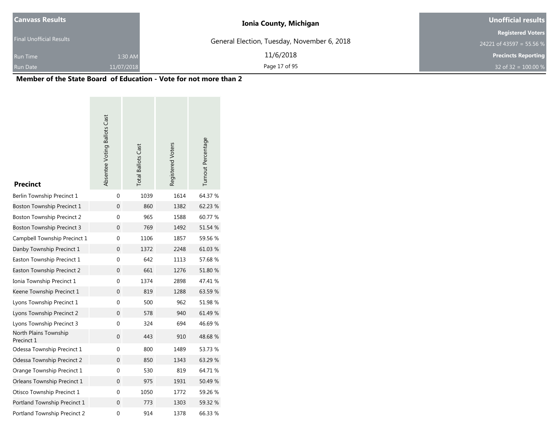| Canvass Results                 |            | <b>Ionia County, Michigan</b>               | <b>Unofficial results</b>  |  |  |
|---------------------------------|------------|---------------------------------------------|----------------------------|--|--|
|                                 |            |                                             | <b>Registered Voters</b>   |  |  |
| <b>Final Unofficial Results</b> |            | General Election, Tuesday, November 6, 2018 | 24221 of 43597 = 55.56 %   |  |  |
| <b>Run Time</b>                 | 1:30 AM    | 11/6/2018                                   | <b>Precincts Reporting</b> |  |  |
| <b>Run Date</b>                 | 11/07/2018 | Page 17 of 95                               | 32 of 32 = $100.00\%$      |  |  |

| <b>Precinct</b>                     | Absentee Voting Ballots Cast | <b>Total Ballots Cast</b> | Registered Voters | Turnout Percentage |
|-------------------------------------|------------------------------|---------------------------|-------------------|--------------------|
| Berlin Township Precinct 1          | $\mathbf{0}$                 | 1039                      | 1614              | 64.37 %            |
| Boston Township Precinct 1          | 0                            | 860                       | 1382              | 62.23 %            |
| Boston Township Precinct 2          | 0                            | 965                       | 1588              | 60.77 %            |
| Boston Township Precinct 3          | 0                            | 769                       | 1492              | 51.54 %            |
| Campbell Township Precinct 1        | 0                            | 1106                      | 1857              | 59.56 %            |
| Danby Township Precinct 1           | 0                            | 1372                      | 2248              | 61.03%             |
| Easton Township Precinct 1          | $\boldsymbol{0}$             | 642                       | 1113              | 57.68%             |
| Easton Township Precinct 2          | 0                            | 661                       | 1276              | 51.80 %            |
| Ionia Township Precinct 1           | $\boldsymbol{0}$             | 1374                      | 2898              | 47.41 %            |
| Keene Township Precinct 1           | 0                            | 819                       | 1288              | 63.59 %            |
| Lyons Township Precinct 1           | $\boldsymbol{0}$             | 500                       | 962               | 51.98%             |
| Lyons Township Precinct 2           | 0                            | 578                       | 940               | 61.49 %            |
| Lyons Township Precinct 3           | 0                            | 324                       | 694               | 46.69%             |
| North Plains Township<br>Precinct 1 | 0                            | 443                       | 910               | 48.68%             |
| Odessa Township Precinct 1          | 0                            | 800                       | 1489              | 53.73 %            |
| Odessa Township Precinct 2          | 0                            | 850                       | 1343              | 63.29 %            |
| Orange Township Precinct 1          | 0                            | 530                       | 819               | 64.71 %            |
| Orleans Township Precinct 1         | $\boldsymbol{0}$             | 975                       | 1931              | 50.49 %            |
| Otisco Township Precinct 1          | 0                            | 1050                      | 1772              | 59.26 %            |
| Portland Township Precinct 1        | $\mathbf 0$                  | 773                       | 1303              | 59.32 %            |
| Portland Township Precinct 2        | 0                            | 914                       | 1378              | 66.33 %            |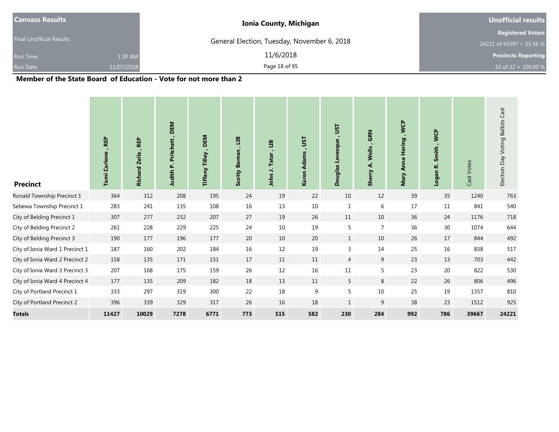| <b>Canvass Results</b>          |            | <b>Ionia County, Michigan</b>               | <b>Unofficial results</b>  |  |  |
|---------------------------------|------------|---------------------------------------------|----------------------------|--|--|
|                                 |            |                                             | <b>Registered Voters</b>   |  |  |
| <b>Final Unofficial Results</b> |            | General Election, Tuesday, November 6, 2018 | 24221 of 43597 = 55.56 %   |  |  |
| <b>Run Time</b>                 | 1:30 AM    | 11/6/2018                                   | <b>Precincts Reporting</b> |  |  |
| Run Date                        | 11/07/2018 | Page 18 of 95                               | 32 of 32 = $100.00\%$      |  |  |

| <b>Precinct</b>                 | <b>REP</b><br>Carlone<br>Tami | <b>REP</b><br><b>Zeile</b><br><b>Richard</b> | <b>DEM</b><br>Pritchett,<br>Judith P | DEM<br>Tiffany Tilley, | ED<br>$\blacksquare$<br><b>Boman</b><br>Scotty | 巴<br>Tatar<br>$\rightarrow$<br>John | JST<br>×<br><b>Karen Adams</b> | JSΤ<br>$\blacksquare$<br>Douglas Levesque | <b>GRN</b><br>Wells<br>दं<br><b>Sherry</b> | , WCP<br><b>Hering</b><br>Anne<br>Mary | <b>WCP</b><br>Smith,<br>نم<br>Logan | Cast Votes | Election Day Voting Ballots Cast |
|---------------------------------|-------------------------------|----------------------------------------------|--------------------------------------|------------------------|------------------------------------------------|-------------------------------------|--------------------------------|-------------------------------------------|--------------------------------------------|----------------------------------------|-------------------------------------|------------|----------------------------------|
| Ronald Township Precinct 1      | 364                           | 312                                          | 208                                  | 195                    | 24                                             | 19                                  | 22                             | 10                                        | 12                                         | 39                                     | 35                                  | 1240       | 763                              |
| Sebewa Township Precinct 1      | 283                           | 241                                          | 135                                  | 108                    | 16                                             | 13                                  | 10                             | $\mathbf{1}$                              | 6                                          | 17                                     | $11\,$                              | 841        | 540                              |
| City of Belding Precinct 1      | 307                           | 277                                          | 232                                  | 207                    | 27                                             | 19                                  | 26                             | 11                                        | 10                                         | 36                                     | 24                                  | 1176       | 718                              |
| City of Belding Precinct 2      | 261                           | 228                                          | 229                                  | 225                    | 24                                             | 10                                  | 19                             | 5                                         | $\overline{7}$                             | 36                                     | 30                                  | 1074       | 644                              |
| City of Belding Precinct 3      | 190                           | 177                                          | 196                                  | 177                    | 20                                             | 10                                  | 20                             | $\mathbf{1}$                              | 10                                         | 26                                     | 17                                  | 844        | 492                              |
| City of Ionia Ward 1 Precinct 1 | 187                           | 160                                          | 202                                  | 184                    | 16                                             | 12                                  | 19                             | $\overline{3}$                            | 14                                         | 25                                     | 16                                  | 838        | 517                              |
| City of Ionia Ward 2 Precinct 2 | 158                           | 135                                          | 171                                  | 151                    | 17                                             | 11                                  | 11                             | $\overline{4}$                            | 9                                          | 23                                     | 13                                  | 703        | 442                              |
| City of Ionia Ward 3 Precinct 3 | 207                           | 168                                          | 175                                  | 159                    | 26                                             | 12                                  | 16                             | 11                                        | 5                                          | 23                                     | 20                                  | 822        | 530                              |
| City of Ionia Ward 4 Precinct 4 | 177                           | 135                                          | 209                                  | 182                    | 18                                             | 13                                  | 11                             | 5                                         | 8                                          | 22                                     | 26                                  | 806        | 496                              |
| City of Portland Precinct 1     | 333                           | 297                                          | 319                                  | 300                    | 22                                             | 18                                  | 9                              | 5                                         | 10                                         | 25                                     | 19                                  | 1357       | 810                              |
| City of Portland Precinct 2     | 396                           | 339                                          | 329                                  | 317                    | 26                                             | 16                                  | 18                             | $\mathbf{1}$                              | 9                                          | 38                                     | 23                                  | 1512       | 925                              |
| <b>Totals</b>                   | 11427                         | 10029                                        | 7278                                 | 6771                   | 773                                            | 515                                 | 582                            | 230                                       | 284                                        | 992                                    | 786                                 | 39667      | 24221                            |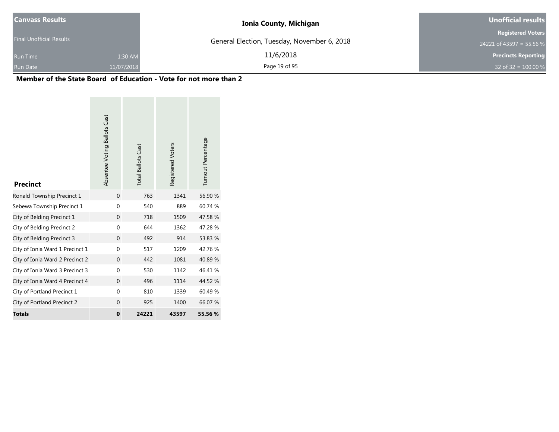| <b>Canvass Results</b>   |            | <b>Ionia County, Michigan</b>               | Unofficial results         |
|--------------------------|------------|---------------------------------------------|----------------------------|
|                          |            |                                             | <b>Registered Voters</b>   |
| Final Unofficial Results |            | General Election, Tuesday, November 6, 2018 | 24221 of 43597 = 55.56 %   |
| <b>Run Time</b>          | 1:30 AM    | 11/6/2018                                   | <b>Precincts Reporting</b> |
| Run Date                 | 11/07/2018 | Page 19 of 95                               | 32 of 32 = $100.00\%$      |

| <b>Precinct</b>                 | Absentee Voting Ballots Cast | <b>Total Ballots Cast</b> | Registered Voters | Turnout Percentage |
|---------------------------------|------------------------------|---------------------------|-------------------|--------------------|
| Ronald Township Precinct 1      | $\mathbf{0}$                 | 763                       | 1341              | 56.90 %            |
| Sebewa Township Precinct 1      | $\mathbf 0$                  | 540                       | 889               | 60.74 %            |
| City of Belding Precinct 1      | $\Omega$                     | 718                       | 1509              | 47.58 %            |
| City of Belding Precinct 2      | 0                            | 644                       | 1362              | 47.28 %            |
| City of Belding Precinct 3      | $\Omega$                     | 492                       | 914               | 53.83 %            |
| City of Ionia Ward 1 Precinct 1 | $\Omega$                     | 517                       | 1209              | 42.76%             |
| City of Ionia Ward 2 Precinct 2 | $\mathbf{0}$                 | 442                       | 1081              | 40.89%             |
| City of Ionia Ward 3 Precinct 3 | $\mathbf 0$                  | 530                       | 1142              | 46.41%             |
| City of Ionia Ward 4 Precinct 4 | $\mathbf{0}$                 | 496                       | 1114              | 44.52 %            |
| City of Portland Precinct 1     | $\mathbf 0$                  | 810                       | 1339              | 60.49%             |
| City of Portland Precinct 2     | $\Omega$                     | 925                       | 1400              | 66.07 %            |
| <b>Totals</b>                   | $\bf{0}$                     | 24221                     | 43597             | 55.56 %            |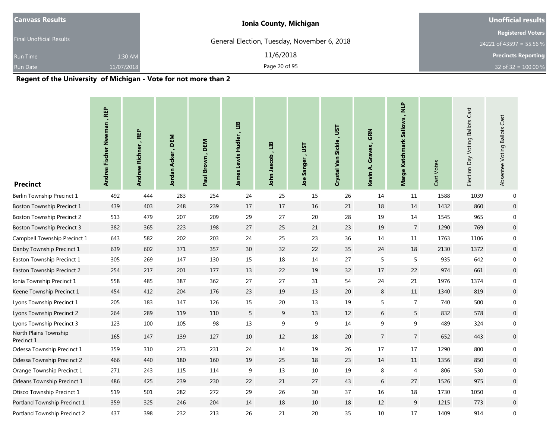| <b>Ionia County, Michigan</b> | <b>Unofficial results</b>                   |
|-------------------------------|---------------------------------------------|
|                               | <b>Registered Voters</b>                    |
|                               | 24221 of 43597 = 55.56 %                    |
| 11/6/2018<br>1:30 AM          | <b>Precincts Reporting</b>                  |
| Page 20 of 95<br>11/07/2018   | 32 of 32 = $100.00 %$                       |
|                               | General Election, Tuesday, November 6, 2018 |

| <b>Precinct</b>                     | Andrea Fischer Newman, REP | , REP<br><b>Andrew Richner</b> | DEM<br>Jordan Acker, | , DEM<br>Paul Brown | James Lewis Hudler, LIB | ari<br>John Jascob | <b>LSL</b><br>Sanger<br><b>Joe</b> | Crystal Van Sickle, UST | , GRN<br>Graves<br>Kevin A. | Marge Katchmark Sallows, NLP | Cast Votes | Election Day Voting Ballots Cast | Cast<br>Absentee Voting Ballots |
|-------------------------------------|----------------------------|--------------------------------|----------------------|---------------------|-------------------------|--------------------|------------------------------------|-------------------------|-----------------------------|------------------------------|------------|----------------------------------|---------------------------------|
| Berlin Township Precinct 1          | 492                        | 444                            | 283                  | 254                 | 24                      | 25                 | 15                                 | 26                      | 14                          | 11                           | 1588       | 1039                             | $\mathbf 0$                     |
| Boston Township Precinct 1          | 439                        | 403                            | 248                  | 239                 | $17$                    | $17$               | 16                                 | 21                      | 18                          | $14\,$                       | 1432       | 860                              | $\overline{0}$                  |
| <b>Boston Township Precinct 2</b>   | 513                        | 479                            | 207                  | 209                 | 29                      | 27                 | 20                                 | 28                      | 19                          | 14                           | 1545       | 965                              | $\overline{0}$                  |
| <b>Boston Township Precinct 3</b>   | 382                        | 365                            | 223                  | 198                 | 27                      | 25                 | 21                                 | 23                      | 19                          | $\overline{7}$               | 1290       | 769                              | $\overline{0}$                  |
| Campbell Township Precinct 1        | 643                        | 582                            | 202                  | 203                 | 24                      | 25                 | 23                                 | 36                      | 14                          | 11                           | 1763       | 1106                             | $\overline{0}$                  |
| Danby Township Precinct 1           | 639                        | 602                            | 371                  | 357                 | 30 <sup>°</sup>         | 32                 | 22                                 | 35                      | 24                          | 18                           | 2130       | 1372                             | $\boldsymbol{0}$                |
| Easton Township Precinct 1          | 305                        | 269                            | 147                  | 130                 | 15                      | $18\,$             | 14                                 | 27                      | 5                           | 5                            | 935        | 642                              | $\mathbf 0$                     |
| Easton Township Precinct 2          | 254                        | 217                            | 201                  | 177                 | 13                      | 22                 | 19                                 | 32                      | 17                          | 22                           | 974        | 661                              | $\mathbf 0$                     |
| Ionia Township Precinct 1           | 558                        | 485                            | 387                  | 362                 | 27                      | 27                 | 31                                 | 54                      | 24                          | 21                           | 1976       | 1374                             | $\overline{0}$                  |
| Keene Township Precinct 1           | 454                        | 412                            | 204                  | 176                 | 23                      | 19                 | 13                                 | 20                      | 8                           | 11                           | 1340       | 819                              | $\mathbf 0$                     |
| Lyons Township Precinct 1           | 205                        | 183                            | 147                  | 126                 | 15                      | 20                 | 13                                 | 19                      | 5                           | $\overline{7}$               | 740        | 500                              | $\mathbf 0$                     |
| Lyons Township Precinct 2           | 264                        | 289                            | 119                  | 110                 | 5                       | 9                  | 13                                 | 12                      | 6                           | 5                            | 832        | 578                              | $\overline{0}$                  |
| Lyons Township Precinct 3           | 123                        | 100                            | 105                  | 98                  | 13                      | 9                  | 9                                  | 14                      | 9                           | 9                            | 489        | 324                              | $\boldsymbol{0}$                |
| North Plains Township<br>Precinct 1 | 165                        | 147                            | 139                  | 127                 | 10                      | 12                 | 18                                 | 20                      | $\overline{7}$              | $\overline{7}$               | 652        | 443                              | $\overline{0}$                  |
| Odessa Township Precinct 1          | 359                        | 310                            | 273                  | 231                 | 24                      | 14                 | 19                                 | 26                      | 17                          | $17\,$                       | 1290       | 800                              | $\mathbf 0$                     |
| Odessa Township Precinct 2          | 466                        | 440                            | 180                  | 160                 | 19                      | 25                 | 18                                 | 23                      | 14                          | 11                           | 1356       | 850                              | $\overline{0}$                  |
| Orange Township Precinct 1          | 271                        | 243                            | 115                  | 114                 | $9\,$                   | $13\,$             | 10                                 | 19                      | $\,8\,$                     | 4                            | 806        | 530                              | $\mathbf 0$                     |
| Orleans Township Precinct 1         | 486                        | 425                            | 239                  | 230                 | 22                      | 21                 | 27                                 | 43                      | $6\,$                       | 27                           | 1526       | 975                              | $\mathbf 0$                     |
| Otisco Township Precinct 1          | 519                        | 501                            | 282                  | 272                 | 29                      | 26                 | 30                                 | 37                      | 16                          | 18                           | 1730       | 1050                             | $\mathbf 0$                     |
| Portland Township Precinct 1        | 359                        | 325                            | 246                  | 204                 | 14                      | 18                 | 10                                 | 18                      | 12                          | 9                            | 1215       | 773                              | $\mathbf 0$                     |
| Portland Township Precinct 2        | 437                        | 398                            | 232                  | 213                 | 26                      | 21                 | 20                                 | 35                      | 10                          | 17                           | 1409       | 914                              | $\mathbf 0$                     |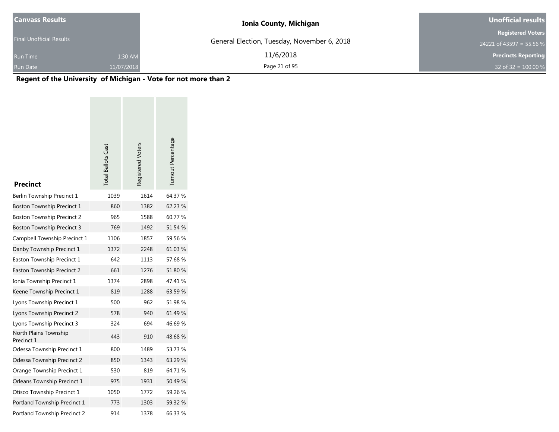| <b>Canvass Results</b>          |            | <b>Ionia County, Michigan</b>               | <b>Unofficial results</b>  |
|---------------------------------|------------|---------------------------------------------|----------------------------|
|                                 |            |                                             | <b>Registered Voters</b>   |
| <b>Final Unofficial Results</b> |            | General Election, Tuesday, November 6, 2018 | 24221 of 43597 = 55.56 %   |
| <b>Run Time</b>                 | 1:30 AM    | 11/6/2018                                   | <b>Precincts Reporting</b> |
| <b>Run Date</b>                 | 11/07/2018 | Page 21 of 95                               | 32 of 32 = $100.00\%$      |

| <b>Precinct</b>                     | <b>Total Ballots Cast</b> | Registered Voters | Turnout Percentage |
|-------------------------------------|---------------------------|-------------------|--------------------|
| Berlin Township Precinct 1          | 1039                      | 1614              | 64.37 %            |
| Boston Township Precinct 1          | 860                       | 1382              | 62.23 %            |
| Boston Township Precinct 2          | 965                       | 1588              | 60.77 %            |
| <b>Boston Township Precinct 3</b>   | 769                       | 1492              | 51.54 %            |
| Campbell Township Precinct 1        | 1106                      | 1857              | 59.56 %            |
| Danby Township Precinct 1           | 1372                      | 2248              | 61.03%             |
| Easton Township Precinct 1          | 642                       | 1113              | 57.68%             |
| Easton Township Precinct 2          | 661                       | 1276              | 51.80 %            |
| Ionia Township Precinct 1           | 1374                      | 2898              | 47.41 %            |
| Keene Township Precinct 1           | 819                       | 1288              | 63.59 %            |
| Lyons Township Precinct 1           | 500                       | 962               | 51.98 %            |
| Lyons Township Precinct 2           | 578                       | 940               | 61.49 %            |
| Lyons Township Precinct 3           | 324                       | 694               | 46.69%             |
| North Plains Township<br>Precinct 1 | 443                       | 910               | 48.68%             |
| Odessa Township Precinct 1          | 800                       | 1489              | 53.73 %            |
| Odessa Township Precinct 2          | 850                       | 1343              | 63.29 %            |
| Orange Township Precinct 1          | 530                       | 819               | 64.71%             |
| Orleans Township Precinct 1         | 975                       | 1931              | 50.49%             |
| Otisco Township Precinct 1          | 1050                      | 1772              | 59.26 %            |
| Portland Township Precinct 1        | 773                       | 1303              | 59.32 %            |
| Portland Township Precinct 2        | 914                       | 1378              | 66.33 %            |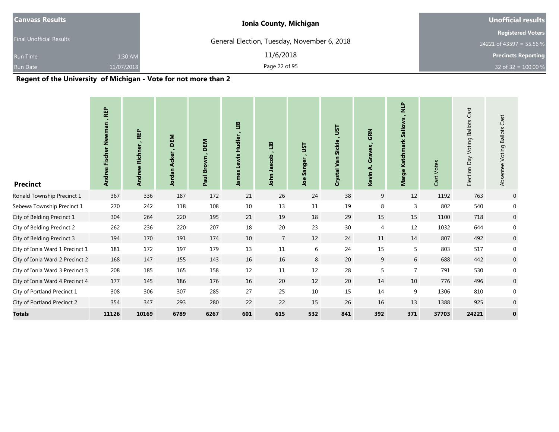| Canvass Results                 |            | <b>Ionia County, Michigan</b>               | <b>Unofficial results</b>  |
|---------------------------------|------------|---------------------------------------------|----------------------------|
|                                 |            |                                             | <b>Registered Voters</b>   |
| <b>Final Unofficial Results</b> |            | General Election, Tuesday, November 6, 2018 | 24221 of 43597 = 55.56 %   |
| <b>Run Time</b>                 | 1:30 AM    | 11/6/2018                                   | <b>Precincts Reporting</b> |
| <b>Run Date</b>                 | 11/07/2018 | Page 22 of 95                               | 32 of 32 = $100.00\%$      |

| <b>Precinct</b>                 | <b>REP</b><br>ewman<br>Ź<br><b>Fischer</b><br><b>Andrea</b> | <b>REP</b><br><b>Richner</b><br>Andrew | DEM<br><b>Acker</b><br>Jordan | DEM<br>Paul Brown | EЦ<br><b>Hudler</b><br>Lewis<br>Jame | EП<br>Jascob<br>John | JST<br>٠.<br>Sanger<br><b>go</b> | JST<br><b>Sickle</b><br>Crystal Van | <b>GRN</b><br>Graves<br>दं<br>Kevin | $\frac{p}{\mathbf{z}}$<br>Sallows<br>Katchmark<br><b>Marge</b> | Cast Votes | Cast<br>Day Voting Ballots<br>Election | Cast<br>Absentee Voting Ballots |
|---------------------------------|-------------------------------------------------------------|----------------------------------------|-------------------------------|-------------------|--------------------------------------|----------------------|----------------------------------|-------------------------------------|-------------------------------------|----------------------------------------------------------------|------------|----------------------------------------|---------------------------------|
| Ronald Township Precinct 1      | 367                                                         | 336                                    | 187                           | 172               | 21                                   | 26                   | 24                               | 38                                  | 9                                   | 12                                                             | 1192       | 763                                    | $\overline{0}$                  |
| Sebewa Township Precinct 1      | 270                                                         | 242                                    | 118                           | 108               | 10                                   | 13                   | 11                               | 19                                  | 8                                   | 3                                                              | 802        | 540                                    | $\mathbf 0$                     |
| City of Belding Precinct 1      | 304                                                         | 264                                    | 220                           | 195               | 21                                   | 19                   | 18                               | 29                                  | 15                                  | 15                                                             | 1100       | 718                                    | $\mathbf 0$                     |
| City of Belding Precinct 2      | 262                                                         | 236                                    | 220                           | 207               | 18                                   | $20\,$               | 23                               | 30                                  | 4                                   | 12                                                             | 1032       | 644                                    | 0                               |
| City of Belding Precinct 3      | 194                                                         | 170                                    | 191                           | 174               | 10                                   | $\overline{7}$       | 12                               | 24                                  | 11                                  | 14                                                             | 807        | 492                                    | $\mathbf 0$                     |
| City of Ionia Ward 1 Precinct 1 | 181                                                         | 172                                    | 197                           | 179               | 13                                   | 11                   | 6                                | 24                                  | 15                                  | 5                                                              | 803        | 517                                    | $\mathbf 0$                     |
| City of Ionia Ward 2 Precinct 2 | 168                                                         | 147                                    | 155                           | 143               | 16                                   | 16                   | 8                                | 20                                  | 9                                   | 6                                                              | 688        | 442                                    | $\mathbf 0$                     |
| City of Ionia Ward 3 Precinct 3 | 208                                                         | 185                                    | 165                           | 158               | 12                                   | 11                   | $12\,$                           | 28                                  | 5                                   | $\overline{7}$                                                 | 791        | 530                                    | 0                               |
| City of Ionia Ward 4 Precinct 4 | 177                                                         | 145                                    | 186                           | 176               | 16                                   | 20                   | 12                               | 20                                  | 14                                  | 10                                                             | 776        | 496                                    | $\pmb{0}$                       |
| City of Portland Precinct 1     | 308                                                         | 306                                    | 307                           | 285               | 27                                   | 25                   | 10                               | 15                                  | 14                                  | 9                                                              | 1306       | 810                                    | $\mathbf{0}$                    |
| City of Portland Precinct 2     | 354                                                         | 347                                    | 293                           | 280               | 22                                   | 22                   | 15                               | 26                                  | 16                                  | 13                                                             | 1388       | 925                                    | $\overline{0}$                  |
| <b>Totals</b>                   | 11126                                                       | 10169                                  | 6789                          | 6267              | 601                                  | 615                  | 532                              | 841                                 | 392                                 | 371                                                            | 37703      | 24221                                  | $\mathbf 0$                     |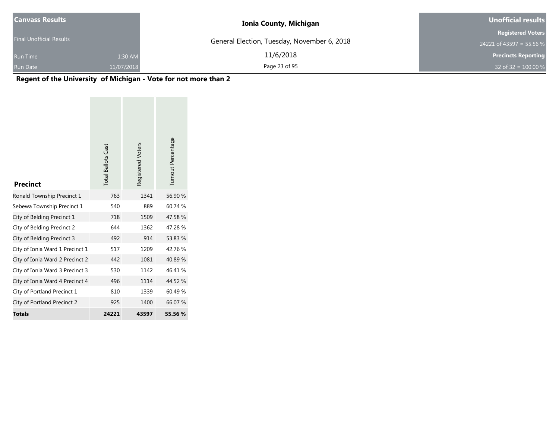| <b>Canvass Results</b>          |            | <b>Ionia County, Michigan</b>               | Unofficial results         |
|---------------------------------|------------|---------------------------------------------|----------------------------|
|                                 |            |                                             | <b>Registered Voters</b>   |
| <b>Final Unofficial Results</b> |            | General Election, Tuesday, November 6, 2018 | 24221 of 43597 = 55.56 %   |
| <b>Run Time</b>                 | 1:30 AM    | 11/6/2018                                   | <b>Precincts Reporting</b> |
| Run Date                        | 11/07/2018 | Page 23 of 95                               | 32 of 32 = $100.00\%$      |

| <b>Precinct</b>                 | <b>Total Ballots Cast</b> | Registered Voters | Turnout Percentage |
|---------------------------------|---------------------------|-------------------|--------------------|
| Ronald Township Precinct 1      | 763                       | 1341              | 56.90 %            |
| Sebewa Township Precinct 1      | 540                       | 889               | 60.74 %            |
| City of Belding Precinct 1      | 718                       | 1509              | 47.58%             |
| City of Belding Precinct 2      | 644                       | 1362              | 47.28%             |
| City of Belding Precinct 3      | 492                       | 914               | 53.83 %            |
| City of Ionia Ward 1 Precinct 1 | 517                       | 1209              | 42.76%             |
| City of Ionia Ward 2 Precinct 2 | 442                       | 1081              | 40.89%             |
| City of Ionia Ward 3 Precinct 3 | 530                       | 1142              | 46.41%             |
| City of Ionia Ward 4 Precinct 4 | 496                       | 1114              | 44.52 %            |
| City of Portland Precinct 1     | 810                       | 1339              | 60.49%             |
| City of Portland Precinct 2     | 925                       | 1400              | 66.07 %            |
| <b>Totals</b>                   | 24221                     | 43597             | 55.56 %            |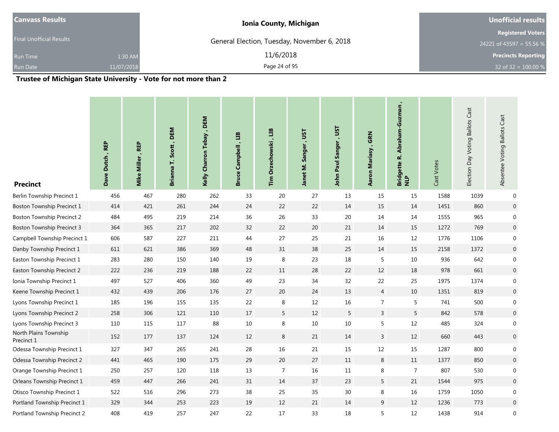|            |               | <b>Unofficial results</b>                                                    |  |  |
|------------|---------------|------------------------------------------------------------------------------|--|--|
|            |               | <b>Registered Voters</b>                                                     |  |  |
|            |               | 24221 of 43597 = 55.56 %                                                     |  |  |
| 1:30 AM    | 11/6/2018     | <b>Precincts Reporting</b>                                                   |  |  |
| 11/07/2018 | Page 24 of 95 | 32 of 32 = $100.00\%$                                                        |  |  |
|            |               | <b>Ionia County, Michigan</b><br>General Election, Tuesday, November 6, 2018 |  |  |

| <b>Precinct</b>                     | Dave Dutch, REP | <b>REP</b><br>Miller,<br>Mike | Scott, DEM<br>Brianna T. | Kelly Charron Tebay, DEM | an<br>Campbell<br>Bruce | ED<br><b>Orzechowski</b><br>Tim | LSL<br>Janet M. Sanger | John Paul Sanger , UST | <b>GRN</b><br>Aaron Mariasy | Abraham-Guzman<br>Bridgette R. .<br>NLP | Cast Votes | Election Day Voting Ballots Cast | Absentee Voting Ballots Cast |
|-------------------------------------|-----------------|-------------------------------|--------------------------|--------------------------|-------------------------|---------------------------------|------------------------|------------------------|-----------------------------|-----------------------------------------|------------|----------------------------------|------------------------------|
| Berlin Township Precinct 1          | 456             | 467                           | 280                      | 262                      | 33                      | 20                              | 27                     | 13                     | 15                          | 15                                      | 1588       | 1039                             | $\mathbf{0}$                 |
| Boston Township Precinct 1          | 414             | 421                           | 261                      | 244                      | 24                      | 22                              | 22                     | 14                     | 15                          | 14                                      | 1451       | 860                              | $\overline{0}$               |
| <b>Boston Township Precinct 2</b>   | 484             | 495                           | 219                      | 214                      | 36                      | 26                              | 33                     | 20                     | 14                          | 14                                      | 1555       | 965                              | 0                            |
| <b>Boston Township Precinct 3</b>   | 364             | 365                           | 217                      | 202                      | 32                      | 22                              | 20                     | 21                     | 14                          | 15                                      | 1272       | 769                              | $\overline{0}$               |
| Campbell Township Precinct 1        | 606             | 587                           | 227                      | 211                      | 44                      | $27$                            | 25                     | 21                     | 16                          | 12                                      | 1776       | 1106                             | 0                            |
| Danby Township Precinct 1           | 611             | 621                           | 386                      | 369                      | 48                      | $31\,$                          | 38                     | 25                     | 14                          | 15                                      | 2158       | 1372                             | $\boldsymbol{0}$             |
| Easton Township Precinct 1          | 283             | 280                           | 150                      | 140                      | 19                      | 8                               | 23                     | 18                     | 5                           | $10\,$                                  | 936        | 642                              | $\pmb{0}$                    |
| Easton Township Precinct 2          | 222             | 236                           | 219                      | 188                      | 22                      | $11\,$                          | 28                     | 22                     | 12                          | 18                                      | 978        | 661                              | $\boldsymbol{0}$             |
| Ionia Township Precinct 1           | 497             | 527                           | 406                      | 360                      | 49                      | 23                              | 34                     | 32                     | 22                          | 25                                      | 1975       | 1374                             | $\boldsymbol{0}$             |
| Keene Township Precinct 1           | 432             | 439                           | 206                      | 176                      | 27                      | 20                              | 24                     | 13                     | $\overline{4}$              | 10                                      | 1351       | 819                              | $\boldsymbol{0}$             |
| Lyons Township Precinct 1           | 185             | 196                           | 155                      | 135                      | 22                      | 8                               | 12                     | 16                     | $\overline{7}$              | 5                                       | 741        | 500                              | $\boldsymbol{0}$             |
| Lyons Township Precinct 2           | 258             | 306                           | 121                      | 110                      | 17                      | 5                               | 12                     | 5                      | 3                           | 5                                       | 842        | 578                              | $\overline{0}$               |
| Lyons Township Precinct 3           | 110             | 115                           | 117                      | 88                       | 10                      | 8                               | $10\,$                 | 10                     | 5                           | 12                                      | 485        | 324                              | $\boldsymbol{0}$             |
| North Plains Township<br>Precinct 1 | 152             | 177                           | 137                      | 124                      | 12                      | $\bf 8$                         | 21                     | 14                     | 3                           | 12                                      | 660        | 443                              | $\mathbf 0$                  |
| Odessa Township Precinct 1          | 327             | 347                           | 265                      | 241                      | 28                      | 16                              | $21\,$                 | 15                     | 12                          | 15                                      | 1287       | 800                              | $\boldsymbol{0}$             |
| Odessa Township Precinct 2          | 441             | 465                           | 190                      | 175                      | 29                      | $20\,$                          | 27                     | $11\,$                 | 8                           | 11                                      | 1377       | 850                              | $\mathbf 0$                  |
| Orange Township Precinct 1          | 250             | 257                           | 120                      | 118                      | 13                      | 7                               | 16                     | $11\,$                 | 8                           | $\overline{7}$                          | 807        | 530                              | $\pmb{0}$                    |
| Orleans Township Precinct 1         | 459             | 447                           | 266                      | 241                      | 31                      | 14                              | 37                     | 23                     | 5                           | 21                                      | 1544       | 975                              | $\boldsymbol{0}$             |
| Otisco Township Precinct 1          | 522             | 516                           | 296                      | 273                      | 38                      | 25                              | 35                     | 30                     | 8                           | 16                                      | 1759       | 1050                             | 0                            |
| Portland Township Precinct 1        | 329             | 344                           | 253                      | 223                      | 19                      | 12                              | 21                     | 14                     | 9                           | 12                                      | 1236       | 773                              | $\mathbf 0$                  |
| Portland Township Precinct 2        | 408             | 419                           | 257                      | 247                      | 22                      | 17                              | 33                     | 18                     | 5                           | 12                                      | 1438       | 914                              | $\pmb{0}$                    |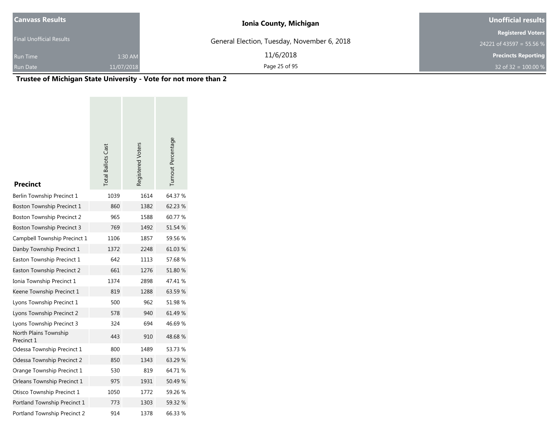| <b>Canvass Results</b>          |            | <b>Ionia County, Michigan</b>               | <b>Unofficial results</b>  |
|---------------------------------|------------|---------------------------------------------|----------------------------|
|                                 |            |                                             | <b>Registered Voters</b>   |
| <b>Final Unofficial Results</b> |            | General Election, Tuesday, November 6, 2018 | 24221 of 43597 = 55.56 %   |
| <b>Run Time</b>                 | 1:30 AM    | 11/6/2018                                   | <b>Precincts Reporting</b> |
| Run Date                        | 11/07/2018 | Page 25 of 95                               | 32 of 32 = $100.00\%$      |

| <b>Precinct</b>                     | <b>Total Ballots Cast</b> | Registered Voters | Turnout Percentage |
|-------------------------------------|---------------------------|-------------------|--------------------|
| Berlin Township Precinct 1          | 1039                      | 1614              | 64.37 %            |
| Boston Township Precinct 1          | 860                       | 1382              | 62.23 %            |
| Boston Township Precinct 2          | 965                       | 1588              | 60.77 %            |
| Boston Township Precinct 3          | 769                       | 1492              | 51.54 %            |
| Campbell Township Precinct 1        | 1106                      | 1857              | 59.56 %            |
| Danby Township Precinct 1           | 1372                      | 2248              | 61.03 %            |
| Easton Township Precinct 1          | 642                       | 1113              | 57.68%             |
| Easton Township Precinct 2          | 661                       | 1276              | 51.80 %            |
| Ionia Township Precinct 1           | 1374                      | 2898              | 47.41 %            |
| Keene Township Precinct 1           | 819                       | 1288              | 63.59%             |
| Lyons Township Precinct 1           | 500                       | 962               | 51.98 %            |
| Lyons Township Precinct 2           | 578                       | 940               | 61.49 %            |
| Lyons Township Precinct 3           | 324                       | 694               | 46.69%             |
| North Plains Township<br>Precinct 1 | 443                       | 910               | 48.68%             |
| Odessa Township Precinct 1          | 800                       | 1489              | 53.73 %            |
| Odessa Township Precinct 2          | 850                       | 1343              | 63.29 %            |
| Orange Township Precinct 1          | 530                       | 819               | 64.71 %            |
| Orleans Township Precinct 1         | 975                       | 1931              | 50.49%             |
| Otisco Township Precinct 1          | 1050                      | 1772              | 59.26 %            |
| Portland Township Precinct 1        | 773                       | 1303              | 59.32 %            |
| Portland Township Precinct 2        | 914                       | 1378              | 66.33 %            |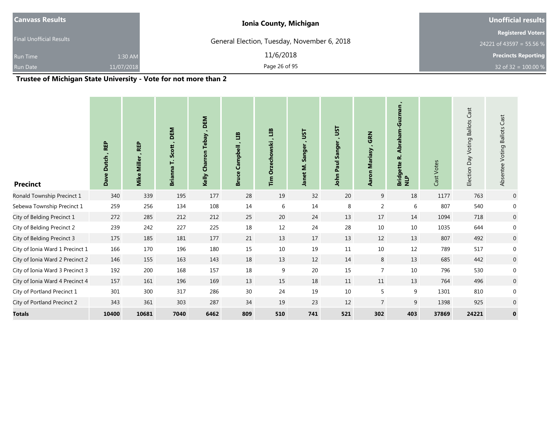|               | <b>Unofficial results</b>                                                                             |  |  |
|---------------|-------------------------------------------------------------------------------------------------------|--|--|
|               | <b>Registered Voters</b>                                                                              |  |  |
|               | 24221 of 43597 = 55.56 %                                                                              |  |  |
| 11/6/2018     | <b>Precincts Reporting</b>                                                                            |  |  |
| Page 26 of 95 | 32 of 32 = $100.00 %$                                                                                 |  |  |
|               | <b>Ionia County, Michigan</b><br>General Election, Tuesday, November 6, 2018<br>1:30 AM<br>11/07/2018 |  |  |

| <b>Precinct</b>                 | <b>REP</b><br><b>Dutch</b><br>Dave <sup>1</sup> | <b>REP</b><br><b>Miller</b><br>Mike | DEM<br>Scott,<br>Ë<br><b>Brianna</b> | DEM<br>Tebay,<br>Charron<br>Kelly | E<br>Campbell<br><b>Bruce</b> | ED<br>Orzechowski<br>$\mathbf{r}_{\mathsf{im}}$ | JSΤ<br>٠.<br>Sanger<br>Janet M. | JST<br>Sanger<br>Paul<br>John | <b>GRN</b><br><b>Mariasy</b><br>Aaron | Abraham-Guzman<br>نم<br>ette<br>Bridge<br>NLP | Cast Votes | <b>Ballots Cast</b><br>Voting<br>VeQ<br>Election | Cast<br>Absentee Voting Ballots |
|---------------------------------|-------------------------------------------------|-------------------------------------|--------------------------------------|-----------------------------------|-------------------------------|-------------------------------------------------|---------------------------------|-------------------------------|---------------------------------------|-----------------------------------------------|------------|--------------------------------------------------|---------------------------------|
| Ronald Township Precinct 1      | 340                                             | 339                                 | 195                                  | 177                               | 28                            | 19                                              | 32                              | 20                            | 9                                     | 18                                            | 1177       | 763                                              | $\overline{0}$                  |
| Sebewa Township Precinct 1      | 259                                             | 256                                 | 134                                  | 108                               | 14                            | 6                                               | 14                              | 8                             | $\overline{2}$                        | 6                                             | 807        | 540                                              | 0                               |
| City of Belding Precinct 1      | 272                                             | 285                                 | 212                                  | 212                               | 25                            | 20                                              | 24                              | 13                            | 17                                    | 14                                            | 1094       | 718                                              | $\mathbf 0$                     |
| City of Belding Precinct 2      | 239                                             | 242                                 | 227                                  | 225                               | 18                            | 12                                              | 24                              | 28                            | $10\,$                                | 10                                            | 1035       | 644                                              | 0                               |
| City of Belding Precinct 3      | 175                                             | 185                                 | 181                                  | 177                               | 21                            | 13                                              | 17                              | 13                            | 12                                    | 13                                            | 807        | 492                                              | $\overline{0}$                  |
| City of Ionia Ward 1 Precinct 1 | 166                                             | 170                                 | 196                                  | 180                               | 15                            | $10\,$                                          | 19                              | 11                            | $10\,$                                | 12                                            | 789        | 517                                              | 0                               |
| City of Ionia Ward 2 Precinct 2 | 146                                             | 155                                 | 163                                  | 143                               | 18                            | 13                                              | 12                              | 14                            | 8                                     | 13                                            | 685        | 442                                              | $\pmb{0}$                       |
| City of Ionia Ward 3 Precinct 3 | 192                                             | 200                                 | 168                                  | 157                               | 18                            | 9                                               | 20                              | 15                            | $\overline{7}$                        | 10                                            | 796        | 530                                              | 0                               |
| City of Ionia Ward 4 Precinct 4 | 157                                             | 161                                 | 196                                  | 169                               | 13                            | 15                                              | 18                              | 11                            | 11                                    | 13                                            | 764        | 496                                              | $\boldsymbol{0}$                |
| City of Portland Precinct 1     | 301                                             | 300                                 | 317                                  | 286                               | 30                            | 24                                              | 19                              | 10                            | 5                                     | 9                                             | 1301       | 810                                              | 0                               |
| City of Portland Precinct 2     | 343                                             | 361                                 | 303                                  | 287                               | 34                            | 19                                              | 23                              | 12                            | $\overline{7}$                        | 9                                             | 1398       | 925                                              | 0                               |
| <b>Totals</b>                   | 10400                                           | 10681                               | 7040                                 | 6462                              | 809                           | 510                                             | 741                             | 521                           | 302                                   | 403                                           | 37869      | 24221                                            | $\mathbf 0$                     |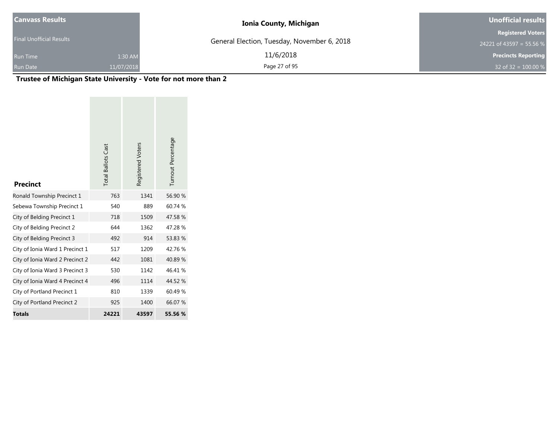| <b>Canvass Results</b>          |            | <b>Ionia County, Michigan</b>               | <b>Unofficial results</b>  |  |  |
|---------------------------------|------------|---------------------------------------------|----------------------------|--|--|
|                                 |            |                                             | <b>Registered Voters</b>   |  |  |
| <b>Final Unofficial Results</b> |            | General Election, Tuesday, November 6, 2018 | 24221 of 43597 = 55.56 %   |  |  |
| <b>Run Time</b>                 | 1:30 AM    | 11/6/2018                                   | <b>Precincts Reporting</b> |  |  |
| <b>Run Date</b>                 | 11/07/2018 | Page 27 of 95                               | 32 of 32 = $100.00\%$      |  |  |

| <b>Precinct</b>                 | <b>Total Ballots Cast</b> | Registered Voters | Turnout Percentage |
|---------------------------------|---------------------------|-------------------|--------------------|
| Ronald Township Precinct 1      | 763                       | 1341              | 56.90 %            |
| Sebewa Township Precinct 1      | 540                       | 889               | 60.74 %            |
| City of Belding Precinct 1      | 718                       | 1509              | 47.58%             |
| City of Belding Precinct 2      | 644                       | 1362              | 47.28%             |
| City of Belding Precinct 3      | 492                       | 914               | 53.83 %            |
| City of Ionia Ward 1 Precinct 1 | 517                       | 1209              | 42.76%             |
| City of Ionia Ward 2 Precinct 2 | 442                       | 1081              | 40.89%             |
| City of Ionia Ward 3 Precinct 3 | 530                       | 1142              | 46.41%             |
| City of Ionia Ward 4 Precinct 4 | 496                       | 1114              | 44.52 %            |
| City of Portland Precinct 1     | 810                       | 1339              | 60.49%             |
| City of Portland Precinct 2     | 925                       | 1400              | 66.07 %            |
| <b>Totals</b>                   | 24221                     | 43597             | 55.56 %            |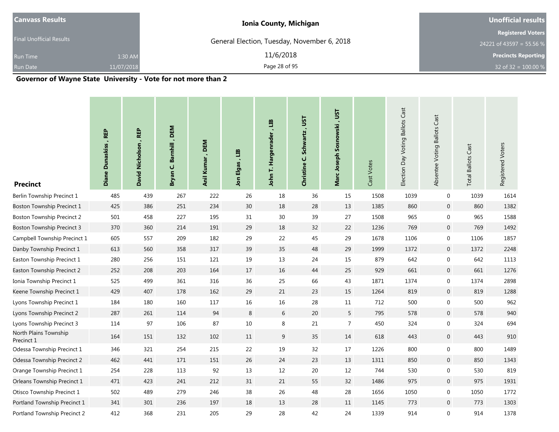| <b>Canvass Results</b>          | <b>Ionia County, Michigan</b>               | <b>Unofficial results</b>  |  |  |
|---------------------------------|---------------------------------------------|----------------------------|--|--|
|                                 |                                             | <b>Registered Voters</b>   |  |  |
| <b>Final Unofficial Results</b> | General Election, Tuesday, November 6, 2018 | 24221 of 43597 = 55.56 %   |  |  |
| 1:30 AM<br><b>Run Time</b>      | 11/6/2018                                   | <b>Precincts Reporting</b> |  |  |
| <b>Run Date</b><br>11/07/2018   | Page 28 of 95                               | 32 of 32 = $100.00\%$      |  |  |

| <b>Precinct</b>                     | Diane Dunaskiss, REP | David Nicholson, REP | , DEM<br>Barnhill<br>ن<br>Bryan | Anil Kumar, DEM | an<br>Jon Elgas | E<br>T. Hargenrader<br>John | <b>LSL</b><br>Schwartz,<br>Christine C. | Marc Joseph Sosnowski, UST | Cast Votes | Election Day Voting Ballots Cast | Absentee Voting Ballots Cast | <b>Total Ballots Cast</b> | Registered Voters |
|-------------------------------------|----------------------|----------------------|---------------------------------|-----------------|-----------------|-----------------------------|-----------------------------------------|----------------------------|------------|----------------------------------|------------------------------|---------------------------|-------------------|
| Berlin Township Precinct 1          | 485                  | 439                  | 267                             | 222             | 26              | 18                          | 36                                      | 15                         | 1508       | 1039                             | $\mathbf 0$                  | 1039                      | 1614              |
| Boston Township Precinct 1          | 425                  | 386                  | 251                             | 234             | 30              | 18                          | 28                                      | 13                         | 1385       | 860                              | $\mathbf 0$                  | 860                       | 1382              |
| <b>Boston Township Precinct 2</b>   | 501                  | 458                  | 227                             | 195             | 31              | 30                          | 39                                      | 27                         | 1508       | 965                              | $\boldsymbol{0}$             | 965                       | 1588              |
| <b>Boston Township Precinct 3</b>   | 370                  | 360                  | 214                             | 191             | 29              | $18\,$                      | 32                                      | 22                         | 1236       | 769                              | $\mathbf 0$                  | 769                       | 1492              |
| Campbell Township Precinct 1        | 605                  | 557                  | 209                             | 182             | 29              | 22                          | 45                                      | 29                         | 1678       | 1106                             | $\boldsymbol{0}$             | 1106                      | 1857              |
| Danby Township Precinct 1           | 613                  | 560                  | 358                             | 317             | 39              | 35                          | 48                                      | 29                         | 1999       | 1372                             | $\mathbf 0$                  | 1372                      | 2248              |
| Easton Township Precinct 1          | 280                  | 256                  | 151                             | 121             | 19              | 13                          | 24                                      | 15                         | 879        | 642                              | $\mathbf 0$                  | 642                       | 1113              |
| Easton Township Precinct 2          | 252                  | 208                  | 203                             | 164             | 17              | $16\,$                      | 44                                      | 25                         | 929        | 661                              | $\boldsymbol{0}$             | 661                       | 1276              |
| Ionia Township Precinct 1           | 525                  | 499                  | 361                             | 316             | 36              | 25                          | 66                                      | 43                         | 1871       | 1374                             | $\mathbf 0$                  | 1374                      | 2898              |
| Keene Township Precinct 1           | 429                  | 407                  | 178                             | 162             | 29              | 21                          | 23                                      | 15                         | 1264       | 819                              | $\boldsymbol{0}$             | 819                       | 1288              |
| Lyons Township Precinct 1           | 184                  | 180                  | 160                             | 117             | 16              | 16                          | 28                                      | 11                         | 712        | 500                              | $\mathbf 0$                  | 500                       | 962               |
| Lyons Township Precinct 2           | 287                  | 261                  | 114                             | 94              | $\,8\,$         | 6                           | 20                                      | 5                          | 795        | 578                              | $\mathbf 0$                  | 578                       | 940               |
| Lyons Township Precinct 3           | 114                  | 97                   | 106                             | 87              | 10              | 8                           | 21                                      | 7                          | 450        | 324                              | $\boldsymbol{0}$             | 324                       | 694               |
| North Plains Township<br>Precinct 1 | 164                  | 151                  | 132                             | 102             | 11              | 9                           | 35                                      | 14                         | 618        | 443                              | $\mathbf 0$                  | 443                       | 910               |
| Odessa Township Precinct 1          | 346                  | 321                  | 254                             | 215             | 22              | 19                          | 32                                      | 17                         | 1226       | 800                              | $\mathbf 0$                  | 800                       | 1489              |
| Odessa Township Precinct 2          | 462                  | 441                  | 171                             | 151             | 26              | 24                          | 23                                      | 13                         | 1311       | 850                              | $\mathbf 0$                  | 850                       | 1343              |
| Orange Township Precinct 1          | 254                  | 228                  | 113                             | 92              | 13              | 12                          | $20\,$                                  | 12                         | 744        | 530                              | $\boldsymbol{0}$             | 530                       | 819               |
| Orleans Township Precinct 1         | 471                  | 423                  | 241                             | 212             | 31              | 21                          | 55                                      | 32                         | 1486       | 975                              | $\mathbf 0$                  | 975                       | 1931              |
| Otisco Township Precinct 1          | 502                  | 489                  | 279                             | 246             | 38              | 26                          | 48                                      | 28                         | 1656       | 1050                             | $\boldsymbol{0}$             | 1050                      | 1772              |
| Portland Township Precinct 1        | 341                  | 301                  | 236                             | 197             | 18              | 13                          | 28                                      | 11                         | 1145       | 773                              | $\mathbf 0$                  | 773                       | 1303              |
| Portland Township Precinct 2        | 412                  | 368                  | 231                             | 205             | 29              | 28                          | 42                                      | 24                         | 1339       | 914                              | $\boldsymbol{0}$             | 914                       | 1378              |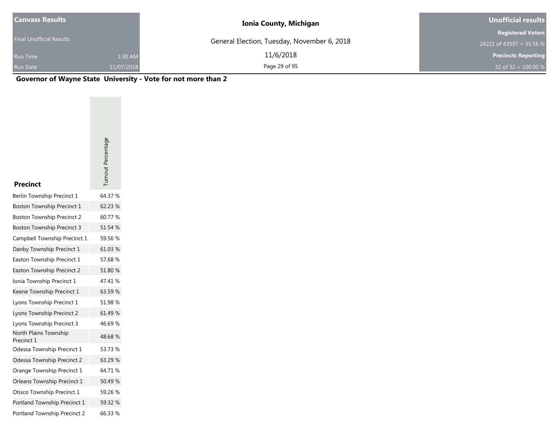| <b>Canvass Results</b>   |            | <b>Ionia County, Michigan</b>               | Unofficial results         |
|--------------------------|------------|---------------------------------------------|----------------------------|
|                          |            |                                             | <b>Registered Voters</b>   |
| Final Unofficial Results |            | General Election, Tuesday, November 6, 2018 | 24221 of 43597 = 55.56 %   |
| <b>Run Time</b>          | 1:30 AM    | 11/6/2018                                   | <b>Precincts Reporting</b> |
| <b>Run Date</b>          | 11/07/2018 | Page 29 of 95                               | 32 of 32 = $100.00\%$      |

| <b>Precinct</b>                     | Turnout Percentage |
|-------------------------------------|--------------------|
| Berlin Township Precinct 1          | 64.37 %            |
| Boston Township Precinct 1          | 62.23 %            |
| Boston Township Precinct 2          | 60.77 %            |
| <b>Boston Township Precinct 3</b>   | 51.54 %            |
| Campbell Township Precinct 1        | 59.56 %            |
| Danby Township Precinct 1           | 61.03 %            |
| Easton Township Precinct 1          | 57.68%             |
| <b>Easton Township Precinct 2</b>   | 51.80 %            |
| Ionia Township Precinct 1           | 47.41 %            |
| Keene Township Precinct 1           | 63.59%             |
| Lyons Township Precinct 1           | 51.98 %            |
| Lyons Township Precinct 2           | 61.49 %            |
| Lyons Township Precinct 3           | 46.69%             |
| North Plains Township<br>Precinct 1 | 48.68%             |
| Odessa Township Precinct 1          | 53.73 %            |
| Odessa Township Precinct 2          | 63.29 %            |
| Orange Township Precinct 1          | 64.71 %            |
| Orleans Township Precinct 1         | 50.49%             |
| Otisco Township Precinct 1          | 59.26 %            |
| Portland Township Precinct 1        | 59.32 %            |
| Portland Township Precinct 2        | 66.33 %            |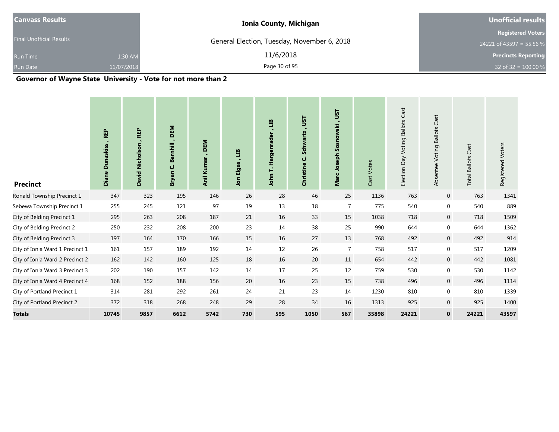|                             | <b>Unofficial results</b>                                                    |  |  |
|-----------------------------|------------------------------------------------------------------------------|--|--|
|                             | <b>Registered Voters</b>                                                     |  |  |
|                             | 24221 of 43597 = 55.56 %                                                     |  |  |
| 11/6/2018<br>1:30 AM        | <b>Precincts Reporting</b>                                                   |  |  |
| Page 30 of 95<br>11/07/2018 | 32 of 32 = $100.00\%$                                                        |  |  |
|                             | <b>Ionia County, Michigan</b><br>General Election, Tuesday, November 6, 2018 |  |  |

| <b>Precinct</b>                 | <b>REP</b><br><b>Dunaskiss</b><br>Diane I | <b>REP</b><br>David Nicholson | DEM<br>$\blacksquare$<br>Barnhill<br>ن<br>Bryan | DEM<br>٠.<br>Anil Kumar | E<br>Elgas<br>nol | ᇜ<br>Hargenrader<br>H,<br>John | JST<br>×<br><b>Schwartz</b><br>ن<br>Christine | <b>LSL</b><br>Marc Joseph Sosnowski | Cast Votes | Election Day Voting Ballots Cast | Cast<br><b>Ballots</b><br>Absentee Voting | <b>Total Ballots Cast</b> | Registered Voters |
|---------------------------------|-------------------------------------------|-------------------------------|-------------------------------------------------|-------------------------|-------------------|--------------------------------|-----------------------------------------------|-------------------------------------|------------|----------------------------------|-------------------------------------------|---------------------------|-------------------|
| Ronald Township Precinct 1      | 347                                       | 323                           | 195                                             | 146                     | 26                | 28                             | 46                                            | 25                                  | 1136       | 763                              | $\mathbf 0$                               | 763                       | 1341              |
| Sebewa Township Precinct 1      | 255                                       | 245                           | 121                                             | 97                      | 19                | 13                             | 18                                            | $\overline{7}$                      | 775        | 540                              | $\boldsymbol{0}$                          | 540                       | 889               |
| City of Belding Precinct 1      | 295                                       | 263                           | 208                                             | 187                     | 21                | 16                             | 33                                            | 15                                  | 1038       | 718                              | $\overline{0}$                            | 718                       | 1509              |
| City of Belding Precinct 2      | 250                                       | 232                           | 208                                             | 200                     | 23                | 14                             | 38                                            | 25                                  | 990        | 644                              | $\mathbf 0$                               | 644                       | 1362              |
| City of Belding Precinct 3      | 197                                       | 164                           | 170                                             | 166                     | 15                | 16                             | 27                                            | 13                                  | 768        | 492                              | $\overline{0}$                            | 492                       | 914               |
| City of Ionia Ward 1 Precinct 1 | 161                                       | 157                           | 189                                             | 192                     | 14                | 12                             | 26                                            | $\overline{7}$                      | 758        | 517                              | 0                                         | 517                       | 1209              |
| City of Ionia Ward 2 Precinct 2 | 162                                       | 142                           | 160                                             | 125                     | 18                | 16                             | 20                                            | 11                                  | 654        | 442                              | $\overline{0}$                            | 442                       | 1081              |
| City of Ionia Ward 3 Precinct 3 | 202                                       | 190                           | 157                                             | 142                     | 14                | 17                             | 25                                            | 12                                  | 759        | 530                              | 0                                         | 530                       | 1142              |
| City of Ionia Ward 4 Precinct 4 | 168                                       | 152                           | 188                                             | 156                     | 20                | 16                             | 23                                            | 15                                  | 738        | 496                              | $\mathbf 0$                               | 496                       | 1114              |
| City of Portland Precinct 1     | 314                                       | 281                           | 292                                             | 261                     | 24                | 21                             | 23                                            | 14                                  | 1230       | 810                              | $\mathbf 0$                               | 810                       | 1339              |
| City of Portland Precinct 2     | 372                                       | 318                           | 268                                             | 248                     | 29                | 28                             | 34                                            | 16                                  | 1313       | 925                              | $\mathbf 0$                               | 925                       | 1400              |
| <b>Totals</b>                   | 10745                                     | 9857                          | 6612                                            | 5742                    | 730               | 595                            | 1050                                          | 567                                 | 35898      | 24221                            | $\mathbf 0$                               | 24221                     | 43597             |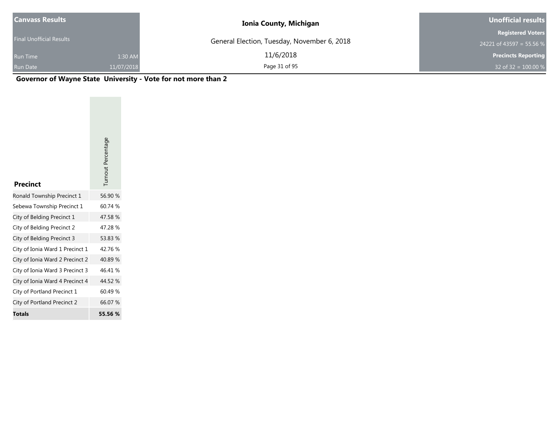| <b>Canvass Results</b>   |            | <b>Ionia County, Michigan</b>               | Unofficial results         |  |  |
|--------------------------|------------|---------------------------------------------|----------------------------|--|--|
|                          |            |                                             | <b>Registered Voters</b>   |  |  |
| Final Unofficial Results |            | General Election, Tuesday, November 6, 2018 | 24221 of 43597 = 55.56 %   |  |  |
| <b>Run Time</b>          | 1:30 AM    | 11/6/2018                                   | <b>Precincts Reporting</b> |  |  |
| <b>Run Date</b>          | 11/07/2018 | Page 31 of 95                               | 32 of 32 = $100.00\%$      |  |  |

| <b>Precinct</b>                 | Turnout Percentage |
|---------------------------------|--------------------|
| Ronald Township Precinct 1      | 56.90 %            |
| Sebewa Township Precinct 1      | 60.74 %            |
| City of Belding Precinct 1      | 47.58 %            |
| City of Belding Precinct 2      | 47.28%             |
| City of Belding Precinct 3      | 53.83 %            |
| City of Ionia Ward 1 Precinct 1 | 42.76 %            |
| City of Ionia Ward 2 Precinct 2 | 40.89 %            |
| City of Ionia Ward 3 Precinct 3 | 46.41%             |
| City of Ionia Ward 4 Precinct 4 | 44.52 %            |
| City of Portland Precinct 1     | 60.49%             |
| City of Portland Precinct 2     | 66.07 %            |
| <b>Totals</b>                   | 55.56 %            |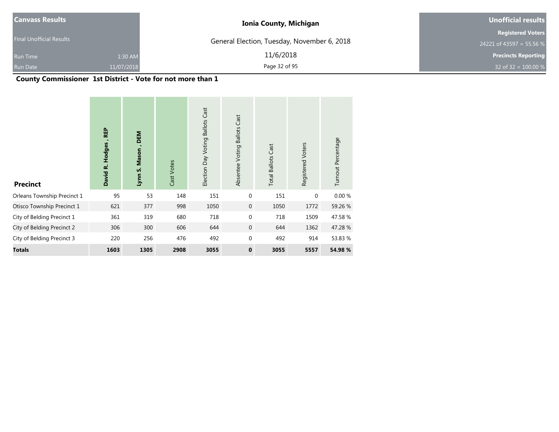| <b>Canvass Results</b>          |            | <b>Ionia County, Michigan</b>               | Unofficial results         |  |  |
|---------------------------------|------------|---------------------------------------------|----------------------------|--|--|
|                                 |            |                                             | <b>Registered Voters</b>   |  |  |
| <b>Final Unofficial Results</b> |            | General Election, Tuesday, November 6, 2018 | 24221 of 43597 = 55.56 %   |  |  |
| <b>Run Time</b>                 | 1:30 AM    | 11/6/2018                                   | <b>Precincts Reporting</b> |  |  |
| <b>Run Date</b>                 | 11/07/2018 | Page 32 of 95                               | 32 of 32 = $100.00 %$      |  |  |

## **County Commissioner 1st District - Vote for not more than 1**

| <b>Precinct</b>             | <b>REP</b><br>David R. Hodges | <b>DEM</b><br>Mason<br>Lynn S. | Cast Votes | Cast<br><b>Ballots</b><br>Election Day Voting | Cast<br><b>Ballots</b><br>Absentee Voting | <b>Total Ballots Cast</b> | Registered Voters | Turnout Percentage |
|-----------------------------|-------------------------------|--------------------------------|------------|-----------------------------------------------|-------------------------------------------|---------------------------|-------------------|--------------------|
| Orleans Township Precinct 1 | 95                            | 53                             | 148        | 151                                           | $\mathbf{0}$                              | 151                       | $\mathbf{0}$      | 0.00%              |
| Otisco Township Precinct 1  | 621                           | 377                            | 998        | 1050                                          | $\mathbf 0$                               | 1050                      | 1772              | 59.26 %            |
| City of Belding Precinct 1  | 361                           | 319                            | 680        | 718                                           | $\mathbf 0$                               | 718                       | 1509              | 47.58 %            |
| City of Belding Precinct 2  | 306                           | 300                            | 606        | 644                                           | $\mathbf{0}$                              | 644                       | 1362              | 47.28 %            |
| City of Belding Precinct 3  | 220                           | 256                            | 476        | 492                                           | $\mathbf{0}$                              | 492                       | 914               | 53.83 %            |
| <b>Totals</b>               | 1603                          | 1305                           | 2908       | 3055                                          | $\mathbf 0$                               | 3055                      | 5557              | 54.98 %            |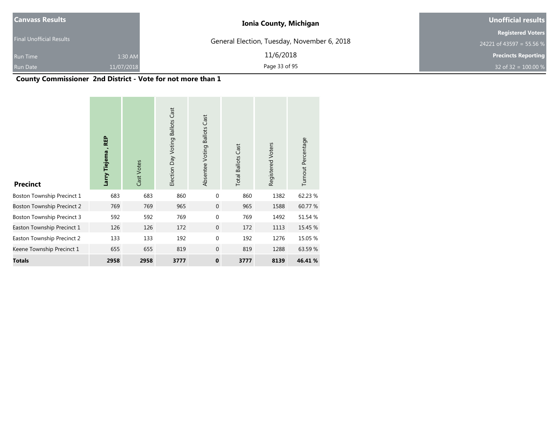| Canvass Results                 |            | <b>Ionia County, Michigan</b>               | Unofficial results         |  |  |
|---------------------------------|------------|---------------------------------------------|----------------------------|--|--|
|                                 |            |                                             | <b>Registered Voters</b>   |  |  |
| <b>Final Unofficial Results</b> |            | General Election, Tuesday, November 6, 2018 | 24221 of 43597 = 55.56 %   |  |  |
| <b>Run Time</b>                 | 1:30 AM    | 11/6/2018                                   | <b>Precincts Reporting</b> |  |  |
| <b>Run Date</b>                 | 11/07/2018 | Page 33 of 95                               | 32 of 32 = $100.00 %$      |  |  |

## **County Commissioner 2nd District - Vote for not more than 1**

| <b>Precinct</b>                   | <b>REP</b><br>Larry Tiejema | Cast Votes | Election Day Voting Ballots Cast | Absentee Voting Ballots Cast | <b>Total Ballots Cast</b> | Registered Voters | Turnout Percentage |
|-----------------------------------|-----------------------------|------------|----------------------------------|------------------------------|---------------------------|-------------------|--------------------|
| Boston Township Precinct 1        | 683                         | 683        | 860                              | $\mathbf{0}$                 | 860                       | 1382              | 62.23 %            |
| <b>Boston Township Precinct 2</b> | 769                         | 769        | 965                              | $\mathbf{0}$                 | 965                       | 1588              | 60.77 %            |
| <b>Boston Township Precinct 3</b> | 592                         | 592        | 769                              | $\Omega$                     | 769                       | 1492              | 51.54 %            |
| Easton Township Precinct 1        | 126                         | 126        | 172                              | $\overline{0}$               | 172                       | 1113              | 15.45 %            |
| Easton Township Precinct 2        | 133                         | 133        | 192                              | $\Omega$                     | 192                       | 1276              | 15.05 %            |
| Keene Township Precinct 1         | 655                         | 655        | 819                              | $\mathbf{0}$                 | 819                       | 1288              | 63.59 %            |
| <b>Totals</b>                     | 2958                        | 2958       | 3777                             | $\mathbf 0$                  | 3777                      | 8139              | 46.41%             |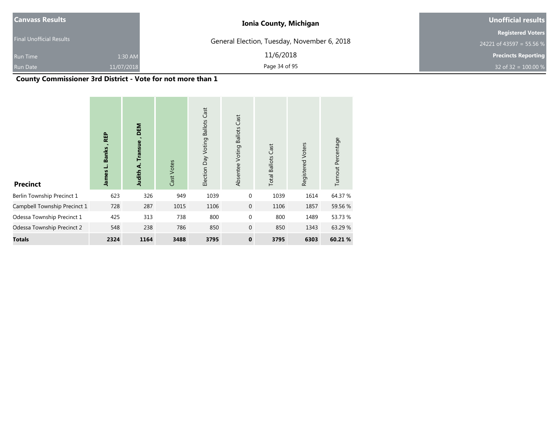| Canvass Results                 |            | <b>Ionia County, Michigan</b>               | Unofficial results         |  |  |
|---------------------------------|------------|---------------------------------------------|----------------------------|--|--|
|                                 |            |                                             | <b>Registered Voters</b>   |  |  |
| <b>Final Unofficial Results</b> |            | General Election, Tuesday, November 6, 2018 | 24221 of 43597 = 55.56 %   |  |  |
| <b>Run Time</b>                 | 1:30 AM    | 11/6/2018                                   | <b>Precincts Reporting</b> |  |  |
| <b>Run Date</b>                 | 11/07/2018 | Page 34 of 95                               | 32 of 32 = $100.00\%$      |  |  |

## **County Commissioner 3rd District - Vote for not more than 1**

| <b>Precinct</b>              | <b>REP</b><br>Banks<br>نـ<br><b>James</b> | DEM<br><b>Transue</b><br>⋖<br>Judith | Cast Votes | Cast<br><b>Ballots</b><br>Election Day Voting | Cast<br><b>Ballots</b><br>Voting<br>Absentee | <b>Total Ballots Cast</b> | Registered Voters | Turnout Percentage |
|------------------------------|-------------------------------------------|--------------------------------------|------------|-----------------------------------------------|----------------------------------------------|---------------------------|-------------------|--------------------|
| Berlin Township Precinct 1   | 623                                       | 326                                  | 949        | 1039                                          | $\mathbf{0}$                                 | 1039                      | 1614              | 64.37 %            |
| Campbell Township Precinct 1 | 728                                       | 287                                  | 1015       | 1106                                          | $\mathbf 0$                                  | 1106                      | 1857              | 59.56 %            |
| Odessa Township Precinct 1   | 425                                       | 313                                  | 738        | 800                                           | $\mathbf{0}$                                 | 800                       | 1489              | 53.73 %            |
| Odessa Township Precinct 2   | 548                                       | 238                                  | 786        | 850                                           | $\mathbf 0$                                  | 850                       | 1343              | 63.29 %            |
| Totals                       | 2324                                      | 1164                                 | 3488       | 3795                                          | $\mathbf 0$                                  | 3795                      | 6303              | 60.21 %            |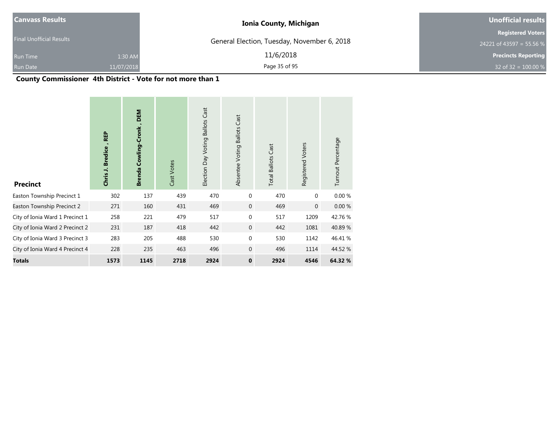| <b>Canvass Results</b>          |            | <b>Ionia County, Michigan</b>               | Unofficial results         |  |  |
|---------------------------------|------------|---------------------------------------------|----------------------------|--|--|
|                                 |            |                                             | <b>Registered Voters</b>   |  |  |
| <b>Final Unofficial Results</b> |            | General Election, Tuesday, November 6, 2018 | 24221 of 43597 = 55.56 %   |  |  |
| <b>Run Time</b>                 | 1:30 AM    | 11/6/2018                                   | <b>Precincts Reporting</b> |  |  |
| <b>Run Date</b>                 | 11/07/2018 | Page 35 of 95                               | 32 of 32 = $100.00 %$      |  |  |

## **County Commissioner 4th District - Vote for not more than 1**

| <b>Precinct</b>                 | <b>REP</b><br><b>Bredice</b><br>Chris J. | DEM<br>Cowling-Cronk<br><b>Brenda</b> | Cast Votes | Cast<br><b>Ballots</b><br>Election Day Voting | <b>Ballots Cast</b><br>Absentee Voting | <b>Total Ballots Cast</b> | Registered Voters | Turnout Percentage |
|---------------------------------|------------------------------------------|---------------------------------------|------------|-----------------------------------------------|----------------------------------------|---------------------------|-------------------|--------------------|
| Easton Township Precinct 1      | 302                                      | 137                                   | 439        | 470                                           | $\mathbf{0}$                           | 470                       | $\mathbf{0}$      | 0.00%              |
| Easton Township Precinct 2      | 271                                      | 160                                   | 431        | 469                                           | $\mathbf{0}$                           | 469                       | $\mathbf{0}$      | 0.00%              |
| City of Ionia Ward 1 Precinct 1 | 258                                      | 221                                   | 479        | 517                                           | $\mathbf 0$                            | 517                       | 1209              | 42.76%             |
| City of Ionia Ward 2 Precinct 2 | 231                                      | 187                                   | 418        | 442                                           | $\mathbf{0}$                           | 442                       | 1081              | 40.89 %            |
| City of Ionia Ward 3 Precinct 3 | 283                                      | 205                                   | 488        | 530                                           | $\mathbf{0}$                           | 530                       | 1142              | 46.41 %            |
| City of Ionia Ward 4 Precinct 4 | 228                                      | 235                                   | 463        | 496                                           | $\mathbf{0}$                           | 496                       | 1114              | 44.52 %            |
| Totals                          | 1573                                     | 1145                                  | 2718       | 2924                                          | $\mathbf 0$                            | 2924                      | 4546              | 64.32 %            |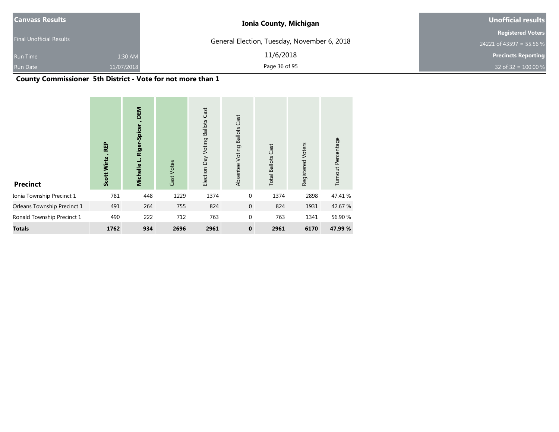| <b>Canvass Results</b>          |            | <b>Ionia County, Michigan</b>               | Unofficial results         |  |  |
|---------------------------------|------------|---------------------------------------------|----------------------------|--|--|
|                                 |            |                                             | <b>Registered Voters</b>   |  |  |
| <b>Final Unofficial Results</b> |            | General Election, Tuesday, November 6, 2018 | 24221 of 43597 = 55.56 %   |  |  |
| <b>Run Time</b>                 | 1:30 AM    | 11/6/2018                                   | <b>Precincts Reporting</b> |  |  |
| <b>Run Date</b>                 | 11/07/2018 | Page 36 of 95                               | 32 of 32 = $100.00 %$      |  |  |

## **County Commissioner 5th District - Vote for not more than 1**

| <b>Precinct</b>             | <b>REP</b><br>Wirtz<br>Scott | DEM<br>r-Spice<br>Riger<br>ب<br>Michelle | Cast Votes | Cast<br><b>Ballots</b><br>Election Day Voting | Cast<br><b>Ballots</b><br>Voting<br>Absentee | <b>Total Ballots Cast</b> | Registered Voters | Turnout Percentage |
|-----------------------------|------------------------------|------------------------------------------|------------|-----------------------------------------------|----------------------------------------------|---------------------------|-------------------|--------------------|
| Ionia Township Precinct 1   | 781                          | 448                                      | 1229       | 1374                                          | $\mathbf{0}$                                 | 1374                      | 2898              | 47.41 %            |
| Orleans Township Precinct 1 | 491                          | 264                                      | 755        | 824                                           | $\mathbf 0$                                  | 824                       | 1931              | 42.67 %            |
| Ronald Township Precinct 1  | 490                          | 222                                      | 712        | 763                                           | $\mathbf{0}$                                 | 763                       | 1341              | 56.90 %            |
| <b>Totals</b>               | 1762                         | 934                                      | 2696       | 2961                                          | $\mathbf{0}$                                 | 2961                      | 6170              | 47.99 %            |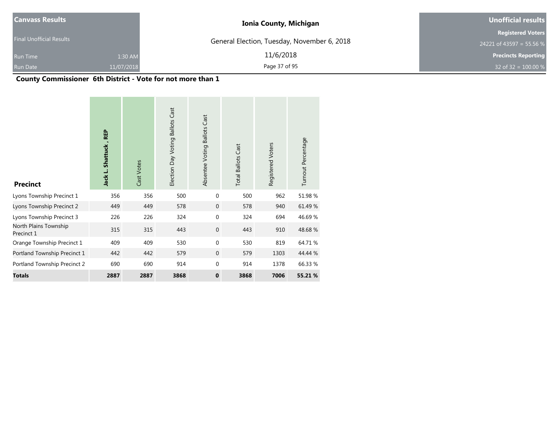| Canvass Results                 |            | <b>Ionia County, Michigan</b>               | Unofficial results         |
|---------------------------------|------------|---------------------------------------------|----------------------------|
|                                 |            |                                             | <b>Registered Voters</b>   |
| <b>Final Unofficial Results</b> |            | General Election, Tuesday, November 6, 2018 | 24221 of 43597 = 55.56 %   |
| <b>Run Time</b>                 | 1:30 AM    | 11/6/2018                                   | <b>Precincts Reporting</b> |
| <b>Run Date</b>                 | 11/07/2018 | Page 37 of 95                               | 32 of 32 = $100.00\%$      |

# **County Commissioner 6th District - Vote for not more than 1**

| <b>Precinct</b>                     | <b>REP</b><br>Jack L. Shattuck, | Cast Votes | Election Day Voting Ballots Cast | Absentee Voting Ballots Cast | <b>Total Ballots Cast</b> | Registered Voters | Turnout Percentage |
|-------------------------------------|---------------------------------|------------|----------------------------------|------------------------------|---------------------------|-------------------|--------------------|
| Lyons Township Precinct 1           | 356                             | 356        | 500                              | $\mathbf 0$                  | 500                       | 962               | 51.98%             |
| Lyons Township Precinct 2           | 449                             | 449        | 578                              | $\mathbf{0}$                 | 578                       | 940               | 61.49 %            |
| Lyons Township Precinct 3           | 226                             | 226        | 324                              | $\mathbf 0$                  | 324                       | 694               | 46.69%             |
| North Plains Township<br>Precinct 1 | 315                             | 315        | 443                              | $\mathbf 0$                  | 443                       | 910               | 48.68%             |
| Orange Township Precinct 1          | 409                             | 409        | 530                              | $\mathbf 0$                  | 530                       | 819               | 64.71%             |
| Portland Township Precinct 1        | 442                             | 442        | 579                              | $\mathbf{0}$                 | 579                       | 1303              | 44.44 %            |
| Portland Township Precinct 2        | 690                             | 690        | 914                              | $\mathbf 0$                  | 914                       | 1378              | 66.33 %            |
| <b>Totals</b>                       | 2887                            | 2887       | 3868                             | $\mathbf 0$                  | 3868                      | 7006              | 55.21 %            |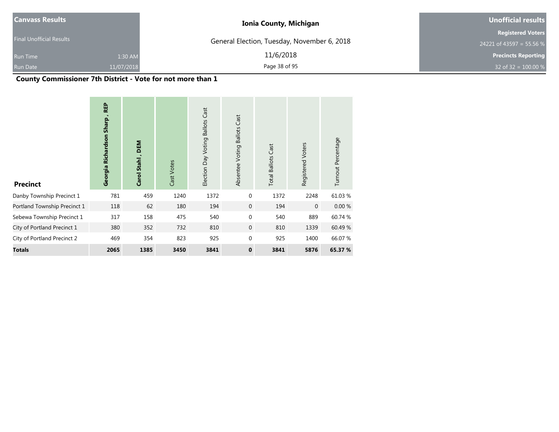| <b>Canvass Results</b>          |            | <b>Ionia County, Michigan</b>               | Unofficial results         |  |  |
|---------------------------------|------------|---------------------------------------------|----------------------------|--|--|
|                                 |            |                                             | <b>Registered Voters</b>   |  |  |
| <b>Final Unofficial Results</b> |            | General Election, Tuesday, November 6, 2018 | 24221 of 43597 = 55.56 %   |  |  |
| <b>Run Time</b>                 | 1:30 AM    | 11/6/2018                                   | <b>Precincts Reporting</b> |  |  |
| <b>Run Date</b>                 | 11/07/2018 | Page 38 of 95                               | 32 of 32 = $100.00\%$      |  |  |

# **County Commissioner 7th District - Vote for not more than 1**

| <b>Precinct</b>              | <b>REP</b><br>Georgia Richardson Sharp | DEM<br>Carol Stahl, | Cast Votes | Cast<br><b>Ballots</b><br>Election Day Voting | Cast<br><b>Ballots</b><br>Absentee Voting | <b>Total Ballots Cast</b> | Registered Voters | Turnout Percentage |
|------------------------------|----------------------------------------|---------------------|------------|-----------------------------------------------|-------------------------------------------|---------------------------|-------------------|--------------------|
| Danby Township Precinct 1    | 781                                    | 459                 | 1240       | 1372                                          | $\mathbf 0$                               | 1372                      | 2248              | 61.03 %            |
| Portland Township Precinct 1 | 118                                    | 62                  | 180        | 194                                           | 0                                         | 194                       | $\mathbf 0$       | 0.00%              |
| Sebewa Township Precinct 1   | 317                                    | 158                 | 475        | 540                                           | $\mathbf 0$                               | 540                       | 889               | 60.74 %            |
| City of Portland Precinct 1  | 380                                    | 352                 | 732        | 810                                           | $\mathbf 0$                               | 810                       | 1339              | 60.49 %            |
| City of Portland Precinct 2  | 469                                    | 354                 | 823        | 925                                           | $\mathbf 0$                               | 925                       | 1400              | 66.07 %            |
| <b>Totals</b>                | 2065                                   | 1385                | 3450       | 3841                                          | $\mathbf 0$                               | 3841                      | 5876              | 65.37 %            |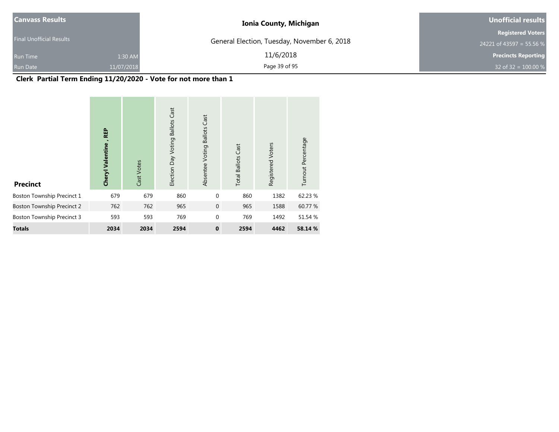| Canvass Results                 |            | <b>Ionia County, Michigan</b>               | Unofficial results         |
|---------------------------------|------------|---------------------------------------------|----------------------------|
|                                 |            |                                             | <b>Registered Voters</b>   |
| <b>Final Unofficial Results</b> |            | General Election, Tuesday, November 6, 2018 | 24221 of 43597 = 55.56 %   |
| <b>Run Time</b>                 | 1:30 AM    | 11/6/2018                                   | <b>Precincts Reporting</b> |
| <b>Run Date</b>                 | 11/07/2018 | Page 39 of 95                               | 32 of 32 = $100.00\%$      |

# **Clerk Partial Term Ending 11/20/2020 - Vote for not more than 1**

| <b>Precinct</b>                   | <b>REP</b><br><b>Cheryl Valentine</b> | Cast Votes | <b>Ballots Cast</b><br>Election Day Voting | <b>Ballots Cast</b><br>Absentee Voting | <b>Total Ballots Cast</b> | Registered Voters | Turnout Percentage |
|-----------------------------------|---------------------------------------|------------|--------------------------------------------|----------------------------------------|---------------------------|-------------------|--------------------|
| Boston Township Precinct 1        | 679                                   | 679        | 860                                        | $\mathbf{0}$                           | 860                       | 1382              | 62.23 %            |
| <b>Boston Township Precinct 2</b> | 762                                   | 762        | 965                                        | $\mathbf{0}$                           | 965                       | 1588              | 60.77 %            |
| Boston Township Precinct 3        | 593                                   | 593        | 769                                        | $\mathbf{0}$                           | 769                       | 1492              | 51.54 %            |
| <b>Totals</b>                     | 2034                                  | 2034       | 2594                                       | $\mathbf{0}$                           | 2594                      | 4462              | 58.14 %            |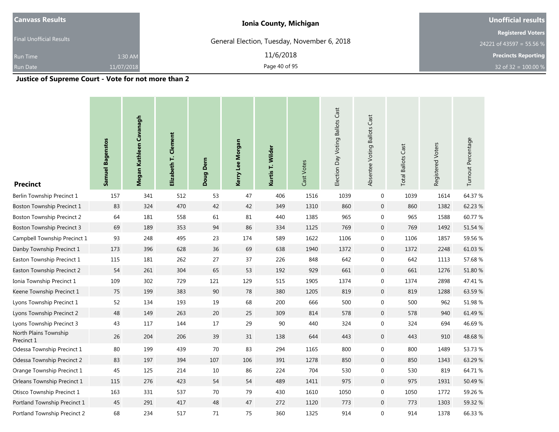| <b>Canvass Results</b>          |            | <b>Ionia County, Michigan</b>               | <b>Unofficial results</b>                            |  |  |
|---------------------------------|------------|---------------------------------------------|------------------------------------------------------|--|--|
| <b>Final Unofficial Results</b> |            | General Election, Tuesday, November 6, 2018 | <b>Registered Voters</b><br>24221 of 43597 = 55.56 % |  |  |
| <b>Run Time</b>                 | 1:30 AM    | 11/6/2018                                   | <b>Precincts Reporting</b>                           |  |  |
| <b>Run Date</b>                 | 11/07/2018 | Page 40 of 95                               | 32 of 32 = $100.00 %$                                |  |  |
|                                 |            |                                             |                                                      |  |  |

**Justice of Supreme Court - Vote for not more than 2**

| <b>Precinct</b>                     | <b>Samuel Bagenstos</b> | Megan Kathleen Cavanagh | Clement<br>Elizabeth T. | Doug Dern | Kerry Lee Morgan | Kurtis T. Wilder | Cast Votes | Election Day Voting Ballots Cast | Absentee Voting Ballots Cast | <b>Total Ballots Cast</b> | Registered Voters | Turnout Percentage |
|-------------------------------------|-------------------------|-------------------------|-------------------------|-----------|------------------|------------------|------------|----------------------------------|------------------------------|---------------------------|-------------------|--------------------|
| Berlin Township Precinct 1          | 157                     | 341                     | 512                     | 53        | 47               | 406              | 1516       | 1039                             | $\mathbf 0$                  | 1039                      | 1614              | 64.37 %            |
| Boston Township Precinct 1          | 83                      | 324                     | 470                     | 42        | 42               | 349              | 1310       | 860                              | $\mathbf 0$                  | 860                       | 1382              | 62.23 %            |
| <b>Boston Township Precinct 2</b>   | 64                      | 181                     | 558                     | 61        | 81               | 440              | 1385       | 965                              | $\boldsymbol{0}$             | 965                       | 1588              | 60.77 %            |
| <b>Boston Township Precinct 3</b>   | 69                      | 189                     | 353                     | 94        | 86               | 334              | 1125       | 769                              | $\mathbf 0$                  | 769                       | 1492              | 51.54 %            |
| Campbell Township Precinct 1        | 93                      | 248                     | 495                     | 23        | 174              | 589              | 1622       | 1106                             | $\boldsymbol{0}$             | 1106                      | 1857              | 59.56 %            |
| Danby Township Precinct 1           | 173                     | 396                     | 628                     | 36        | 69               | 638              | 1940       | 1372                             | $\mathbf 0$                  | 1372                      | 2248              | 61.03%             |
| Easton Township Precinct 1          | 115                     | 181                     | 262                     | 27        | 37               | 226              | 848        | 642                              | $\pmb{0}$                    | 642                       | 1113              | 57.68 %            |
| Easton Township Precinct 2          | 54                      | 261                     | 304                     | 65        | 53               | 192              | 929        | 661                              | $\mathbf 0$                  | 661                       | 1276              | 51.80 %            |
| Ionia Township Precinct 1           | 109                     | 302                     | 729                     | 121       | 129              | 515              | 1905       | 1374                             | $\pmb{0}$                    | 1374                      | 2898              | 47.41 %            |
| Keene Township Precinct 1           | 75                      | 199                     | 383                     | $90\,$    | 78               | 380              | 1205       | 819                              | $\mathbf 0$                  | 819                       | 1288              | 63.59%             |
| Lyons Township Precinct 1           | 52                      | 134                     | 193                     | $19\,$    | 68               | 200              | 666        | 500                              | $\pmb{0}$                    | 500                       | 962               | 51.98 %            |
| Lyons Township Precinct 2           | 48                      | 149                     | 263                     | 20        | 25               | 309              | 814        | 578                              | $\mathbf 0$                  | 578                       | 940               | 61.49 %            |
| Lyons Township Precinct 3           | 43                      | 117                     | 144                     | $17\,$    | 29               | 90               | 440        | 324                              | $\boldsymbol{0}$             | 324                       | 694               | 46.69%             |
| North Plains Township<br>Precinct 1 | 26                      | 204                     | 206                     | 39        | 31               | 138              | 644        | 443                              | $\boldsymbol{0}$             | 443                       | 910               | 48.68%             |
| Odessa Township Precinct 1          | $80\,$                  | 199                     | 439                     | 70        | 83               | 294              | 1165       | 800                              | $\mathbf 0$                  | 800                       | 1489              | 53.73 %            |
| Odessa Township Precinct 2          | 83                      | 197                     | 394                     | 107       | 106              | 391              | 1278       | 850                              | $\mathbf 0$                  | 850                       | 1343              | 63.29 %            |
| Orange Township Precinct 1          | 45                      | 125                     | 214                     | 10        | 86               | 224              | 704        | 530                              | $\boldsymbol{0}$             | 530                       | 819               | 64.71%             |
| Orleans Township Precinct 1         | 115                     | 276                     | 423                     | 54        | 54               | 489              | 1411       | 975                              | $\mathbf 0$                  | 975                       | 1931              | 50.49%             |
| Otisco Township Precinct 1          | 163                     | 331                     | 537                     | 70        | 79               | 430              | 1610       | 1050                             | $\boldsymbol{0}$             | 1050                      | 1772              | 59.26 %            |
| Portland Township Precinct 1        | 45                      | 291                     | 417                     | 48        | 47               | 272              | 1120       | 773                              | $\mathbf 0$                  | 773                       | 1303              | 59.32 %            |
| Portland Township Precinct 2        | 68                      | 234                     | 517                     | 71        | 75               | 360              | 1325       | 914                              | $\boldsymbol{0}$             | 914                       | 1378              | 66.33 %            |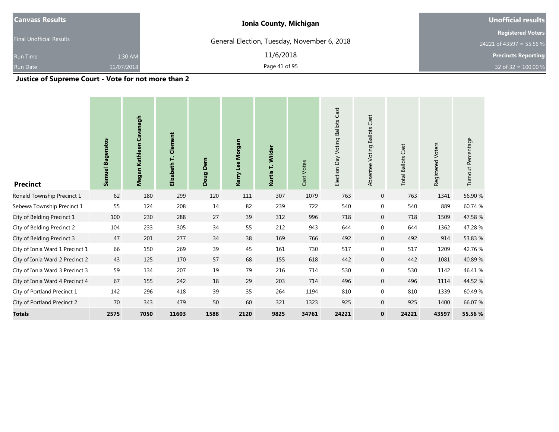| <b>Canvass Results</b>          | <b>Ionia County, Michigan</b>               | Unofficial results                                   |  |  |
|---------------------------------|---------------------------------------------|------------------------------------------------------|--|--|
| <b>Final Unofficial Results</b> | General Election, Tuesday, November 6, 2018 | <b>Registered Voters</b><br>24221 of 43597 = 55.56 % |  |  |
| 1:30 AM<br><b>Run Time</b>      | 11/6/2018                                   | <b>Precincts Reporting</b>                           |  |  |
| 11/07/2018<br><b>Run Date</b>   | Page 41 of 95                               | 32 of 32 = $100.00 %$                                |  |  |

**Justice of Supreme Court - Vote for not more than 2**

| <b>Precinct</b>                 | <b>Samuel Bagenstos</b> | Kathleen Cavanagh<br>Megan | Clement<br>Elizabeth T. | Dem<br>Doug | Kerry Lee Morgan | Kurtis T. Wilder | Cast Votes | Cast<br>Election Day Voting Ballots | Cast<br>Absentee Voting Ballots | Cast<br><b>Total Ballots</b> | Registered Voters | Turnout Percentage |
|---------------------------------|-------------------------|----------------------------|-------------------------|-------------|------------------|------------------|------------|-------------------------------------|---------------------------------|------------------------------|-------------------|--------------------|
| Ronald Township Precinct 1      | 62                      | 180                        | 299                     | 120         | 111              | 307              | 1079       | 763                                 | $\mathbf 0$                     | 763                          | 1341              | 56.90 %            |
| Sebewa Township Precinct 1      | 55                      | 124                        | 208                     | 14          | 82               | 239              | 722        | 540                                 | $\boldsymbol{0}$                | 540                          | 889               | 60.74 %            |
| City of Belding Precinct 1      | 100                     | 230                        | 288                     | 27          | 39               | 312              | 996        | 718                                 | $\mathbf 0$                     | 718                          | 1509              | 47.58 %            |
| City of Belding Precinct 2      | 104                     | 233                        | 305                     | 34          | 55               | 212              | 943        | 644                                 | $\boldsymbol{0}$                | 644                          | 1362              | 47.28%             |
| City of Belding Precinct 3      | 47                      | 201                        | 277                     | 34          | 38               | 169              | 766        | 492                                 | $\mathbf{0}$                    | 492                          | 914               | 53.83 %            |
| City of Ionia Ward 1 Precinct 1 | 66                      | 150                        | 269                     | 39          | 45               | 161              | 730        | 517                                 | $\mathbf 0$                     | 517                          | 1209              | 42.76%             |
| City of Ionia Ward 2 Precinct 2 | 43                      | 125                        | 170                     | 57          | 68               | 155              | 618        | 442                                 | $\mathbf 0$                     | 442                          | 1081              | 40.89%             |
| City of Ionia Ward 3 Precinct 3 | 59                      | 134                        | 207                     | 19          | 79               | 216              | 714        | 530                                 | 0                               | 530                          | 1142              | 46.41 %            |
| City of Ionia Ward 4 Precinct 4 | 67                      | 155                        | 242                     | 18          | 29               | 203              | 714        | 496                                 | $\mathbf 0$                     | 496                          | 1114              | 44.52 %            |
| City of Portland Precinct 1     | 142                     | 296                        | 418                     | 39          | 35               | 264              | 1194       | 810                                 | 0                               | 810                          | 1339              | 60.49%             |
| City of Portland Precinct 2     | 70                      | 343                        | 479                     | 50          | 60               | 321              | 1323       | 925                                 | $\boldsymbol{0}$                | 925                          | 1400              | 66.07 %            |
| <b>Totals</b>                   | 2575                    | 7050                       | 11603                   | 1588        | 2120             | 9825             | 34761      | 24221                               | $\mathbf 0$                     | 24221                        | 43597             | 55.56 %            |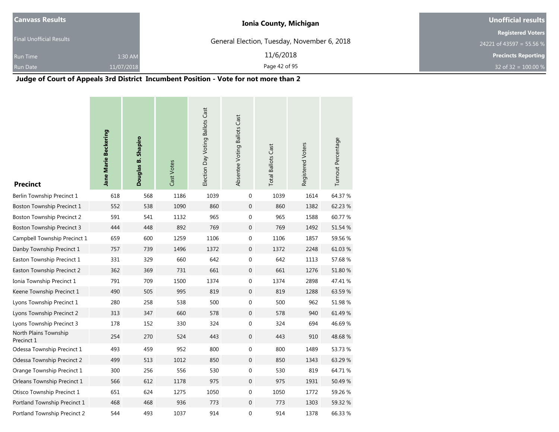| Canvass Results                 |            | <b>Ionia County, Michigan</b>               | Unofficial results         |  |  |
|---------------------------------|------------|---------------------------------------------|----------------------------|--|--|
|                                 |            |                                             | <b>Registered Voters</b>   |  |  |
| <b>Final Unofficial Results</b> |            | General Election, Tuesday, November 6, 2018 | 24221 of 43597 = 55.56 %   |  |  |
| <b>Run Time</b>                 | 1:30 AM    | 11/6/2018                                   | <b>Precincts Reporting</b> |  |  |
| <b>Run Date</b>                 | 11/07/2018 | Page 42 of 95                               | 32 of 32 = $100.00 %$      |  |  |

# **Judge of Court of Appeals 3rd District Incumbent Position - Vote for not more than 2**

| <b>Precinct</b>                     | Jane Marie Beckering | Douglas B. Shapiro | Cast Votes | Election Day Voting Ballots Cast | Absentee Voting Ballots Cast | <b>Total Ballots Cast</b> | Registered Voters | Turnout Percentage |
|-------------------------------------|----------------------|--------------------|------------|----------------------------------|------------------------------|---------------------------|-------------------|--------------------|
| Berlin Township Precinct 1          | 618                  | 568                | 1186       | 1039                             | 0                            | 1039                      | 1614              | 64.37 %            |
| Boston Township Precinct 1          | 552                  | 538                | 1090       | 860                              | $\pmb{0}$                    | 860                       | 1382              | 62.23 %            |
| <b>Boston Township Precinct 2</b>   | 591                  | 541                | 1132       | 965                              | 0                            | 965                       | 1588              | 60.77 %            |
| <b>Boston Township Precinct 3</b>   | 444                  | 448                | 892        | 769                              | $\mathbf 0$                  | 769                       | 1492              | 51.54 %            |
| Campbell Township Precinct 1        | 659                  | 600                | 1259       | 1106                             | 0                            | 1106                      | 1857              | 59.56 %            |
| Danby Township Precinct 1           | 757                  | 739                | 1496       | 1372                             | $\boldsymbol{0}$             | 1372                      | 2248              | 61.03%             |
| Easton Township Precinct 1          | 331                  | 329                | 660        | 642                              | 0                            | 642                       | 1113              | 57.68%             |
| Easton Township Precinct 2          | 362                  | 369                | 731        | 661                              | $\mathbf 0$                  | 661                       | 1276              | 51.80 %            |
| Ionia Township Precinct 1           | 791                  | 709                | 1500       | 1374                             | 0                            | 1374                      | 2898              | 47.41 %            |
| Keene Township Precinct 1           | 490                  | 505                | 995        | 819                              | $\boldsymbol{0}$             | 819                       | 1288              | 63.59%             |
| Lyons Township Precinct 1           | 280                  | 258                | 538        | 500                              | 0                            | 500                       | 962               | 51.98 %            |
| Lyons Township Precinct 2           | 313                  | 347                | 660        | 578                              | $\mathbf 0$                  | 578                       | 940               | 61.49 %            |
| Lyons Township Precinct 3           | 178                  | 152                | 330        | 324                              | $\mathbf 0$                  | 324                       | 694               | 46.69%             |
| North Plains Township<br>Precinct 1 | 254                  | 270                | 524        | 443                              | 0                            | 443                       | 910               | 48.68%             |
| Odessa Township Precinct 1          | 493                  | 459                | 952        | 800                              | 0                            | 800                       | 1489              | 53.73 %            |
| Odessa Township Precinct 2          | 499                  | 513                | 1012       | 850                              | $\boldsymbol{0}$             | 850                       | 1343              | 63.29 %            |
| Orange Township Precinct 1          | 300                  | 256                | 556        | 530                              | $\boldsymbol{0}$             | 530                       | 819               | 64.71 %            |
| Orleans Township Precinct 1         | 566                  | 612                | 1178       | 975                              | $\boldsymbol{0}$             | 975                       | 1931              | 50.49 %            |
| Otisco Township Precinct 1          | 651                  | 624                | 1275       | 1050                             | 0                            | 1050                      | 1772              | 59.26 %            |
| Portland Township Precinct 1        | 468                  | 468                | 936        | 773                              | $\mathbf 0$                  | 773                       | 1303              | 59.32 %            |
| Portland Township Precinct 2        | 544                  | 493                | 1037       | 914                              | 0                            | 914                       | 1378              | 66.33 %            |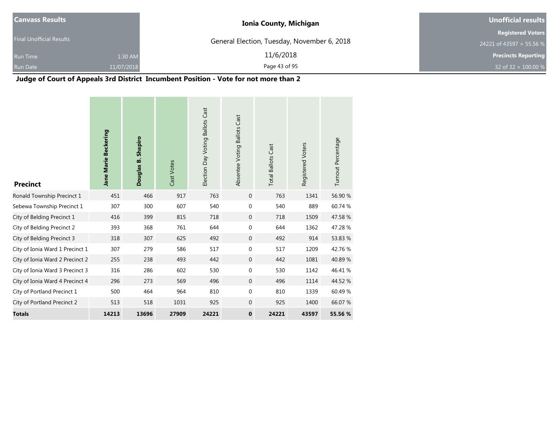| Canvass Results                 |            | <b>Ionia County, Michigan</b>               | Unofficial results         |  |
|---------------------------------|------------|---------------------------------------------|----------------------------|--|
|                                 |            |                                             | <b>Registered Voters</b>   |  |
| <b>Final Unofficial Results</b> |            | General Election, Tuesday, November 6, 2018 | 24221 of 43597 = 55.56 %   |  |
| <b>Run Time</b>                 | 1:30 AM    | 11/6/2018                                   | <b>Precincts Reporting</b> |  |
| <b>Run Date</b>                 | 11/07/2018 | Page 43 of 95                               | 32 of 32 = $100.00 %$      |  |

**Judge of Court of Appeals 3rd District Incumbent Position - Vote for not more than 2**

and the

| <b>Precinct</b>                 | Jane Marie Beckering | Shapiro<br>Douglas B. | Cast Votes | Election Day Voting Ballots Cast | Absentee Voting Ballots Cast | <b>Total Ballots Cast</b> | Registered Voters | Turnout Percentage |
|---------------------------------|----------------------|-----------------------|------------|----------------------------------|------------------------------|---------------------------|-------------------|--------------------|
| Ronald Township Precinct 1      | 451                  | 466                   | 917        | 763                              | $\mathbf 0$                  | 763                       | 1341              | 56.90 %            |
| Sebewa Township Precinct 1      | 307                  | 300                   | 607        | 540                              | 0                            | 540                       | 889               | 60.74 %            |
| City of Belding Precinct 1      | 416                  | 399                   | 815        | 718                              | $\mathbf{0}$                 | 718                       | 1509              | 47.58 %            |
| City of Belding Precinct 2      | 393                  | 368                   | 761        | 644                              | $\mathbf 0$                  | 644                       | 1362              | 47.28 %            |
| City of Belding Precinct 3      | 318                  | 307                   | 625        | 492                              | $\mathbf{0}$                 | 492                       | 914               | 53.83 %            |
| City of Ionia Ward 1 Precinct 1 | 307                  | 279                   | 586        | 517                              | $\mathbf 0$                  | 517                       | 1209              | 42.76%             |
| City of Ionia Ward 2 Precinct 2 | 255                  | 238                   | 493        | 442                              | $\mathbf{0}$                 | 442                       | 1081              | 40.89%             |
| City of Ionia Ward 3 Precinct 3 | 316                  | 286                   | 602        | 530                              | $\mathbf{0}$                 | 530                       | 1142              | 46.41%             |
| City of Ionia Ward 4 Precinct 4 | 296                  | 273                   | 569        | 496                              | $\mathbf{0}$                 | 496                       | 1114              | 44.52 %            |
| City of Portland Precinct 1     | 500                  | 464                   | 964        | 810                              | 0                            | 810                       | 1339              | 60.49%             |
| City of Portland Precinct 2     | 513                  | 518                   | 1031       | 925                              | $\mathbf{0}$                 | 925                       | 1400              | 66.07 %            |
| <b>Totals</b>                   | 14213                | 13696                 | 27909      | 24221                            | $\mathbf 0$                  | 24221                     | 43597             | 55.56 %            |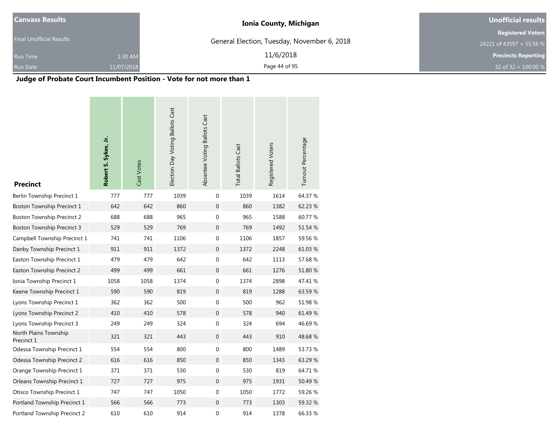| <b>Canvass Results</b>          | <b>Ionia County, Michigan</b>               | Unofficial results         |  |
|---------------------------------|---------------------------------------------|----------------------------|--|
| <b>Final Unofficial Results</b> |                                             | <b>Registered Voters</b>   |  |
|                                 | General Election, Tuesday, November 6, 2018 | 24221 of 43597 = 55.56 %   |  |
| <b>Run Time</b>                 | 11/6/2018<br>1:30 AM                        | <b>Precincts Reporting</b> |  |
| 11/07/2018<br><b>Run Date</b>   | Page 44 of 95                               | 32 of 32 = $100.00\%$      |  |

# **Judge of Probate Court Incumbent Position - Vote for not more than 1**

| <b>Precinct</b>                     | Robert S. Sykes, Jr. | Cast Votes | Election Day Voting Ballots Cast | Absentee Voting Ballots Cast | <b>Total Ballots Cast</b> | Registered Voters | Turnout Percentage |
|-------------------------------------|----------------------|------------|----------------------------------|------------------------------|---------------------------|-------------------|--------------------|
| Berlin Township Precinct 1          | 777                  | 777        | 1039                             | $\mathbf 0$                  | 1039                      | 1614              | 64.37 %            |
| <b>Boston Township Precinct 1</b>   | 642                  | 642        | 860                              | $\mathbf{0}$                 | 860                       | 1382              | 62.23 %            |
| <b>Boston Township Precinct 2</b>   | 688                  | 688        | 965                              | 0                            | 965                       | 1588              | 60.77%             |
| <b>Boston Township Precinct 3</b>   | 529                  | 529        | 769                              | $\mathbf{0}$                 | 769                       | 1492              | 51.54 %            |
| Campbell Township Precinct 1        | 741                  | 741        | 1106                             | $\boldsymbol{0}$             | 1106                      | 1857              | 59.56 %            |
| Danby Township Precinct 1           | 911                  | 911        | 1372                             | $\mathbf 0$                  | 1372                      | 2248              | 61.03%             |
| Easton Township Precinct 1          | 479                  | 479        | 642                              | $\boldsymbol{0}$             | 642                       | 1113              | 57.68%             |
| Easton Township Precinct 2          | 499                  | 499        | 661                              | $\boldsymbol{0}$             | 661                       | 1276              | 51.80 %            |
| Ionia Township Precinct 1           | 1058                 | 1058       | 1374                             | $\boldsymbol{0}$             | 1374                      | 2898              | 47.41 %            |
| Keene Township Precinct 1           | 590                  | 590        | 819                              | $\mathbf{0}$                 | 819                       | 1288              | 63.59%             |
| Lyons Township Precinct 1           | 362                  | 362        | 500                              | $\boldsymbol{0}$             | 500                       | 962               | 51.98 %            |
| Lyons Township Precinct 2           | 410                  | 410        | 578                              | $\boldsymbol{0}$             | 578                       | 940               | 61.49 %            |
| Lyons Township Precinct 3           | 249                  | 249        | 324                              | $\boldsymbol{0}$             | 324                       | 694               | 46.69%             |
| North Plains Township<br>Precinct 1 | 321                  | 321        | 443                              | $\mathbf 0$                  | 443                       | 910               | 48.68%             |
| Odessa Township Precinct 1          | 554                  | 554        | 800                              | $\boldsymbol{0}$             | 800                       | 1489              | 53.73 %            |
| Odessa Township Precinct 2          | 616                  | 616        | 850                              | $\overline{0}$               | 850                       | 1343              | 63.29 %            |
| Orange Township Precinct 1          | 371                  | 371        | 530                              | 0                            | 530                       | 819               | 64.71%             |
| Orleans Township Precinct 1         | 727                  | 727        | 975                              | $\boldsymbol{0}$             | 975                       | 1931              | 50.49%             |
| Otisco Township Precinct 1          | 747                  | 747        | 1050                             | $\mathbf 0$                  | 1050                      | 1772              | 59.26 %            |
| Portland Township Precinct 1        | 566                  | 566        | 773                              | $\overline{0}$               | 773                       | 1303              | 59.32 %            |
| Portland Township Precinct 2        | 610                  | 610        | 914                              | 0                            | 914                       | 1378              | 66.33 %            |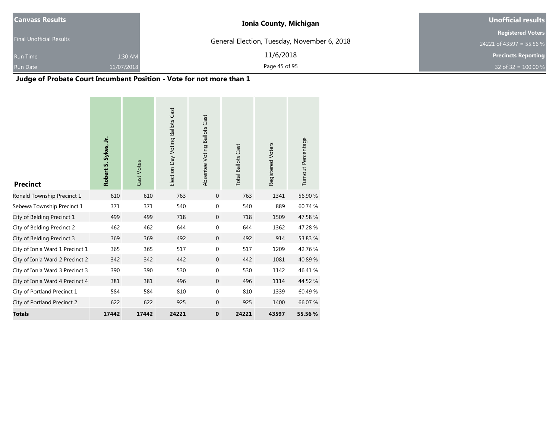| <b>Canvass Results</b>          |            | <b>Ionia County, Michigan</b>               | <b>Unofficial results</b>  |  |
|---------------------------------|------------|---------------------------------------------|----------------------------|--|
|                                 |            |                                             | <b>Registered Voters</b>   |  |
| <b>Final Unofficial Results</b> |            | General Election, Tuesday, November 6, 2018 | 24221 of 43597 = 55.56 %   |  |
| <b>Run Time</b>                 | 1:30 AM    | 11/6/2018                                   | <b>Precincts Reporting</b> |  |
| <b>Run Date</b>                 | 11/07/2018 | Page 45 of 95                               | 32 of 32 = $100.00\%$      |  |

# **Judge of Probate Court Incumbent Position - Vote for not more than 1**

| <b>Precinct</b>                 | Robert S. Sykes, Jr. | Cast Votes | Election Day Voting Ballots Cast | Absentee Voting Ballots Cast | <b>Total Ballots Cast</b> | Registered Voters | Turnout Percentage |
|---------------------------------|----------------------|------------|----------------------------------|------------------------------|---------------------------|-------------------|--------------------|
| Ronald Township Precinct 1      | 610                  | 610        | 763                              | $\mathbf{0}$                 | 763                       | 1341              | 56.90 %            |
| Sebewa Township Precinct 1      | 371                  | 371        | 540                              | $\mathbf{0}$                 | 540                       | 889               | 60.74 %            |
| City of Belding Precinct 1      | 499                  | 499        | 718                              | $\mathbf{0}$                 | 718                       | 1509              | 47.58 %            |
| City of Belding Precinct 2      | 462                  | 462        | 644                              | $\mathbf 0$                  | 644                       | 1362              | 47.28%             |
| City of Belding Precinct 3      | 369                  | 369        | 492                              | $\mathbf{0}$                 | 492                       | 914               | 53.83 %            |
| City of Ionia Ward 1 Precinct 1 | 365                  | 365        | 517                              | $\mathbf 0$                  | 517                       | 1209              | 42.76 %            |
| City of Ionia Ward 2 Precinct 2 | 342                  | 342        | 442                              | $\mathbf{0}$                 | 442                       | 1081              | 40.89%             |
| City of Ionia Ward 3 Precinct 3 | 390                  | 390        | 530                              | $\mathbf{0}$                 | 530                       | 1142              | 46.41%             |
| City of Ionia Ward 4 Precinct 4 | 381                  | 381        | 496                              | $\mathbf 0$                  | 496                       | 1114              | 44.52 %            |
| City of Portland Precinct 1     | 584                  | 584        | 810                              | $\mathbf{0}$                 | 810                       | 1339              | 60.49%             |
| City of Portland Precinct 2     | 622                  | 622        | 925                              | $\mathbf{0}$                 | 925                       | 1400              | 66.07 %            |
| <b>Totals</b>                   | 17442                | 17442      | 24221                            | $\mathbf 0$                  | 24221                     | 43597             | 55.56 %            |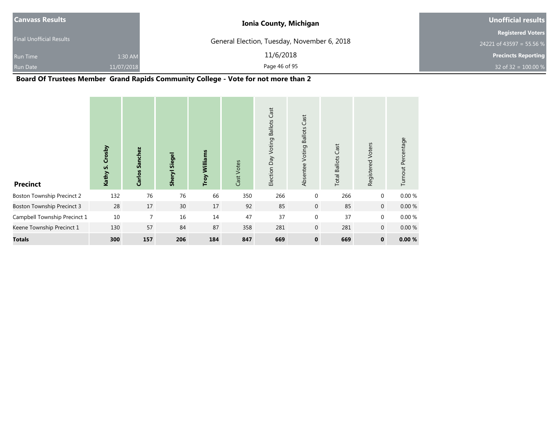| <b>Canvass Results</b>   |            | <b>Ionia County, Michigan</b>               | Unofficial results         |
|--------------------------|------------|---------------------------------------------|----------------------------|
|                          |            |                                             | <b>Registered Voters</b>   |
| Final Unofficial Results |            | General Election, Tuesday, November 6, 2018 | 24221 of 43597 = 55.56 %   |
| <b>Run Time</b>          | 1:30 AM    | 11/6/2018                                   | <b>Precincts Reporting</b> |
| <b>Run Date</b>          | 11/07/2018 | Page 46 of 95                               | 32 of 32 = $100.00 %$      |

**Board Of Trustees Member Grand Rapids Community College - Vote for not more than 2**

| <b>Precinct</b>                   | Crosby<br>Kathy S. | Sanchez<br>Carlos | <b>Sheryl Siegel</b> | Williams<br>Troy | Cast Votes | Cast<br><b>Ballots</b><br>Voting<br>Election Day | Cast<br><b>Ballots</b><br>Voting<br>Absentee | <b>Total Ballots Cast</b> | Registered Voters | Turnout Percentage |
|-----------------------------------|--------------------|-------------------|----------------------|------------------|------------|--------------------------------------------------|----------------------------------------------|---------------------------|-------------------|--------------------|
| <b>Boston Township Precinct 2</b> | 132                | 76                | 76                   | 66               | 350        | 266                                              | $\mathbf 0$                                  | 266                       | $\mathbf 0$       | 0.00 %             |
| <b>Boston Township Precinct 3</b> | 28                 | 17                | 30                   | 17               | 92         | 85                                               | $\mathbf 0$                                  | 85                        | $\overline{0}$    | 0.00%              |
| Campbell Township Precinct 1      | 10                 | $\overline{7}$    | 16                   | 14               | 47         | 37                                               | $\mathbf 0$                                  | 37                        | $\mathbf{0}$      | 0.00 %             |
| Keene Township Precinct 1         | 130                | 57                | 84                   | 87               | 358        | 281                                              | $\mathbf 0$                                  | 281                       | $\overline{0}$    | 0.00%              |
| <b>Totals</b>                     | 300                | 157               | 206                  | 184              | 847        | 669                                              | $\mathbf 0$                                  | 669                       | $\mathbf 0$       | 0.00%              |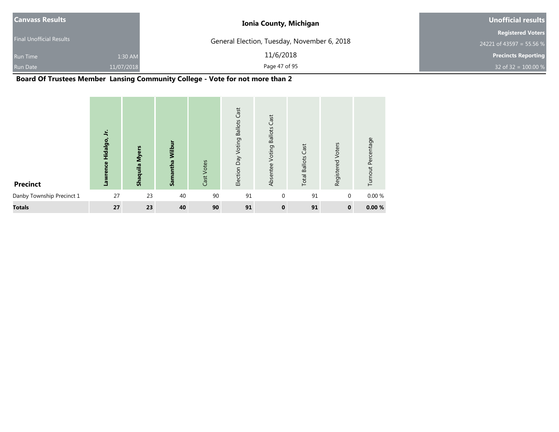| Canvass Results                 |            | <b>Ionia County, Michigan</b>               | Unofficial results         |
|---------------------------------|------------|---------------------------------------------|----------------------------|
|                                 |            |                                             | <b>Registered Voters</b>   |
| <b>Final Unofficial Results</b> |            | General Election, Tuesday, November 6, 2018 | 24221 of 43597 = 55.56 %   |
| <b>Run Time</b>                 | 1:30 AM    | 11/6/2018                                   | <b>Precincts Reporting</b> |
| <b>Run Date</b>                 | 11/07/2018 | Page 47 of 95                               | 32 of 32 = $100.00 %$      |

# **Board Of Trustees Member Lansing Community College - Vote for not more than 2**

| <b>Precinct</b>           | 5<br>Hidalgo,<br>Lawrence | <b>Myers</b><br>Shaquila | Wilbı<br>Samantha | Cast Votes | Cast<br><b>Ballots</b><br>Voting<br>Election Day | Cast<br><b>Ballots</b><br>Voting<br>Absentee | <b>Total Ballots Cast</b> | Voters<br>Registered | Turnout Percentage |
|---------------------------|---------------------------|--------------------------|-------------------|------------|--------------------------------------------------|----------------------------------------------|---------------------------|----------------------|--------------------|
| Danby Township Precinct 1 | 27                        | 23                       | 40                | 90         | 91                                               | $\mathbf{0}$                                 | 91                        | $\mathbf{0}$         | 0.00%              |
| <b>Totals</b>             | 27                        | 23                       | 40                | 90         | 91                                               | $\mathbf 0$                                  | 91                        | $\mathbf 0$          | 0.00%              |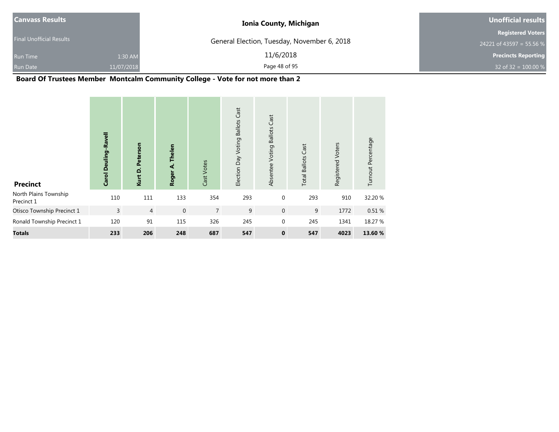| <b>Canvass Results</b>          |            | <b>Ionia County, Michigan</b>               | Unofficial results         |
|---------------------------------|------------|---------------------------------------------|----------------------------|
|                                 |            |                                             | <b>Registered Voters</b>   |
| <b>Final Unofficial Results</b> |            | General Election, Tuesday, November 6, 2018 | 24221 of 43597 = 55.56 %   |
| <b>Run Time</b>                 | 1:30 AM    | 11/6/2018                                   | <b>Precincts Reporting</b> |
| Run Date                        | 11/07/2018 | Page 48 of 95                               | 32 of 32 = $100.00 %$      |

**Board Of Trustees Member Montcalm Community College - Vote for not more than 2**

| <b>Precinct</b>                     | Carol Deuling-Ravell | Peterson<br>Kurt D. | Thelen<br>दं<br>Roger | Cast Votes     | Cast<br><b>Ballots</b><br>Election Day Voting | Cast<br><b>Ballots</b><br>Voting<br>Absentee | <b>Total Ballots Cast</b> | Registered Voters | Turnout Percentage |
|-------------------------------------|----------------------|---------------------|-----------------------|----------------|-----------------------------------------------|----------------------------------------------|---------------------------|-------------------|--------------------|
| North Plains Township<br>Precinct 1 | 110                  | 111                 | 133                   | 354            | 293                                           | $\boldsymbol{0}$                             | 293                       | 910               | 32.20 %            |
| Otisco Township Precinct 1          | $\overline{3}$       | $\overline{4}$      | $\overline{0}$        | $\overline{7}$ | 9                                             | $\mathbf{0}$                                 | 9                         | 1772              | 0.51%              |
| Ronald Township Precinct 1          | 120                  | 91                  | 115                   | 326            | 245                                           | $\boldsymbol{0}$                             | 245                       | 1341              | 18.27 %            |
| <b>Totals</b>                       | 233                  | 206                 | 248                   | 687            | 547                                           | $\mathbf 0$                                  | 547                       | 4023              | 13.60 %            |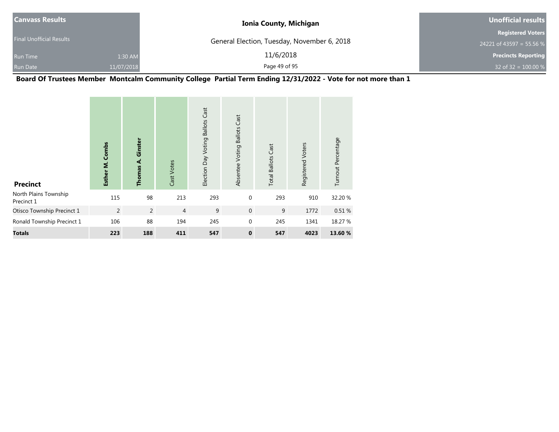| <b>Canvass Results</b>          |            | <b>Ionia County, Michigan</b>               | Unofficial results         |
|---------------------------------|------------|---------------------------------------------|----------------------------|
|                                 |            |                                             | <b>Registered Voters</b>   |
| <b>Final Unofficial Results</b> |            | General Election, Tuesday, November 6, 2018 | 24221 of 43597 = 55.56 %   |
| <b>Run Time</b>                 | 1:30 AM    | 11/6/2018                                   | <b>Precincts Reporting</b> |
| <b>Run Date</b>                 | 11/07/2018 | Page 49 of 95                               | 32 of 32 = $100.00 %$      |

**Board Of Trustees Member Montcalm Community College Partial Term Ending 12/31/2022 - Vote for not more than 1**

| <b>Precinct</b>                     | Esther M. Combs | Ginster<br>Thomas A. | Cast Votes     | Election Day Voting Ballots Cast | Cast<br><b>Ballots</b><br>Absentee Voting | <b>Total Ballots Cast</b> | Registered Voters | Turnout Percentage |
|-------------------------------------|-----------------|----------------------|----------------|----------------------------------|-------------------------------------------|---------------------------|-------------------|--------------------|
| North Plains Township<br>Precinct 1 | 115             | 98                   | 213            | 293                              | $\mathbf 0$                               | 293                       | 910               | 32.20 %            |
| Otisco Township Precinct 1          | $\overline{2}$  | $\overline{2}$       | $\overline{4}$ | 9                                | $\mathbf{0}$                              | 9                         | 1772              | 0.51%              |
| Ronald Township Precinct 1          | 106             | 88                   | 194            | 245                              | $\mathbf{0}$                              | 245                       | 1341              | 18.27 %            |
| <b>Totals</b>                       | 223             | 188                  | 411            | 547                              | $\mathbf 0$                               | 547                       | 4023              | 13.60 %            |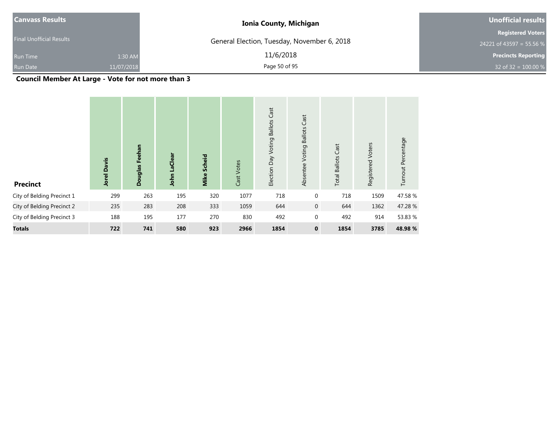| <b>Canvass Results</b>          |            | <b>Ionia County, Michigan</b>               | Unofficial results         |
|---------------------------------|------------|---------------------------------------------|----------------------------|
|                                 |            |                                             | <b>Registered Voters</b>   |
| <b>Final Unofficial Results</b> |            | General Election, Tuesday, November 6, 2018 | 24221 of 43597 = 55.56 %   |
| <b>Run Time</b>                 | 1:30 AM    | 11/6/2018                                   | <b>Precincts Reporting</b> |
| <b>Run Date</b>                 | 11/07/2018 | Page 50 of 95                               | 32 of 32 = $100.00\%$      |

**Council Member At Large - Vote for not more than 3**

| <b>Precinct</b>            | <b>Jorel Davis</b> | Feehan<br>Douglas | LaClear<br>John | Scheid<br>Mike | Cast Votes | Cast<br><b>Ballots</b><br>Voting<br>Election Day | Cast<br><b>Ballots</b><br>Voting<br>Absentee | Cast<br><b>Total Ballots</b> | Voters<br>Registered | Turnout Percentage |
|----------------------------|--------------------|-------------------|-----------------|----------------|------------|--------------------------------------------------|----------------------------------------------|------------------------------|----------------------|--------------------|
| City of Belding Precinct 1 | 299                | 263               | 195             | 320            | 1077       | 718                                              | $\boldsymbol{0}$                             | 718                          | 1509                 | 47.58 %            |
| City of Belding Precinct 2 | 235                | 283               | 208             | 333            | 1059       | 644                                              | $\overline{0}$                               | 644                          | 1362                 | 47.28 %            |
| City of Belding Precinct 3 | 188                | 195               | 177             | 270            | 830        | 492                                              | $\boldsymbol{0}$                             | 492                          | 914                  | 53.83 %            |
| <b>Totals</b>              | 722                | 741               | 580             | 923            | 2966       | 1854                                             | $\mathbf 0$                                  | 1854                         | 3785                 | 48.98 %            |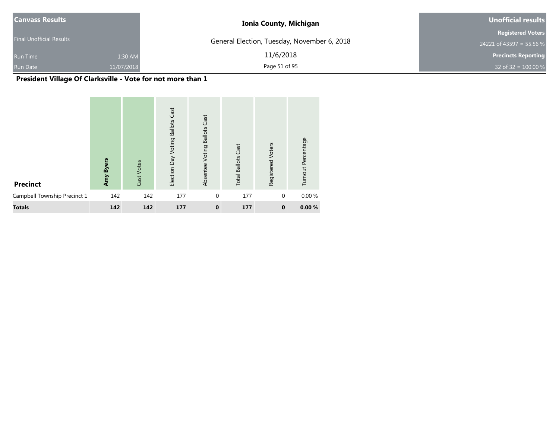| <b>Canvass Results</b>          |            | <b>Ionia County, Michigan</b>               | Unofficial results         |
|---------------------------------|------------|---------------------------------------------|----------------------------|
|                                 |            |                                             | <b>Registered Voters</b>   |
| <b>Final Unofficial Results</b> |            | General Election, Tuesday, November 6, 2018 | 24221 of 43597 = 55.56 %   |
| <b>Run Time</b>                 | 1:30 AM    | 11/6/2018                                   | <b>Precincts Reporting</b> |
| <b>Run Date</b>                 | 11/07/2018 | Page 51 of 95                               | 32 of 32 = $100.00\%$      |

# **President Village Of Clarksville - Vote for not more than 1**

| <b>Precinct</b>              | Amy Byers | Cast Votes | Cast<br>Election Day Voting Ballots | <b>Ballots Cast</b><br>Absentee Voting | <b>Total Ballots Cast</b> | Registered Voters | Turnout Percentage |
|------------------------------|-----------|------------|-------------------------------------|----------------------------------------|---------------------------|-------------------|--------------------|
| Campbell Township Precinct 1 | 142       | 142        | 177                                 | $\mathbf{0}$                           | 177                       | $\mathbf{0}$      | 0.00%              |
| <b>Totals</b>                | 142       | 142        | 177                                 | $\mathbf{0}$                           | 177                       | $\mathbf{0}$      | 0.00%              |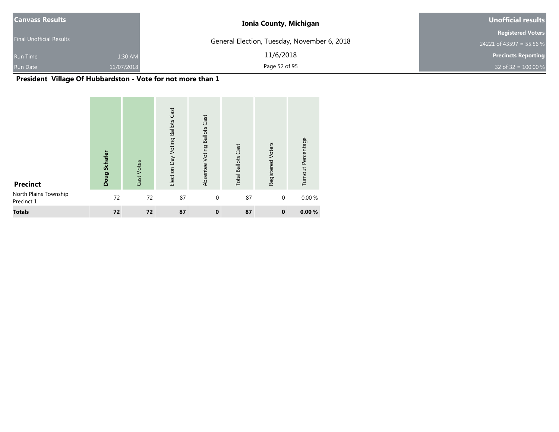| Canvass Results                 |            | <b>Ionia County, Michigan</b>               | Unofficial results         |
|---------------------------------|------------|---------------------------------------------|----------------------------|
|                                 |            |                                             | <b>Registered Voters</b>   |
| <b>Final Unofficial Results</b> |            | General Election, Tuesday, November 6, 2018 | 24221 of 43597 = 55.56 %   |
| <b>Run Time</b>                 | 1:30 AM    | 11/6/2018                                   | <b>Precincts Reporting</b> |
| <b>Run Date</b>                 | 11/07/2018 | Page 52 of 95                               | 32 of 32 = $100.00 %$      |

# **President Village Of Hubbardston - Vote for not more than 1**

| <b>Precinct</b>                     | Doug Schafer | Cast Votes | Cast<br>Election Day Voting Ballots | Absentee Voting Ballots Cast | <b>Total Ballots Cast</b> | Registered Voters | Turnout Percentage |
|-------------------------------------|--------------|------------|-------------------------------------|------------------------------|---------------------------|-------------------|--------------------|
| North Plains Township<br>Precinct 1 | 72           | 72         | 87                                  | $\mathbf 0$                  | 87                        | $\mathbf 0$       | 0.00 %             |
| <b>Totals</b>                       | 72           | 72         | 87                                  | $\mathbf 0$                  | 87                        | $\mathbf 0$       | 0.00%              |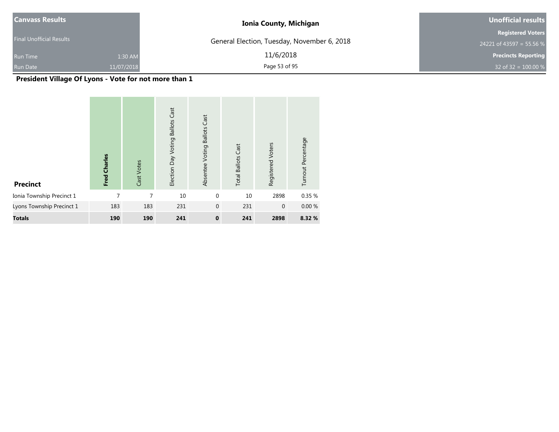| <b>Canvass Results</b>          |            | <b>Ionia County, Michigan</b>               | Unofficial results         |
|---------------------------------|------------|---------------------------------------------|----------------------------|
| <b>Final Unofficial Results</b> |            |                                             | <b>Registered Voters</b>   |
|                                 |            | General Election, Tuesday, November 6, 2018 | 24221 of 43597 = 55.56 %   |
| <b>Run Time</b>                 | 1:30 AM    | 11/6/2018                                   | <b>Precincts Reporting</b> |
| <b>Run Date</b>                 | 11/07/2018 | Page 53 of 95                               | 32 of 32 = $100.00 %$      |

**President Village Of Lyons - Vote for not more than 1**

| <b>Precinct</b>           | Fred Charles | Cast Votes | <b>Ballots Cast</b><br>Election Day Voting | <b>Ballots Cast</b><br>Absentee Voting | <b>Total Ballots Cast</b> | Registered Voters | Turnout Percentage |
|---------------------------|--------------|------------|--------------------------------------------|----------------------------------------|---------------------------|-------------------|--------------------|
| Ionia Township Precinct 1 | 7            | 7          | 10                                         | $\mathbf 0$                            | 10                        | 2898              | 0.35 %             |
| Lyons Township Precinct 1 | 183          | 183        | 231                                        | $\mathbf 0$                            | 231                       | $\mathbf 0$       | 0.00%              |
| <b>Totals</b>             | 190          | 190        | 241                                        | $\mathbf 0$                            | 241                       | 2898              | 8.32 %             |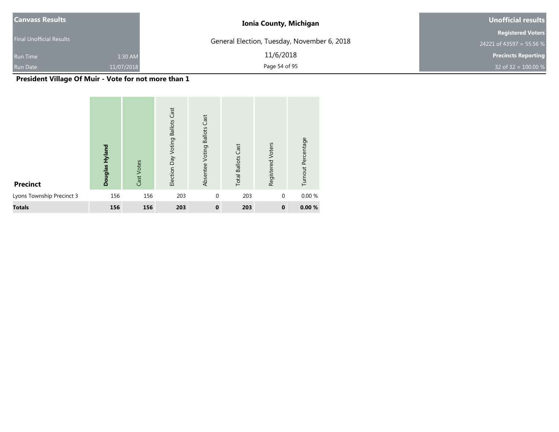| <b>Canvass Results</b>          |            | <b>Ionia County, Michigan</b>               | Unofficial results         |
|---------------------------------|------------|---------------------------------------------|----------------------------|
|                                 |            |                                             | <b>Registered Voters</b>   |
| <b>Final Unofficial Results</b> |            | General Election, Tuesday, November 6, 2018 | 24221 of 43597 = 55.56 %   |
| <b>Run Time</b>                 | 1:30 AM    | 11/6/2018                                   | <b>Precincts Reporting</b> |
| <b>Run Date</b>                 | 11/07/2018 | Page 54 of 95                               | 32 of 32 = $100.00 %$      |

**President Village Of Muir - Vote for not more than 1**

| <b>Precinct</b>           | Douglas Hyland | Cast Votes | Cast<br>Election Day Voting Ballots | <b>Ballots Cast</b><br>Absentee Voting | <b>Total Ballots Cast</b> | Registered Voters | Turnout Percentage |
|---------------------------|----------------|------------|-------------------------------------|----------------------------------------|---------------------------|-------------------|--------------------|
| Lyons Township Precinct 3 | 156            | 156        | 203                                 | $\mathbf{0}$                           | 203                       | $\mathbf{0}$      | 0.00%              |
| <b>Totals</b>             | 156            | 156        | 203                                 | $\mathbf 0$                            | 203                       | $\mathbf 0$       | 0.00%              |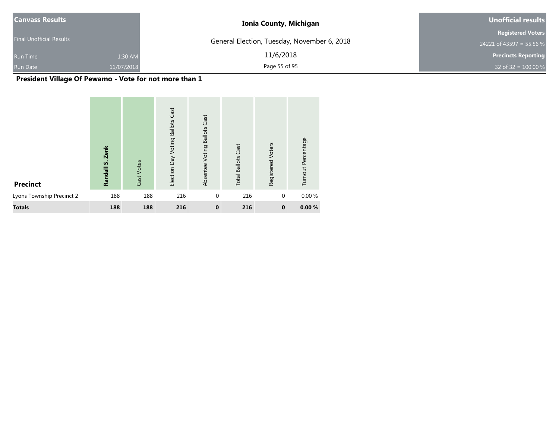| <b>Canvass Results</b>          |            | <b>Ionia County, Michigan</b>               | Unofficial results         |  |  |
|---------------------------------|------------|---------------------------------------------|----------------------------|--|--|
|                                 |            |                                             | <b>Registered Voters</b>   |  |  |
| <b>Final Unofficial Results</b> |            | General Election, Tuesday, November 6, 2018 | 24221 of 43597 = 55.56 %   |  |  |
| <b>Run Time</b>                 | 1:30 AM    | 11/6/2018                                   | <b>Precincts Reporting</b> |  |  |
| <b>Run Date</b>                 | 11/07/2018 | Page 55 of 95                               | 32 of 32 = $100.00 %$      |  |  |

**President Village Of Pewamo - Vote for not more than 1**

| <b>Precinct</b>           | <b>Zenk</b><br>Randall S. | Cast Votes | Cast<br><b>Ballots</b><br>Election Day Voting | Cast<br><b>Ballots</b><br>Absentee Voting | <b>Total Ballots Cast</b> | Registered Voters | Turnout Percentage |
|---------------------------|---------------------------|------------|-----------------------------------------------|-------------------------------------------|---------------------------|-------------------|--------------------|
| Lyons Township Precinct 2 | 188                       | 188        | 216                                           | $\mathbf{0}$                              | 216                       | $\mathbf{0}$      | 0.00%              |
| <b>Totals</b>             | 188                       | 188        | 216                                           | $\mathbf{0}$                              | 216                       | $\mathbf 0$       | 0.00%              |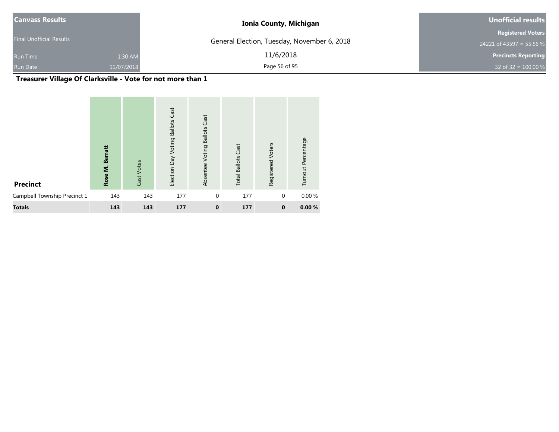| <b>Canvass Results</b>          |            | <b>Ionia County, Michigan</b>               | Unofficial results         |  |  |
|---------------------------------|------------|---------------------------------------------|----------------------------|--|--|
|                                 |            |                                             | <b>Registered Voters</b>   |  |  |
| <b>Final Unofficial Results</b> |            | General Election, Tuesday, November 6, 2018 | 24221 of 43597 = 55.56 %   |  |  |
| <b>Run Time</b>                 | 1:30 AM    | 11/6/2018                                   | <b>Precincts Reporting</b> |  |  |
| <b>Run Date</b>                 | 11/07/2018 | Page 56 of 95                               | 32 of 32 = $100.00 %$      |  |  |

# **Treasurer Village Of Clarksville - Vote for not more than 1**

| <b>Precinct</b>              | <b>Barratt</b><br>Rose M. | Cast Votes | Cast<br><b>Ballots</b><br>Election Day Voting | <b>Ballots Cast</b><br>Absentee Voting | <b>Total Ballots Cast</b> | Registered Voters | Turnout Percentage |
|------------------------------|---------------------------|------------|-----------------------------------------------|----------------------------------------|---------------------------|-------------------|--------------------|
| Campbell Township Precinct 1 | 143                       | 143        | 177                                           | $\mathbf{0}$                           | 177                       | $\mathbf{0}$      | 0.00%              |
| <b>Totals</b>                | 143                       | 143        | 177                                           | $\mathbf 0$                            | 177                       | $\mathbf{0}$      | 0.00%              |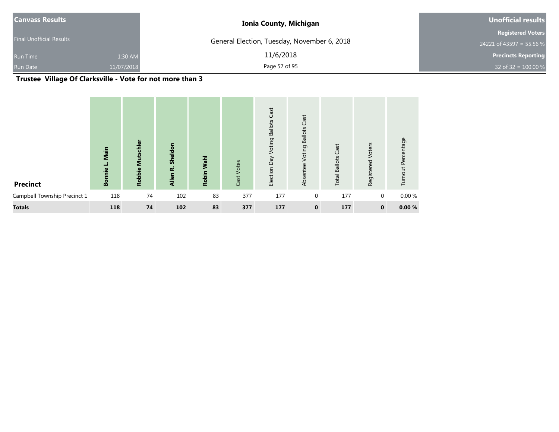| <b>Canvass Results</b>          |            | <b>Ionia County, Michigan</b>               | Unofficial results         |  |  |
|---------------------------------|------------|---------------------------------------------|----------------------------|--|--|
|                                 |            |                                             | <b>Registered Voters</b>   |  |  |
| <b>Final Unofficial Results</b> |            | General Election, Tuesday, November 6, 2018 | 24221 of 43597 = 55.56 %   |  |  |
| <b>Run Time</b>                 | 1:30 AM    | 11/6/2018                                   | <b>Precincts Reporting</b> |  |  |
| <b>Run Date</b>                 | 11/07/2018 | Page 57 of 95                               | 32 of 32 = $100.00\%$      |  |  |

# **Trustee Village Of Clarksville - Vote for not more than 3**

| <b>Precinct</b>              | Main<br>ᆜ<br><b>Bonnie</b> | <b>Mutschler</b><br><b>Robbie</b> | Sheldon<br>نم<br>Allen | Wahl<br>Robin | Cast Votes | Cast<br><b>Ballots</b><br>Voting<br>Election Day | Cast<br><b>Ballots</b><br>Voting<br>Absentee | Cast<br><b>Total Ballots</b> | Voters<br>Registered | Turnout Percentage |
|------------------------------|----------------------------|-----------------------------------|------------------------|---------------|------------|--------------------------------------------------|----------------------------------------------|------------------------------|----------------------|--------------------|
| Campbell Township Precinct 1 | 118                        | 74                                | 102                    | 83            | 377        | 177                                              | $\mathbf 0$                                  | 177                          | $\mathbf 0$          | 0.00%              |
| <b>Totals</b>                | 118                        | 74                                | 102                    | 83            | 377        | 177                                              | $\mathbf 0$                                  | 177                          | $\mathbf 0$          | 0.00%              |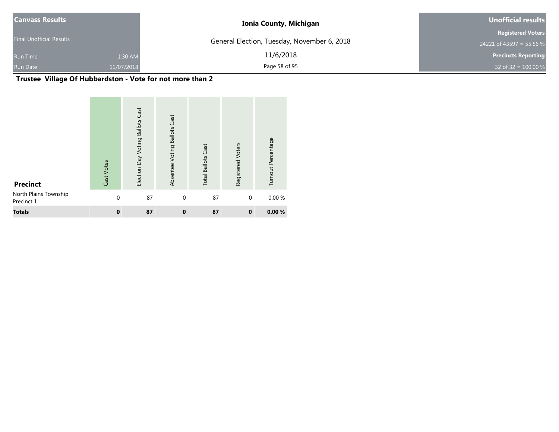| Canvass Results                 |            | <b>Ionia County, Michigan</b>               | Unofficial results         |  |  |
|---------------------------------|------------|---------------------------------------------|----------------------------|--|--|
|                                 |            |                                             | <b>Registered Voters</b>   |  |  |
| <b>Final Unofficial Results</b> |            | General Election, Tuesday, November 6, 2018 | 24221 of 43597 = 55.56 %   |  |  |
| <b>Run Time</b>                 | 1:30 AM    | 11/6/2018                                   | <b>Precincts Reporting</b> |  |  |
| <b>Run Date</b>                 | 11/07/2018 | Page 58 of 95                               | 32 of 32 = $100.00\%$      |  |  |

# **Trustee Village Of Hubbardston - Vote for not more than 2**

| <b>Precinct</b>                     | Cast Votes  | Cast<br><b>Ballots</b><br>Election Day Voting | Absentee Voting Ballots Cast | Cast<br><b>Total Ballots</b> | Registered Voters | Turnout Percentage |
|-------------------------------------|-------------|-----------------------------------------------|------------------------------|------------------------------|-------------------|--------------------|
| North Plains Township<br>Precinct 1 | $\mathbf 0$ | 87                                            | $\mathbf 0$                  | 87                           | $\mathbf{0}$      | 0.00%              |
| <b>Totals</b>                       | $\mathbf 0$ | 87                                            | $\mathbf{0}$                 | 87                           | $\mathbf 0$       | 0.00%              |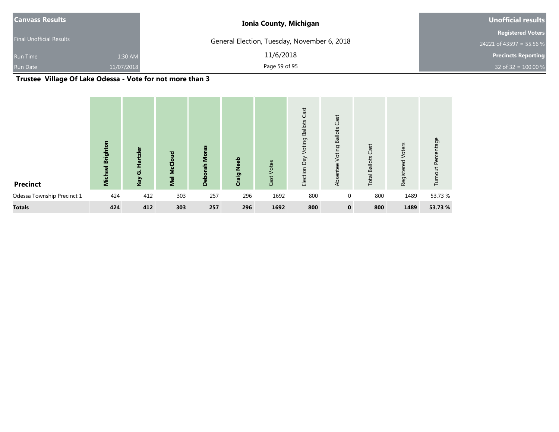| <b>Canvass Results</b>   |            | <b>Ionia County, Michigan</b>               | Unofficial results         |  |  |
|--------------------------|------------|---------------------------------------------|----------------------------|--|--|
|                          |            |                                             | <b>Registered Voters</b>   |  |  |
| Final Unofficial Results |            | General Election, Tuesday, November 6, 2018 | 24221 of 43597 = 55.56 %   |  |  |
| <b>Run Time</b>          | 1:30 AM    | 11/6/2018                                   | <b>Precincts Reporting</b> |  |  |
| Run Date                 | 11/07/2018 | Page 59 of 95                               | 32 of 32 = $100.00 %$      |  |  |

# **Trustee Village Of Lake Odessa - Vote for not more than 3**

| <b>Precinct</b>            | <b>Brighton</b><br><b>Michael</b> | tzle<br>$\overline{\mathfrak{a}}$<br><b>ن</b><br>Kay | <b>Mel McCloud</b> | <b>Deborah Moras</b> | Neeb<br>Craig | Votes<br>Cast | Cast<br><b>Ballots</b><br>Voting<br>Veq<br>Election | Cast<br><b>Voting Ballots</b><br>Absentee | Cast<br><b>Total Ballots</b> | Registered Voters | nout Percentage<br>르 |
|----------------------------|-----------------------------------|------------------------------------------------------|--------------------|----------------------|---------------|---------------|-----------------------------------------------------|-------------------------------------------|------------------------------|-------------------|----------------------|
| Odessa Township Precinct 1 | 424                               | 412                                                  | 303                | 257                  | 296           | 1692          | 800                                                 | $\mathbf 0$                               | 800                          | 1489              | 53.73 %              |
| <b>Totals</b>              | 424                               | 412                                                  | 303                | 257                  | 296           | 1692          | 800                                                 | $\mathbf 0$                               | 800                          | 1489              | 53.73 %              |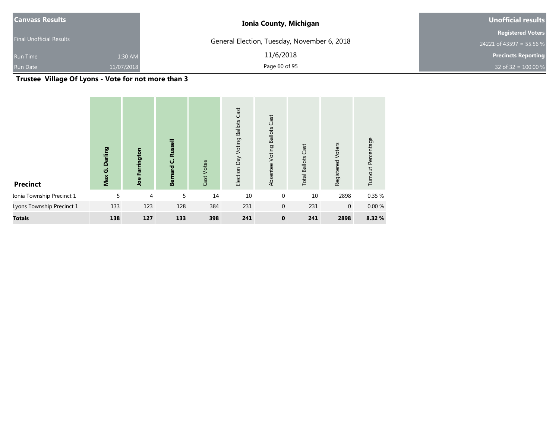| <b>Canvass Results</b>          |            | <b>Ionia County, Michigan</b>               | Unofficial results                                   |  |  |
|---------------------------------|------------|---------------------------------------------|------------------------------------------------------|--|--|
| <b>Final Unofficial Results</b> |            | General Election, Tuesday, November 6, 2018 | <b>Registered Voters</b><br>24221 of 43597 = 55.56 % |  |  |
| <b>Run Time</b>                 | 1:30 AM    | 11/6/2018                                   | <b>Precincts Reporting</b>                           |  |  |
| <b>Run Date</b>                 | 11/07/2018 | Page 60 of 95                               | 32 of $32 = 100.00 %$                                |  |  |

**Trustee Village Of Lyons - Vote for not more than 3**

| <b>Precinct</b>           | Darling<br>Max G. | Farrington<br>Joe | Russell<br>$\mathbf \omega$<br>hard<br><b>Be</b> | Cast Votes | <b>Ballots Cast</b><br>Voting<br>Election Day | Cast<br><b>Ballots</b><br>Voting<br>Absentee | Cast<br><b>Total Ballots</b> | Voters<br>Registered | Turnout Percentage |  |
|---------------------------|-------------------|-------------------|--------------------------------------------------|------------|-----------------------------------------------|----------------------------------------------|------------------------------|----------------------|--------------------|--|
| Ionia Township Precinct 1 | 5                 | 4                 | 5                                                | 14         | 10                                            | $\mathbf 0$                                  | 10                           | 2898                 | 0.35 %             |  |
| Lyons Township Precinct 1 | 133               | 123               | 128                                              | 384        | 231                                           | $\mathbf{0}$                                 | 231                          | $\mathbf 0$          | 0.00%              |  |
| <b>Totals</b>             | 138               | 127               | 133                                              | 398        | 241                                           | $\mathbf{0}$                                 | 241                          | 2898                 | 8.32 %             |  |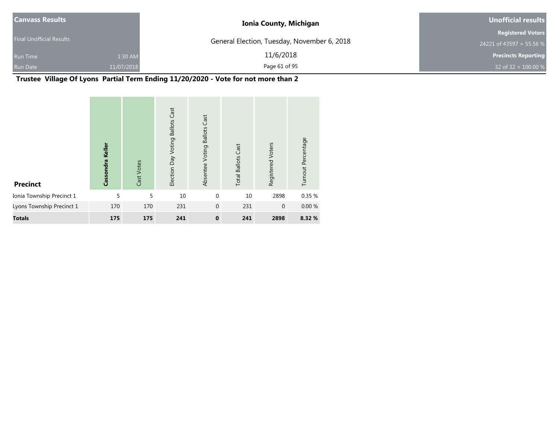| <b>Canvass Results</b>          |            | <b>Ionia County, Michigan</b>               | Unofficial results         |
|---------------------------------|------------|---------------------------------------------|----------------------------|
|                                 |            |                                             | <b>Registered Voters</b>   |
| <b>Final Unofficial Results</b> |            | General Election, Tuesday, November 6, 2018 | 24221 of 43597 = 55.56 %   |
| <b>Run Time</b>                 | 1:30 AM    | 11/6/2018                                   | <b>Precincts Reporting</b> |
| <b>Run Date</b>                 | 11/07/2018 | Page 61 of 95                               | 32 of 32 = $100.00\%$      |

**Trustee Village Of Lyons Partial Term Ending 11/20/2020 - Vote for not more than 2**

| <b>Precinct</b>           | Cassondra Keller | Cast Votes | <b>Ballots Cast</b><br>Election Day Voting | Absentee Voting Ballots Cast | <b>Total Ballots Cast</b> | Registered Voters | Turnout Percentage |
|---------------------------|------------------|------------|--------------------------------------------|------------------------------|---------------------------|-------------------|--------------------|
| Ionia Township Precinct 1 | 5                | 5          | 10                                         | $\mathbf 0$                  | 10                        | 2898              | 0.35 %             |
| Lyons Township Precinct 1 | 170              | 170        | 231                                        | $\mathbf 0$                  | 231                       | $\mathbf{0}$      | 0.00%              |
| <b>Totals</b>             | 175              | 175        | 241                                        | $\bf{0}$                     | 241                       | 2898              | 8.32 %             |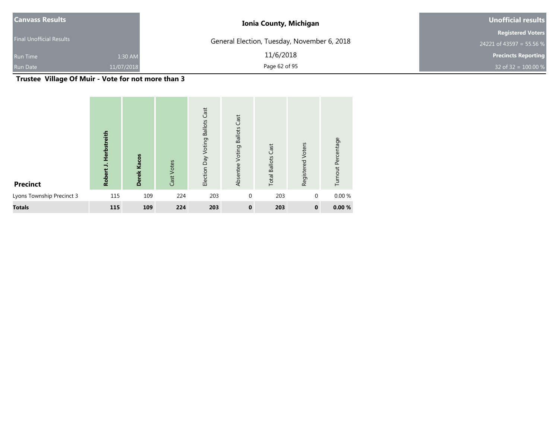| <b>Canvass Results</b>          |            | <b>Ionia County, Michigan</b>               | Unofficial results         |  |  |
|---------------------------------|------------|---------------------------------------------|----------------------------|--|--|
|                                 |            |                                             | <b>Registered Voters</b>   |  |  |
| <b>Final Unofficial Results</b> |            | General Election, Tuesday, November 6, 2018 | 24221 of 43597 = 55.56 %   |  |  |
| <b>Run Time</b>                 | 1:30 AM    | 11/6/2018                                   | <b>Precincts Reporting</b> |  |  |
| <b>Run Date</b>                 | 11/07/2018 | Page 62 of 95                               | 32 of 32 = $100.00 %$      |  |  |

**Trustee Village Of Muir - Vote for not more than 3**

| <b>Precinct</b>           | Herbstreith<br>$\overline{\phantom{a}}$<br>Robert | Derek Kacos | Cast Votes | Cast<br><b>Ballots</b><br>Voting<br>Election Day | Cast<br><b>Ballots</b><br>Voting<br>Absentee | <b>Total Ballots Cast</b> | Voters<br>Registered | Turnout Percentage |
|---------------------------|---------------------------------------------------|-------------|------------|--------------------------------------------------|----------------------------------------------|---------------------------|----------------------|--------------------|
| Lyons Township Precinct 3 | 115                                               | 109         | 224        | 203                                              | $\mathbf{0}$                                 | 203                       | $\mathbf{0}$         | 0.00%              |
| <b>Totals</b>             | 115                                               | 109         | 224        | 203                                              | $\mathbf 0$                                  | 203                       | $\mathbf 0$          | 0.00%              |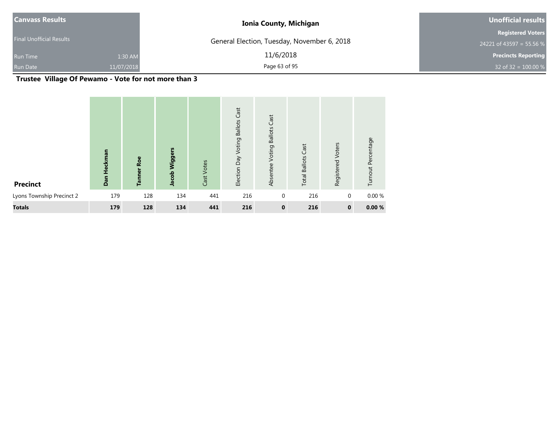| <b>Canvass Results</b>          |            | <b>Ionia County, Michigan</b>               | Unofficial results         |
|---------------------------------|------------|---------------------------------------------|----------------------------|
|                                 |            |                                             | <b>Registered Voters</b>   |
| <b>Final Unofficial Results</b> |            | General Election, Tuesday, November 6, 2018 | 24221 of 43597 = 55.56 %   |
| <b>Run Time</b>                 | 1:30 AM    | 11/6/2018                                   | <b>Precincts Reporting</b> |
| <b>Run Date</b>                 | 11/07/2018 | Page 63 of 95                               | 32 of 32 = $100.00 %$      |

**Trustee Village Of Pewamo - Vote for not more than 3**

| <b>Precinct</b>           | Heckman<br>Dan | Roe<br><b>Tanner</b> | Wiggers<br>Jacob | Cast Votes | Cast<br>Election Day Voting Ballots | Cast<br><b>Ballots</b><br>Voting<br>Absentee | Cast<br><b>Total Ballots</b> | Voters<br>Registered | Turnout Percentage |
|---------------------------|----------------|----------------------|------------------|------------|-------------------------------------|----------------------------------------------|------------------------------|----------------------|--------------------|
| Lyons Township Precinct 2 | 179            | 128                  | 134              | 441        | 216                                 | $\mathbf 0$                                  | 216                          | $\mathbf 0$          | 0.00 %             |
| <b>Totals</b>             | 179            | 128                  | 134              | 441        | 216                                 | $\mathbf{0}$                                 | 216                          | $\mathbf 0$          | 0.00%              |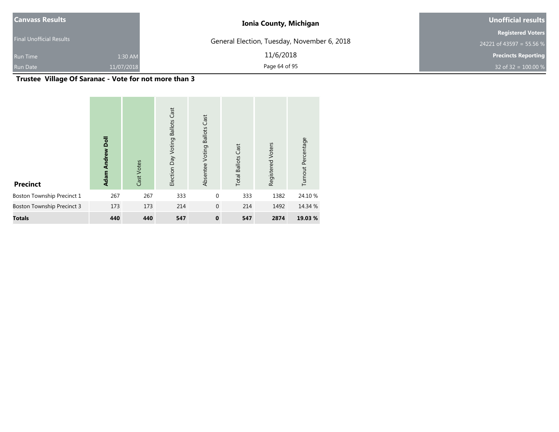| <b>Canvass Results</b>          |            | <b>Ionia County, Michigan</b>               | Unofficial results         |  |  |
|---------------------------------|------------|---------------------------------------------|----------------------------|--|--|
|                                 |            |                                             | <b>Registered Voters</b>   |  |  |
| <b>Final Unofficial Results</b> |            | General Election, Tuesday, November 6, 2018 | 24221 of 43597 = 55.56 %   |  |  |
| <b>Run Time</b>                 | 1:30 AM    | 11/6/2018                                   | <b>Precincts Reporting</b> |  |  |
| <b>Run Date</b>                 | 11/07/2018 | Page 64 of 95                               | 32 of 32 = $100.00\%$      |  |  |

**Trustee Village Of Saranac - Vote for not more than 3**

| <b>Precinct</b>                   | <b>Adam Andrew Doll</b> | Cast Votes | <b>Ballots Cast</b><br>Election Day Voting | Absentee Voting Ballots Cast | <b>Total Ballots Cast</b> | Registered Voters | Turnout Percentage |
|-----------------------------------|-------------------------|------------|--------------------------------------------|------------------------------|---------------------------|-------------------|--------------------|
| Boston Township Precinct 1        | 267                     | 267        | 333                                        | $\mathbf 0$                  | 333                       | 1382              | 24.10 %            |
| <b>Boston Township Precinct 3</b> | 173                     | 173        | 214                                        | $\mathbf 0$                  | 214                       | 1492              | 14.34 %            |
| <b>Totals</b>                     | 440                     | 440        | 547                                        | $\mathbf 0$                  | 547                       | 2874              | 19.03 %            |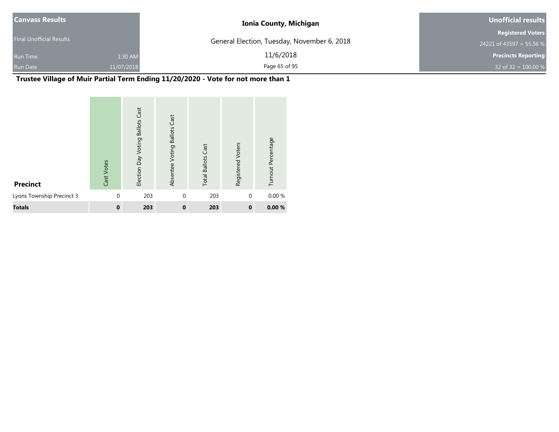| <b>Canvass Results</b>          |            | <b>Ionia County, Michigan</b>               | Unofficial results         |
|---------------------------------|------------|---------------------------------------------|----------------------------|
|                                 |            |                                             | <b>Registered Voters</b>   |
| <b>Final Unofficial Results</b> |            | General Election, Tuesday, November 6, 2018 | 24221 of 43597 = 55.56 %   |
| <b>Run Time</b>                 | 1:30 AM    | 11/6/2018                                   | <b>Precincts Reporting</b> |
| <b>Run Date</b>                 | 11/07/2018 | Page 65 of 95                               | 32 of 32 = $100.00 %$      |

# **Trustee Village of Muir Partial Term Ending 11/20/2020 - Vote for not more than 1**

| <b>Precinct</b>           | Cast Votes   | Cast<br><b>Ballots</b><br>Election Day Voting | Cast<br><b>Ballots</b><br>Absentee Voting | <b>Total Ballots Cast</b> | Registered Voters | Turnout Percentage |
|---------------------------|--------------|-----------------------------------------------|-------------------------------------------|---------------------------|-------------------|--------------------|
| Lyons Township Precinct 3 | $\mathbf{0}$ | 203                                           | $\mathbf{0}$                              | 203                       | $\mathbf{0}$      | 0.00 %             |
| <b>Totals</b>             | $\mathbf 0$  | 203                                           | $\bf{0}$                                  | 203                       | $\bf{0}$          | 0.00%              |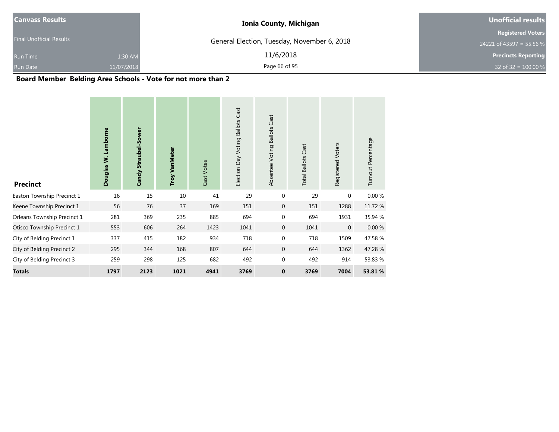| <b>Canvass Results</b>          |            | <b>Ionia County, Michigan</b>               | Unofficial results         |  |  |
|---------------------------------|------------|---------------------------------------------|----------------------------|--|--|
| <b>Final Unofficial Results</b> |            | General Election, Tuesday, November 6, 2018 | <b>Registered Voters</b>   |  |  |
|                                 |            |                                             | 24221 of 43597 = 55.56 %   |  |  |
| <b>Run Time</b>                 | 1:30 AM    | 11/6/2018                                   | <b>Precincts Reporting</b> |  |  |
| <b>Run Date</b>                 | 11/07/2018 | Page 66 of 95                               | 32 of 32 = $100.00\%$      |  |  |

#### **Board Member Belding Area Schools - Vote for not more than 2**

| <b>Precinct</b>             | Douglas W. Lamborne | Candy Straubel-Sower | <b>Troy VanMeter</b> | Cast Votes | Election Day Voting Ballots Cast | <b>Ballots Cast</b><br>Absentee Voting | <b>Total Ballots Cast</b> | Registered Voters | Turnout Percentage |
|-----------------------------|---------------------|----------------------|----------------------|------------|----------------------------------|----------------------------------------|---------------------------|-------------------|--------------------|
| Easton Township Precinct 1  | 16                  | 15                   | 10                   | 41         | 29                               | $\mathbf{0}$                           | 29                        | $\mathbf{0}$      | 0.00%              |
| Keene Township Precinct 1   | 56                  | 76                   | 37                   | 169        | 151                              | $\mathbf 0$                            | 151                       | 1288              | 11.72 %            |
| Orleans Township Precinct 1 | 281                 | 369                  | 235                  | 885        | 694                              | $\mathbf 0$                            | 694                       | 1931              | 35.94 %            |
| Otisco Township Precinct 1  | 553                 | 606                  | 264                  | 1423       | 1041                             | $\overline{0}$                         | 1041                      | $\overline{0}$    | 0.00%              |
| City of Belding Precinct 1  | 337                 | 415                  | 182                  | 934        | 718                              | $\mathbf{0}$                           | 718                       | 1509              | 47.58%             |
| City of Belding Precinct 2  | 295                 | 344                  | 168                  | 807        | 644                              | $\overline{0}$                         | 644                       | 1362              | 47.28 %            |
| City of Belding Precinct 3  | 259                 | 298                  | 125                  | 682        | 492                              | $\mathbf 0$                            | 492                       | 914               | 53.83 %            |
| <b>Totals</b>               | 1797                | 2123                 | 1021                 | 4941       | 3769                             | $\bf{0}$                               | 3769                      | 7004              | 53.81 %            |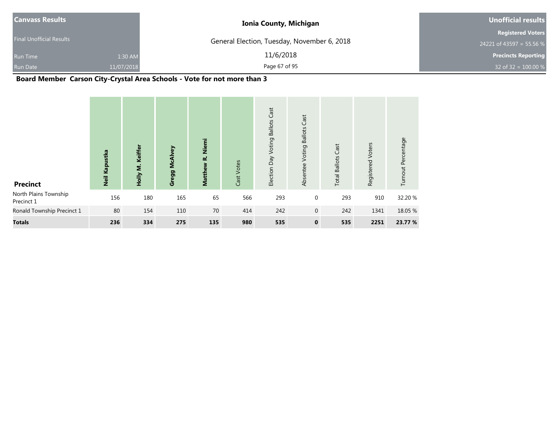| <b>Canvass Results</b>          | <b>Ionia County, Michigan</b>               | <b>Unofficial results</b>  |
|---------------------------------|---------------------------------------------|----------------------------|
|                                 |                                             | <b>Registered Voters</b>   |
| <b>Final Unofficial Results</b> | General Election, Tuesday, November 6, 2018 | 24221 of 43597 = 55.56 %   |
| 1:30 AM<br><b>Run Time</b>      | 11/6/2018                                   | <b>Precincts Reporting</b> |
| 11/07/2018<br><b>Run Date</b>   | Page 67 of 95                               | 32 of 32 = $100.00 %$      |

# **Board Member Carson City-Crystal Area Schools - Vote for not more than 3**

| <b>Precinct</b>                     | Neil Kapustka | Holly M. Keiffer | <b>McAlvey</b><br>Gregg | Niemi<br>نم<br><b>Matthew</b> | Cast Votes | Cast<br><b>Ballots</b><br>Voting<br>VeQ<br>Election | Cast<br><b>Ballots</b><br>Voting<br>Absentee | Cast<br><b>Total Ballots</b> | Voters<br>Registered | Turnout Percentage |
|-------------------------------------|---------------|------------------|-------------------------|-------------------------------|------------|-----------------------------------------------------|----------------------------------------------|------------------------------|----------------------|--------------------|
| North Plains Township<br>Precinct 1 | 156           | 180              | 165                     | 65                            | 566        | 293                                                 | 0                                            | 293                          | 910                  | 32.20 %            |
| Ronald Township Precinct 1          | 80            | 154              | 110                     | 70                            | 414        | 242                                                 | $\mathbf{0}$                                 | 242                          | 1341                 | 18.05 %            |
| <b>Totals</b>                       | 236           | 334              | 275                     | 135                           | 980        | 535                                                 | $\mathbf 0$                                  | 535                          | 2251                 | 23.77 %            |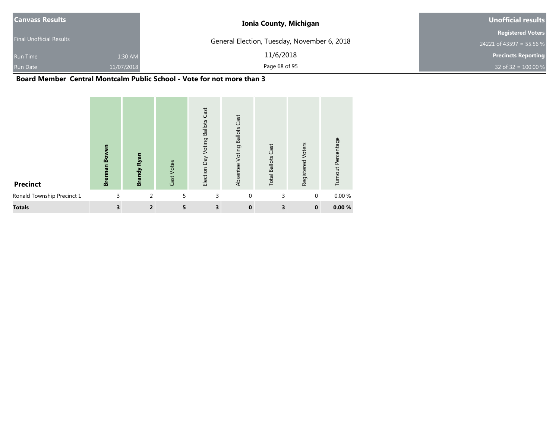| <b>Canvass Results</b>          |            | <b>Ionia County, Michigan</b>               | Unofficial results         |
|---------------------------------|------------|---------------------------------------------|----------------------------|
|                                 |            |                                             | <b>Registered Voters</b>   |
| <b>Final Unofficial Results</b> |            | General Election, Tuesday, November 6, 2018 | 24221 of 43597 = 55.56 %   |
| <b>Run Time</b>                 | 1:30 AM    | 11/6/2018                                   | <b>Precincts Reporting</b> |
| <b>Run Date</b>                 | 11/07/2018 | Page 68 of 95                               | 32 of 32 = $100.00 %$      |

#### **Board Member Central Montcalm Public School - Vote for not more than 3**

| <b>Precinct</b>            | <b>Brennan Bowen</b> | Ryan<br><b>Brandy</b> | Cast Votes | Cast<br><b>Ballots</b><br>Election Day Voting | Cast<br><b>Ballots</b><br>Voting<br>Absentee | <b>Total Ballots Cast</b> | Voters<br>Registered | Turnout Percentage |
|----------------------------|----------------------|-----------------------|------------|-----------------------------------------------|----------------------------------------------|---------------------------|----------------------|--------------------|
| Ronald Township Precinct 1 | 3                    | 2                     | 5          | 3                                             | $\mathbf{0}$                                 | 3                         | 0                    | 0.00%              |
| <b>Totals</b>              | 3                    | $\overline{2}$        | 5          | 3                                             | $\mathbf{0}$                                 | 3                         | $\mathbf 0$          | 0.00%              |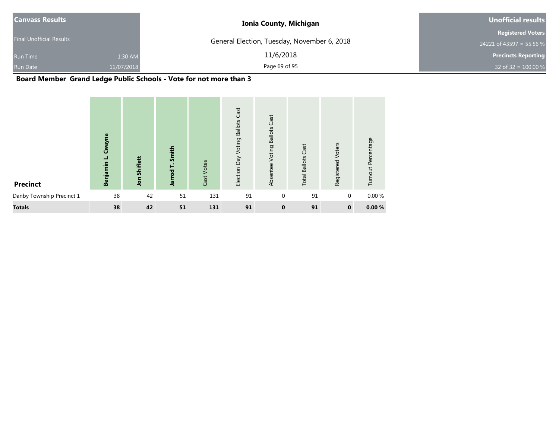| <b>Canvass Results</b>          |            | <b>Ionia County, Michigan</b>               | <b>Unofficial results</b>  |
|---------------------------------|------------|---------------------------------------------|----------------------------|
|                                 |            |                                             | <b>Registered Voters</b>   |
| <b>Final Unofficial Results</b> |            | General Election, Tuesday, November 6, 2018 | 24221 of 43597 = 55.56 %   |
| <b>Run Time</b>                 | 1:30 AM    | 11/6/2018                                   | <b>Precincts Reporting</b> |
| <b>Run Date</b>                 | 11/07/2018 | Page 69 of 95                               | 32 of 32 = $100.00\%$      |

# **Board Member Grand Ledge Public Schools - Vote for not more than 3**

| <b>Precinct</b>           | Cwayna<br>┙<br>Benjamin | Shiflett<br><b>Jon</b> | Smith<br>rod <sub>T.</sub><br>들 | Cast Votes | Election Day Voting Ballots Cast | Cast<br><b>Ballots</b><br>Voting<br>Absentee | <b>Total Ballots Cast</b> | Voters<br>Registered | Turnout Percentage |
|---------------------------|-------------------------|------------------------|---------------------------------|------------|----------------------------------|----------------------------------------------|---------------------------|----------------------|--------------------|
| Danby Township Precinct 1 | 38                      | 42                     | 51                              | 131        | 91                               | $\mathbf{0}$                                 | 91                        | 0                    | 0.00%              |
| <b>Totals</b>             | 38                      | 42                     | 51                              | 131        | 91                               | $\mathbf 0$                                  | 91                        | $\mathbf 0$          | 0.00%              |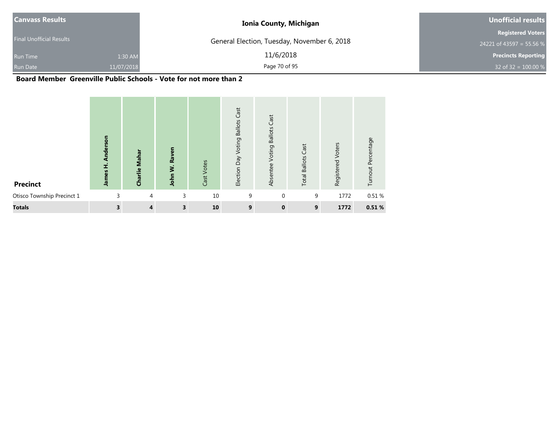| <b>Canvass Results</b>          |            | <b>Ionia County, Michigan</b>               | Unofficial results         |
|---------------------------------|------------|---------------------------------------------|----------------------------|
|                                 |            |                                             | <b>Registered Voters</b>   |
| <b>Final Unofficial Results</b> |            | General Election, Tuesday, November 6, 2018 | 24221 of 43597 = 55.56 %   |
| <b>Run Time</b>                 | 1:30 AM    | 11/6/2018                                   | <b>Precincts Reporting</b> |
| <b>Run Date</b>                 | 11/07/2018 | Page 70 of 95                               | 32 of 32 = $100.00 %$      |

#### **Board Member Greenville Public Schools - Vote for not more than 2**

| <b>Precinct</b>            | Anderson<br>James H. | Charlie Mahar  | Raven<br>Š.<br>John | Cast Votes | Election Day Voting Ballots Cast | Cast<br><b>Ballots</b><br>Voting<br>Absentee | <b>Total Ballots Cast</b> | Registered Voters | Turnout Percentage |
|----------------------------|----------------------|----------------|---------------------|------------|----------------------------------|----------------------------------------------|---------------------------|-------------------|--------------------|
| Otisco Township Precinct 1 | 3                    | $\overline{4}$ | 3                   | 10         | 9                                | $\Omega$                                     | 9                         | 1772              | 0.51%              |
| <b>Totals</b>              | 3                    | $\overline{4}$ | 3                   | 10         | 9                                | $\mathbf 0$                                  | 9                         | 1772              | 0.51%              |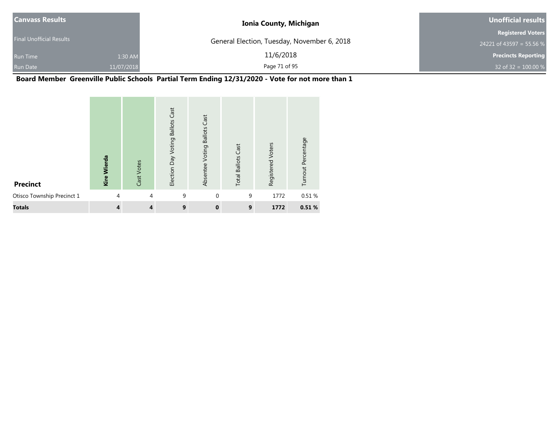| <b>Canvass Results</b>          |            | <b>Ionia County, Michigan</b>               | Unofficial results         |
|---------------------------------|------------|---------------------------------------------|----------------------------|
|                                 |            |                                             | <b>Registered Voters</b>   |
| <b>Final Unofficial Results</b> |            | General Election, Tuesday, November 6, 2018 | 24221 of 43597 = 55.56 %   |
| <b>Run Time</b>                 | 1:30 AM    | 11/6/2018                                   | <b>Precincts Reporting</b> |
| <b>Run Date</b>                 | 11/07/2018 | Page 71 of 95                               | 32 of 32 = $100.00 %$      |

#### **Board Member Greenville Public Schools Partial Term Ending 12/31/2020 - Vote for not more than 1**

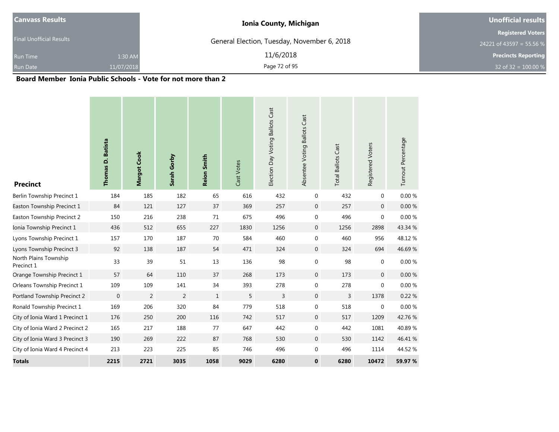| <b>Canvass Results</b>          | <b>Ionia County, Michigan</b>               | Unofficial results         |
|---------------------------------|---------------------------------------------|----------------------------|
|                                 |                                             | <b>Registered Voters</b>   |
| <b>Final Unofficial Results</b> | General Election, Tuesday, November 6, 2018 | 24221 of 43597 = 55.56 %   |
| 1:30 AM<br><b>Run Time</b>      | 11/6/2018                                   | <b>Precincts Reporting</b> |
| <b>Run Date</b><br>11/07/2018   | Page 72 of 95                               | 32 of 32 = $100.00 %$      |

#### **Board Member Ionia Public Schools - Vote for not more than 2**

| <b>Precinct</b>                     | Thomas D. Batista | Margot Cook    | Sarah Gorby | <b>Reion Smith</b> | Cast Votes | Election Day Voting Ballots Cast | Absentee Voting Ballots Cast | <b>Total Ballots Cast</b> | Registered Voters | Turnout Percentage |
|-------------------------------------|-------------------|----------------|-------------|--------------------|------------|----------------------------------|------------------------------|---------------------------|-------------------|--------------------|
| Berlin Township Precinct 1          | 184               | 185            | 182         | 65                 | 616        | 432                              | $\mathbf 0$                  | 432                       | $\mathbf 0$       | 0.00 %             |
| Easton Township Precinct 1          | 84                | 121            | 127         | 37                 | 369        | 257                              | $\mathbf 0$                  | 257                       | $\mathbf 0$       | $0.00 \%$          |
| Easton Township Precinct 2          | 150               | 216            | 238         | 71                 | 675        | 496                              | $\mathbf 0$                  | 496                       | $\boldsymbol{0}$  | $0.00\ \%$         |
| Ionia Township Precinct 1           | 436               | 512            | 655         | 227                | 1830       | 1256                             | $\mathbf{0}$                 | 1256                      | 2898              | 43.34 %            |
| Lyons Township Precinct 1           | 157               | 170            | 187         | 70                 | 584        | 460                              | $\mathbf 0$                  | 460                       | 956               | 48.12%             |
| Lyons Township Precinct 3           | 92                | 138            | 187         | 54                 | 471        | 324                              | $\mathbf{0}$                 | 324                       | 694               | 46.69%             |
| North Plains Township<br>Precinct 1 | 33                | 39             | 51          | 13                 | 136        | 98                               | $\mathbf 0$                  | 98                        | $\mathbf{0}$      | $0.00 \%$          |
| Orange Township Precinct 1          | 57                | 64             | 110         | 37                 | 268        | 173                              | $\mathbf{0}$                 | 173                       | $\mathbf{0}$      | 0.00 %             |
| Orleans Township Precinct 1         | 109               | 109            | 141         | 34                 | 393        | 278                              | $\mathbf 0$                  | 278                       | $\mathbf 0$       | 0.00 %             |
| Portland Township Precinct 2        | $\mathbf{0}$      | $\overline{2}$ | 2           | $\mathbf{1}$       | 5          | 3                                | $\mathbf{0}$                 | $\overline{3}$            | 1378              | 0.22 %             |
| Ronald Township Precinct 1          | 169               | 206            | 320         | 84                 | 779        | 518                              | $\mathbf 0$                  | 518                       | $\mathbf 0$       | 0.00 %             |
| City of Ionia Ward 1 Precinct 1     | 176               | 250            | 200         | 116                | 742        | 517                              | $\mathbf{0}$                 | 517                       | 1209              | 42.76%             |
| City of Ionia Ward 2 Precinct 2     | 165               | 217            | 188         | 77                 | 647        | 442                              | $\mathbf 0$                  | 442                       | 1081              | 40.89%             |
| City of Ionia Ward 3 Precinct 3     | 190               | 269            | 222         | 87                 | 768        | 530                              | $\mathbf 0$                  | 530                       | 1142              | 46.41 %            |
| City of Ionia Ward 4 Precinct 4     | 213               | 223            | 225         | 85                 | 746        | 496                              | $\mathbf 0$                  | 496                       | 1114              | 44.52 %            |
| <b>Totals</b>                       | 2215              | 2721           | 3035        | 1058               | 9029       | 6280                             | $\mathbf 0$                  | 6280                      | 10472             | 59.97 %            |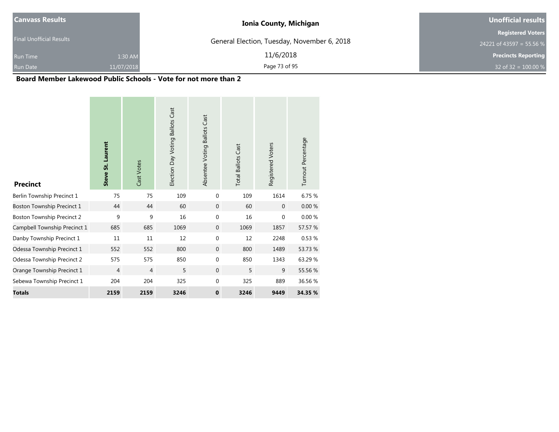| <b>Canvass Results</b>          |            | <b>Ionia County, Michigan</b>               | Unofficial results         |
|---------------------------------|------------|---------------------------------------------|----------------------------|
|                                 |            |                                             | <b>Registered Voters</b>   |
| <b>Final Unofficial Results</b> |            | General Election, Tuesday, November 6, 2018 | 24221 of 43597 = 55.56 %   |
| <b>Run Time</b>                 | 1:30 AM    | 11/6/2018                                   | <b>Precincts Reporting</b> |
| <b>Run Date</b>                 | 11/07/2018 | Page 73 of 95                               | 32 of 32 = $100.00 %$      |

#### **Board Member Lakewood Public Schools - Vote for not more than 2**

| <b>Precinct</b>                   | Steve St. Laurent | Cast Votes     | Election Day Voting Ballots Cast | Absentee Voting Ballots Cast | <b>Total Ballots Cast</b> | Registered Voters | Turnout Percentage |
|-----------------------------------|-------------------|----------------|----------------------------------|------------------------------|---------------------------|-------------------|--------------------|
| Berlin Township Precinct 1        | 75                | 75             | 109                              | $\Omega$                     | 109                       | 1614              | 6.75 %             |
| Boston Township Precinct 1        | 44                | 44             | 60                               | $\mathbf{0}$                 | 60                        | $\Omega$          | 0.00%              |
| <b>Boston Township Precinct 2</b> | 9                 | 9              | 16                               | $\Omega$                     | 16                        | $\mathbf{0}$      | 0.00%              |
| Campbell Township Precinct 1      | 685               | 685            | 1069                             | $\Omega$                     | 1069                      | 1857              | 57.57 %            |
| Danby Township Precinct 1         | 11                | 11             | 12                               | $\Omega$                     | 12                        | 2248              | 0.53 %             |
| Odessa Township Precinct 1        | 552               | 552            | 800                              | $\mathbf{0}$                 | 800                       | 1489              | 53.73 %            |
| Odessa Township Precinct 2        | 575               | 575            | 850                              | $\Omega$                     | 850                       | 1343              | 63.29 %            |
| Orange Township Precinct 1        | $\overline{4}$    | $\overline{4}$ | 5                                | $\mathbf{0}$                 | 5                         | 9                 | 55.56 %            |
| Sebewa Township Precinct 1        | 204               | 204            | 325                              | $\mathbf{0}$                 | 325                       | 889               | 36.56 %            |
| <b>Totals</b>                     | 2159              | 2159           | 3246                             | $\mathbf 0$                  | 3246                      | 9449              | 34.35 %            |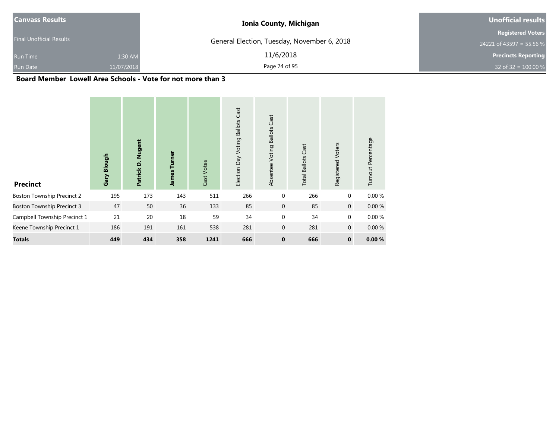| <b>Canvass Results</b>          |            | <b>Ionia County, Michigan</b>               | Unofficial results         |  |  |
|---------------------------------|------------|---------------------------------------------|----------------------------|--|--|
|                                 |            |                                             | <b>Registered Voters</b>   |  |  |
| <b>Final Unofficial Results</b> |            | General Election, Tuesday, November 6, 2018 | 24221 of 43597 = 55.56 %   |  |  |
| <b>Run Time</b>                 | 1:30 AM    | 11/6/2018                                   | <b>Precincts Reporting</b> |  |  |
| <b>Run Date</b>                 | 11/07/2018 | Page 74 of 95                               | 32 of 32 = $100.00 %$      |  |  |

#### **Board Member Lowell Area Schools - Vote for not more than 3**

| <b>Precinct</b>                   | Gary Blough | <b>Nugent</b><br>Patrick D. | rner<br>5<br>James | Cast Votes | Election Day Voting Ballots Cast | Cast<br><b>Ballots</b><br>Voting<br>Absentee | Cast<br><b>Total Ballots</b> | Registered Voters | Turnout Percentage |
|-----------------------------------|-------------|-----------------------------|--------------------|------------|----------------------------------|----------------------------------------------|------------------------------|-------------------|--------------------|
| <b>Boston Township Precinct 2</b> | 195         | 173                         | 143                | 511        | 266                              | $\mathbf 0$                                  | 266                          | $\mathbf 0$       | 0.00%              |
| <b>Boston Township Precinct 3</b> | 47          | 50                          | 36                 | 133        | 85                               | $\mathbf 0$                                  | 85                           | $\mathbf 0$       | 0.00%              |
| Campbell Township Precinct 1      | 21          | 20                          | 18                 | 59         | 34                               | $\mathbf 0$                                  | 34                           | $\mathbf 0$       | 0.00%              |
| Keene Township Precinct 1         | 186         | 191                         | 161                | 538        | 281                              | $\mathbf{0}$                                 | 281                          | $\mathbf 0$       | 0.00%              |
| <b>Totals</b>                     | 449         | 434                         | 358                | 1241       | 666                              | $\bf{0}$                                     | 666                          | $\mathbf 0$       | 0.00%              |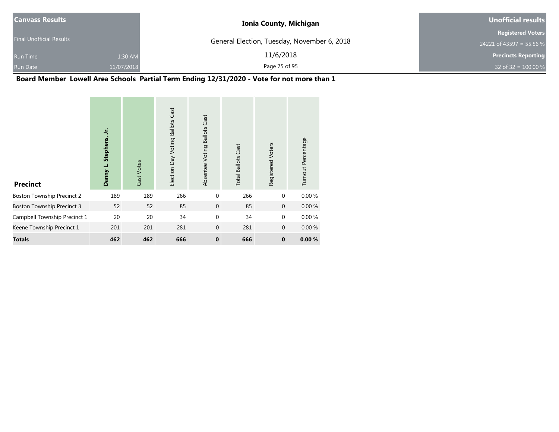| <b>Canvass Results</b>          |            | <b>Ionia County, Michigan</b>               | Unofficial results         |
|---------------------------------|------------|---------------------------------------------|----------------------------|
|                                 |            |                                             | <b>Registered Voters</b>   |
| <b>Final Unofficial Results</b> |            | General Election, Tuesday, November 6, 2018 | 24221 of 43597 = 55.56 %   |
| Run Time                        | 1:30 AM    | 11/6/2018                                   | <b>Precincts Reporting</b> |
| <b>Run Date</b>                 | 11/07/2018 | Page 75 of 95                               | 32 of 32 = $100.00 %$      |

## **Board Member Lowell Area Schools Partial Term Ending 12/31/2020 - Vote for not more than 1**

| <b>Precinct</b>                   | ミ<br>Stephens,<br>Danny L. | Cast Votes | <b>Ballots Cast</b><br>Election Day Voting | <b>Ballots Cast</b><br>Absentee Voting | <b>Total Ballots Cast</b> | Registered Voters | Turnout Percentage |
|-----------------------------------|----------------------------|------------|--------------------------------------------|----------------------------------------|---------------------------|-------------------|--------------------|
| <b>Boston Township Precinct 2</b> | 189                        | 189        | 266                                        | $\mathbf{0}$                           | 266                       | $\mathbf{0}$      | 0.00%              |
| <b>Boston Township Precinct 3</b> | 52                         | 52         | 85                                         | $\mathbf 0$                            | 85                        | $\mathbf 0$       | 0.00%              |
| Campbell Township Precinct 1      | 20                         | 20         | 34                                         | $\mathbf 0$                            | 34                        | $\mathbf{0}$      | 0.00%              |
| Keene Township Precinct 1         | 201                        | 201        | 281                                        | $\mathbf{0}$                           | 281                       | $\mathbf{0}$      | 0.00%              |
| <b>Totals</b>                     | 462                        | 462        | 666                                        | $\mathbf 0$                            | 666                       | $\mathbf{0}$      | 0.00%              |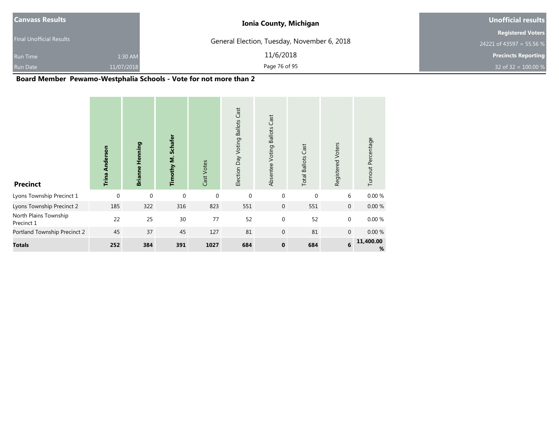| <b>Canvass Results</b>          |            | <b>Ionia County, Michigan</b>               | Unofficial results         |
|---------------------------------|------------|---------------------------------------------|----------------------------|
|                                 |            |                                             | <b>Registered Voters</b>   |
| <b>Final Unofficial Results</b> |            | General Election, Tuesday, November 6, 2018 | 24221 of 43597 = 55.56 %   |
| <b>Run Time</b>                 | 1:30 AM    | 11/6/2018                                   | <b>Precincts Reporting</b> |
| <b>Run Date</b>                 | 11/07/2018 | Page 76 of 95                               | 32 of 32 = $100.00 %$      |

### **Board Member Pewamo-Westphalia Schools - Vote for not more than 2**

| <b>Precinct</b>                     | <b>Trina Anderson</b> | Henning<br><b>Brianne</b> | Timothy M. Schafer | Cast Votes  | <b>Ballots Cast</b><br>Election Day Voting | Cast<br><b>Ballots</b><br>Absentee Voting | <b>Total Ballots Cast</b> | Registered Voters | Turnout Percentage |
|-------------------------------------|-----------------------|---------------------------|--------------------|-------------|--------------------------------------------|-------------------------------------------|---------------------------|-------------------|--------------------|
| Lyons Township Precinct 1           | $\mathbf 0$           | $\mathbf 0$               | $\mathbf{0}$       | $\mathbf 0$ | $\mathbf 0$                                | $\mathbf 0$                               | 0                         | 6                 | 0.00%              |
| Lyons Township Precinct 2           | 185                   | 322                       | 316                | 823         | 551                                        | $\mathbf 0$                               | 551                       | $\mathbf 0$       | $0.00 \%$          |
| North Plains Township<br>Precinct 1 | 22                    | 25                        | 30                 | 77          | 52                                         | $\mathbf 0$                               | 52                        | 0                 | 0.00%              |
| Portland Township Precinct 2        | 45                    | 37                        | 45                 | 127         | 81                                         | $\mathbf 0$                               | 81                        | $\mathbf 0$       | $0.00 \%$          |
| <b>Totals</b>                       | 252                   | 384                       | 391                | 1027        | 684                                        | $\mathbf 0$                               | 684                       | $\bf 6$           | 11,400.00<br>%     |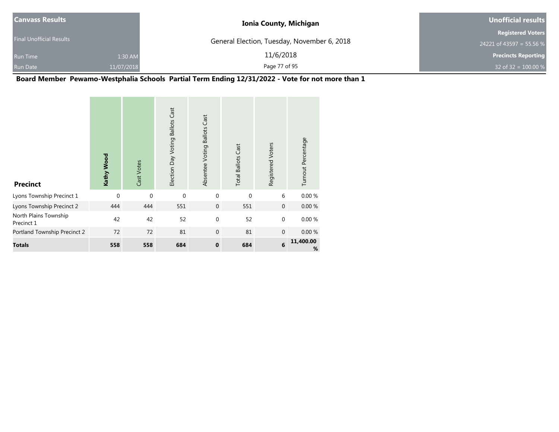| <b>Canvass Results</b>          |            | <b>Ionia County, Michigan</b>               | Unofficial results         |
|---------------------------------|------------|---------------------------------------------|----------------------------|
|                                 |            |                                             | <b>Registered Voters</b>   |
| <b>Final Unofficial Results</b> |            | General Election, Tuesday, November 6, 2018 | 24221 of 43597 = 55.56 %   |
| <b>Run Time</b>                 | 1:30 AM    | 11/6/2018                                   | <b>Precincts Reporting</b> |
| <b>Run Date</b>                 | 11/07/2018 | Page 77 of 95                               | 32 of 32 = $100.00 %$      |

## **Board Member Pewamo-Westphalia Schools Partial Term Ending 12/31/2022 - Vote for not more than 1**

| <b>Precinct</b>                     | Kathy Wood  | Cast Votes  | Election Day Voting Ballots Cast | Absentee Voting Ballots Cast | <b>Total Ballots Cast</b> | Registered Voters | Turnout Percentage |
|-------------------------------------|-------------|-------------|----------------------------------|------------------------------|---------------------------|-------------------|--------------------|
| Lyons Township Precinct 1           | $\mathbf 0$ | $\mathbf 0$ | $\mathbf{0}$                     | $\mathbf{0}$                 | $\mathbf 0$               | 6                 | 0.00%              |
| Lyons Township Precinct 2           | 444         | 444         | 551                              | $\mathbf 0$                  | 551                       | $\mathbf{0}$      | 0.00%              |
| North Plains Township<br>Precinct 1 | 42          | 42          | 52                               | $\mathbf 0$                  | 52                        | $\mathbf{0}$      | 0.00%              |
| Portland Township Precinct 2        | 72          | 72          | 81                               | $\mathbf{0}$                 | 81                        | $\mathbf{0}$      | 0.00%              |
| <b>Totals</b>                       | 558         | 558         | 684                              | $\mathbf 0$                  | 684                       | 6                 | 11,400.00<br>%     |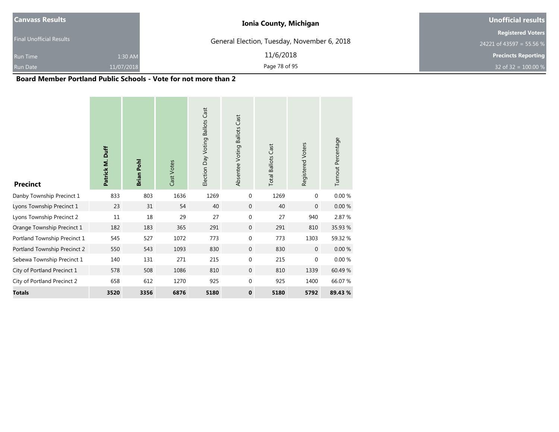| <b>Canvass Results</b>          | <b>Ionia County, Michigan</b>               | <b>Unofficial results</b>  |
|---------------------------------|---------------------------------------------|----------------------------|
| <b>Final Unofficial Results</b> |                                             | <b>Registered Voters</b>   |
|                                 | General Election, Tuesday, November 6, 2018 | 24221 of 43597 = 55.56 %   |
| Run Time                        | 11/6/2018<br>1:30 AM                        | <b>Precincts Reporting</b> |
| Run Date                        | Page 78 of 95<br>11/07/2018                 | 32 of 32 = $100.00 %$      |

#### **Board Member Portland Public Schools - Vote for not more than 2**

| <b>Precinct</b>              | Patrick M. Duff | Brian Pohl | Cast Votes | Election Day Voting Ballots Cast | Absentee Voting Ballots Cast | <b>Total Ballots Cast</b> | Registered Voters | Turnout Percentage |
|------------------------------|-----------------|------------|------------|----------------------------------|------------------------------|---------------------------|-------------------|--------------------|
| Danby Township Precinct 1    | 833             | 803        | 1636       | 1269                             | $\mathbf 0$                  | 1269                      | 0                 | 0.00%              |
| Lyons Township Precinct 1    | 23              | 31         | 54         | 40                               | $\mathbf{0}$                 | 40                        | $\mathbf 0$       | $0.00 \%$          |
| Lyons Township Precinct 2    | 11              | 18         | 29         | 27                               | $\mathbf 0$                  | 27                        | 940               | 2.87 %             |
| Orange Township Precinct 1   | 182             | 183        | 365        | 291                              | $\mathbf{0}$                 | 291                       | 810               | 35.93 %            |
| Portland Township Precinct 1 | 545             | 527        | 1072       | 773                              | $\mathbf{0}$                 | 773                       | 1303              | 59.32 %            |
| Portland Township Precinct 2 | 550             | 543        | 1093       | 830                              | $\mathbf{0}$                 | 830                       | $\overline{0}$    | 0.00%              |
| Sebewa Township Precinct 1   | 140             | 131        | 271        | 215                              | $\mathbf{0}$                 | 215                       | 0                 | 0.00 %             |
| City of Portland Precinct 1  | 578             | 508        | 1086       | 810                              | $\mathbf{0}$                 | 810                       | 1339              | 60.49%             |
| City of Portland Precinct 2  | 658             | 612        | 1270       | 925                              | 0                            | 925                       | 1400              | 66.07 %            |
| <b>Totals</b>                | 3520            | 3356       | 6876       | 5180                             | 0                            | 5180                      | 5792              | 89.43 %            |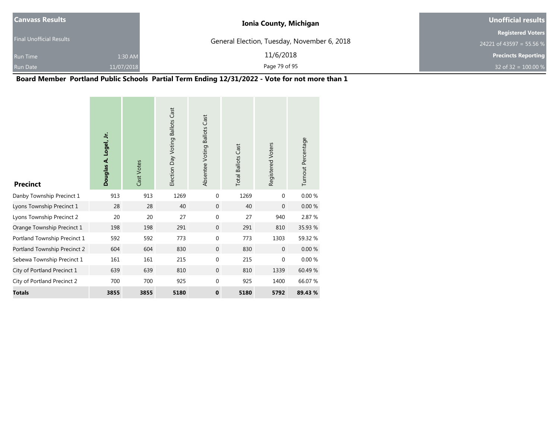| <b>Canvass Results</b>          |            | <b>Ionia County, Michigan</b>               | Unofficial results         |
|---------------------------------|------------|---------------------------------------------|----------------------------|
|                                 |            |                                             | <b>Registered Voters</b>   |
| <b>Final Unofficial Results</b> |            | General Election, Tuesday, November 6, 2018 | 24221 of 43597 = 55.56 %   |
| <b>Run Time</b>                 | 1:30 AM    | 11/6/2018                                   | <b>Precincts Reporting</b> |
| <b>Run Date</b>                 | 11/07/2018 | Page 79 of 95                               | 32 of 32 = $100.00\%$      |

## **Board Member Portland Public Schools Partial Term Ending 12/31/2022 - Vote for not more than 1**

| <b>Precinct</b>              | Douglas A. Logel, Jr. | Cast Votes | Election Day Voting Ballots Cast | Absentee Voting Ballots Cast | <b>Total Ballots Cast</b> | Registered Voters | Turnout Percentage |
|------------------------------|-----------------------|------------|----------------------------------|------------------------------|---------------------------|-------------------|--------------------|
| Danby Township Precinct 1    | 913                   | 913        | 1269                             | $\mathbf{0}$                 | 1269                      | $\mathbf{0}$      | 0.00 %             |
| Lyons Township Precinct 1    | 28                    | 28         | 40                               | $\mathbf{0}$                 | 40                        | $\Omega$          | 0.00%              |
| Lyons Township Precinct 2    | 20                    | 20         | 27                               | $\mathbf 0$                  | 27                        | 940               | 2.87 %             |
| Orange Township Precinct 1   | 198                   | 198        | 291                              | $\mathbf{0}$                 | 291                       | 810               | 35.93 %            |
| Portland Township Precinct 1 | 592                   | 592        | 773                              | $\mathbf 0$                  | 773                       | 1303              | 59.32 %            |
| Portland Township Precinct 2 | 604                   | 604        | 830                              | $\mathbf{0}$                 | 830                       | $\mathbf{0}$      | $0.00 \%$          |
| Sebewa Township Precinct 1   | 161                   | 161        | 215                              | $\Omega$                     | 215                       | $\Omega$          | 0.00%              |
| City of Portland Precinct 1  | 639                   | 639        | 810                              | $\mathbf{0}$                 | 810                       | 1339              | 60.49%             |
| City of Portland Precinct 2  | 700                   | 700        | 925                              | $\mathbf 0$                  | 925                       | 1400              | 66.07%             |
| <b>Totals</b>                | 3855                  | 3855       | 5180                             | $\mathbf 0$                  | 5180                      | 5792              | 89.43 %            |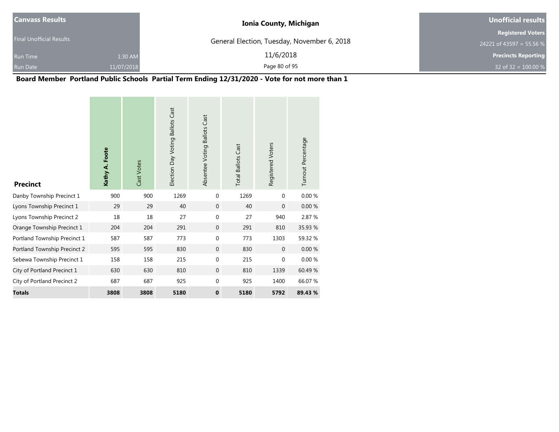| <b>Canvass Results</b>          |            | <b>Ionia County, Michigan</b>               | Unofficial results         |
|---------------------------------|------------|---------------------------------------------|----------------------------|
|                                 |            |                                             | <b>Registered Voters</b>   |
| <b>Final Unofficial Results</b> |            | General Election, Tuesday, November 6, 2018 | 24221 of 43597 = 55.56 %   |
| <b>Run Time</b>                 | 1:30 AM    | 11/6/2018                                   | <b>Precincts Reporting</b> |
| <b>Run Date</b>                 | 11/07/2018 | Page 80 of 95                               | 32 of 32 = $100.00 %$      |

## **Board Member Portland Public Schools Partial Term Ending 12/31/2020 - Vote for not more than 1**

**Contract Contract** 

 $\sim$ 

| <b>Precinct</b>              | Kathy A. Foote | Cast Votes | Election Day Voting Ballots Cast | Absentee Voting Ballots Cast | <b>Total Ballots Cast</b> | Registered Voters | Turnout Percentage |
|------------------------------|----------------|------------|----------------------------------|------------------------------|---------------------------|-------------------|--------------------|
| Danby Township Precinct 1    | 900            | 900        | 1269                             | 0                            | 1269                      | $\Omega$          | 0.00%              |
| Lyons Township Precinct 1    | 29             | 29         | 40                               | $\mathbf{0}$                 | 40                        | $\mathbf{0}$      | 0.00%              |
| Lyons Township Precinct 2    | 18             | 18         | 27                               | $\mathbf 0$                  | 27                        | 940               | 2.87 %             |
| Orange Township Precinct 1   | 204            | 204        | 291                              | $\mathbf{0}$                 | 291                       | 810               | 35.93 %            |
| Portland Township Precinct 1 | 587            | 587        | 773                              | 0                            | 773                       | 1303              | 59.32 %            |
| Portland Township Precinct 2 | 595            | 595        | 830                              | $\mathbf{0}$                 | 830                       | $\mathbf{0}$      | 0.00%              |
| Sebewa Township Precinct 1   | 158            | 158        | 215                              | 0                            | 215                       | $\mathbf{0}$      | 0.00%              |
| City of Portland Precinct 1  | 630            | 630        | 810                              | $\mathbf{0}$                 | 810                       | 1339              | 60.49 %            |
| City of Portland Precinct 2  | 687            | 687        | 925                              | 0                            | 925                       | 1400              | 66.07 %            |
| <b>Totals</b>                | 3808           | 3808       | 5180                             | $\mathbf{0}$                 | 5180                      | 5792              | 89.43%             |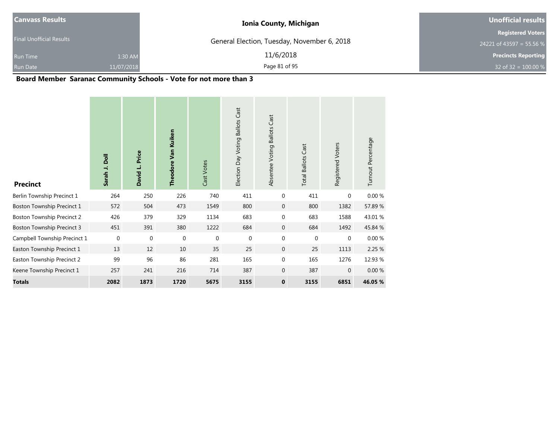| <b>Canvass Results</b>          | <b>Ionia County, Michigan</b>               | <b>Unofficial results</b>  |  |  |
|---------------------------------|---------------------------------------------|----------------------------|--|--|
| <b>Final Unofficial Results</b> |                                             | <b>Registered Voters</b>   |  |  |
|                                 | General Election, Tuesday, November 6, 2018 | 24221 of 43597 = 55.56 %   |  |  |
| 1:30 AM<br><b>Run Time</b>      | 11/6/2018                                   | <b>Precincts Reporting</b> |  |  |
| <b>Run Date</b><br>11/07/2018   | Page 81 of 95                               | 32 of 32 = $100.00\%$      |  |  |

## **Board Member Saranac Community Schools - Vote for not more than 3**

| <b>Precinct</b>                   | Sarah J. Doll | Price<br>David L. | Theodore Van Kuiken | Cast Votes  | Cast<br><b>Ballots</b><br>Election Day Voting | <b>Ballots Cast</b><br>Absentee Voting | <b>Total Ballots Cast</b> | Registered Voters | Turnout Percentage |
|-----------------------------------|---------------|-------------------|---------------------|-------------|-----------------------------------------------|----------------------------------------|---------------------------|-------------------|--------------------|
| Berlin Township Precinct 1        | 264           | 250               | 226                 | 740         | 411                                           | $\mathbf{0}$                           | 411                       | $\Omega$          | 0.00%              |
| Boston Township Precinct 1        | 572           | 504               | 473                 | 1549        | 800                                           | $\mathbf 0$                            | 800                       | 1382              | 57.89 %            |
| <b>Boston Township Precinct 2</b> | 426           | 379               | 329                 | 1134        | 683                                           | $\mathbf 0$                            | 683                       | 1588              | 43.01%             |
| <b>Boston Township Precinct 3</b> | 451           | 391               | 380                 | 1222        | 684                                           | $\mathbf 0$                            | 684                       | 1492              | 45.84 %            |
| Campbell Township Precinct 1      | $\mathbf{0}$  | $\mathbf{0}$      | $\boldsymbol{0}$    | $\mathbf 0$ | $\mathbf 0$                                   | $\mathbf{0}$                           | $\mathbf 0$               | $\mathbf{0}$      | 0.00 %             |
| Easton Township Precinct 1        | 13            | 12                | 10                  | 35          | 25                                            | $\mathbf 0$                            | 25                        | 1113              | 2.25 %             |
| Easton Township Precinct 2        | 99            | 96                | 86                  | 281         | 165                                           | $\mathbf 0$                            | 165                       | 1276              | 12.93 %            |
| Keene Township Precinct 1         | 257           | 241               | 216                 | 714         | 387                                           | $\mathbf{0}$                           | 387                       | $\mathbf{0}$      | 0.00%              |
| <b>Totals</b>                     | 2082          | 1873              | 1720                | 5675        | 3155                                          | $\mathbf{0}$                           | 3155                      | 6851              | 46.05 %            |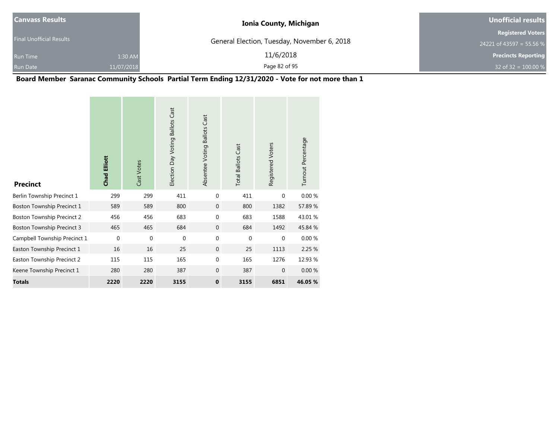| <b>Canvass Results</b>          |            | <b>Ionia County, Michigan</b>               | Unofficial results         |
|---------------------------------|------------|---------------------------------------------|----------------------------|
|                                 |            |                                             | <b>Registered Voters</b>   |
| <b>Final Unofficial Results</b> |            | General Election, Tuesday, November 6, 2018 | 24221 of 43597 = 55.56 %   |
| <b>Run Time</b>                 | 1:30 AM    | 11/6/2018                                   | <b>Precincts Reporting</b> |
| Run Date                        | 11/07/2018 | Page 82 of 95                               | 32 of 32 = $100.00 %$      |

## **Board Member Saranac Community Schools Partial Term Ending 12/31/2020 - Vote for not more than 1**

| <b>Precinct</b>                   | <b>Chad Elliott</b> | Cast Votes  | Election Day Voting Ballots Cast | Absentee Voting Ballots Cast | <b>Total Ballots Cast</b> | Registered Voters | Turnout Percentage |
|-----------------------------------|---------------------|-------------|----------------------------------|------------------------------|---------------------------|-------------------|--------------------|
| Berlin Township Precinct 1        | 299                 | 299         | 411                              | 0                            | 411                       | $\mathbf{0}$      | 0.00%              |
| Boston Township Precinct 1        | 589                 | 589         | 800                              | $\mathbf{0}$                 | 800                       | 1382              | 57.89 %            |
| <b>Boston Township Precinct 2</b> | 456                 | 456         | 683                              | 0                            | 683                       | 1588              | 43.01%             |
| <b>Boston Township Precinct 3</b> | 465                 | 465         | 684                              | $\mathbf{0}$                 | 684                       | 1492              | 45.84 %            |
| Campbell Township Precinct 1      | $\mathbf 0$         | $\mathbf 0$ | $\mathbf{0}$                     | $\mathbf 0$                  | $\mathbf 0$               | $\mathbf{0}$      | 0.00%              |
| Easton Township Precinct 1        | 16                  | 16          | 25                               | $\mathbf{0}$                 | 25                        | 1113              | 2.25 %             |
| Easton Township Precinct 2        | 115                 | 115         | 165                              | $\mathbf 0$                  | 165                       | 1276              | 12.93 %            |
| Keene Township Precinct 1         | 280                 | 280         | 387                              | $\mathbf{0}$                 | 387                       | $\mathbf{0}$      | 0.00%              |
| <b>Totals</b>                     | 2220                | 2220        | 3155                             | $\mathbf 0$                  | 3155                      | 6851              | 46.05 %            |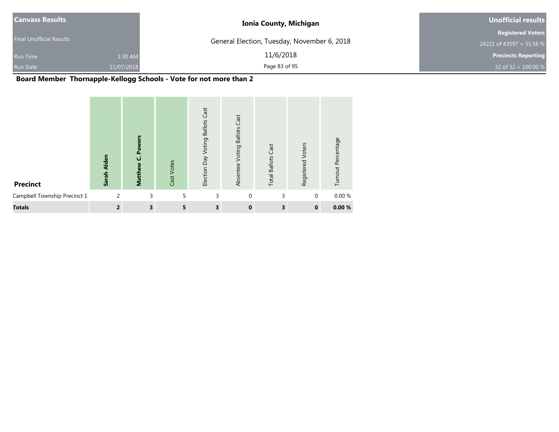| <b>Canvass Results</b>          |            | <b>Ionia County, Michigan</b>               | Unofficial results         |
|---------------------------------|------------|---------------------------------------------|----------------------------|
|                                 |            |                                             | <b>Registered Voters</b>   |
| <b>Final Unofficial Results</b> |            | General Election, Tuesday, November 6, 2018 | 24221 of 43597 = 55.56 %   |
| <b>Run Time</b>                 | 1:30 AM    | 11/6/2018                                   | <b>Precincts Reporting</b> |
| <b>Run Date</b>                 | 11/07/2018 | Page 83 of 95                               | 32 of 32 = $100.00 %$      |

## **Board Member Thornapple-Kellogg Schools - Vote for not more than 2**

| <b>Precinct</b>              | <b>Alden</b><br>Sarah | ۴<br>§<br>≷<br>စို့<br>ن<br>Matthew | Cast Votes | Cast<br><b>Ballots</b><br>Election Day Voting | Cast<br><b>Ballots</b><br>Voting<br>Absentee | <b>Total Ballots Cast</b> | Voters<br>Registered | Turnout Percentage |
|------------------------------|-----------------------|-------------------------------------|------------|-----------------------------------------------|----------------------------------------------|---------------------------|----------------------|--------------------|
| Campbell Township Precinct 1 | 2                     | 3                                   | 5          | 3                                             | $\mathbf{0}$                                 | 3                         | $\mathbf{0}$         | 0.00%              |
| <b>Totals</b>                | $\overline{2}$        | 3                                   | 5          | 3                                             | $\bf{0}$                                     | 3                         | $\mathbf 0$          | 0.00%              |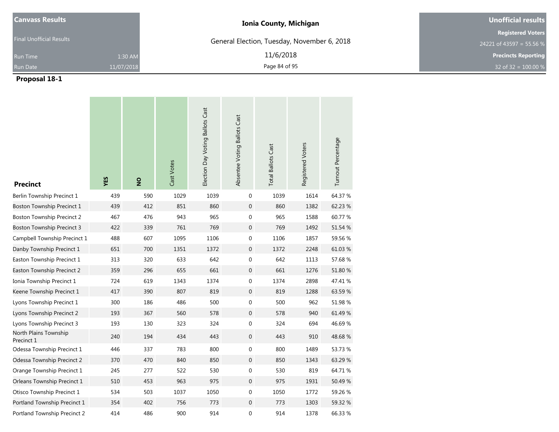| <b>Canvass Results</b>          | <b>Ionia County, Michigan</b>               | <b>Unofficial results</b>  |
|---------------------------------|---------------------------------------------|----------------------------|
| <b>Final Unofficial Results</b> |                                             | <b>Registered Voters</b>   |
|                                 | General Election, Tuesday, November 6, 2018 | 24221 of 43597 = 55.56 %   |
| 1:30 AM<br><b>Run Time</b>      | 11/6/2018                                   | <b>Precincts Reporting</b> |
| 11/07/2018<br><b>Run Date</b>   | Page 84 of 95                               | 32 of 32 = $100.00 %$      |

| <b>Precinct</b>                     | YES | $\frac{8}{2}$ | Cast Votes | Election Day Voting Ballots Cast | Absentee Voting Ballots Cast | <b>Total Ballots Cast</b> | Registered Voters | Turnout Percentage |
|-------------------------------------|-----|---------------|------------|----------------------------------|------------------------------|---------------------------|-------------------|--------------------|
| Berlin Township Precinct 1          | 439 | 590           | 1029       | 1039                             | $\mathbf 0$                  | 1039                      | 1614              | 64.37 %            |
| Boston Township Precinct 1          | 439 | 412           | 851        | 860                              | $\mathbf 0$                  | 860                       | 1382              | 62.23 %            |
| <b>Boston Township Precinct 2</b>   | 467 | 476           | 943        | 965                              | 0                            | 965                       | 1588              | 60.77 %            |
| <b>Boston Township Precinct 3</b>   | 422 | 339           | 761        | 769                              | $\mathbf 0$                  | 769                       | 1492              | 51.54 %            |
| Campbell Township Precinct 1        | 488 | 607           | 1095       | 1106                             | 0                            | 1106                      | 1857              | 59.56 %            |
| Danby Township Precinct 1           | 651 | 700           | 1351       | 1372                             | $\mathbf{0}$                 | 1372                      | 2248              | 61.03%             |
| Easton Township Precinct 1          | 313 | 320           | 633        | 642                              | 0                            | 642                       | 1113              | 57.68 %            |
| Easton Township Precinct 2          | 359 | 296           | 655        | 661                              | $\mathbf 0$                  | 661                       | 1276              | 51.80 %            |
| Ionia Township Precinct 1           | 724 | 619           | 1343       | 1374                             | 0                            | 1374                      | 2898              | 47.41 %            |
| Keene Township Precinct 1           | 417 | 390           | 807        | 819                              | $\mathbf 0$                  | 819                       | 1288              | 63.59 %            |
| Lyons Township Precinct 1           | 300 | 186           | 486        | 500                              | 0                            | 500                       | 962               | 51.98 %            |
| Lyons Township Precinct 2           | 193 | 367           | 560        | 578                              | $\mathbf{0}$                 | 578                       | 940               | 61.49 %            |
| Lyons Township Precinct 3           | 193 | 130           | 323        | 324                              | 0                            | 324                       | 694               | 46.69%             |
| North Plains Township<br>Precinct 1 | 240 | 194           | 434        | 443                              | $\mathbf{0}$                 | 443                       | 910               | 48.68%             |
| Odessa Township Precinct 1          | 446 | 337           | 783        | 800                              | $\boldsymbol{0}$             | 800                       | 1489              | 53.73 %            |
| Odessa Township Precinct 2          | 370 | 470           | 840        | 850                              | $\mathbf 0$                  | 850                       | 1343              | 63.29 %            |
| Orange Township Precinct 1          | 245 | 277           | 522        | 530                              | 0                            | 530                       | 819               | 64.71 %            |
| Orleans Township Precinct 1         | 510 | 453           | 963        | 975                              | $\boldsymbol{0}$             | 975                       | 1931              | 50.49 %            |
| Otisco Township Precinct 1          | 534 | 503           | 1037       | 1050                             | 0                            | 1050                      | 1772              | 59.26 %            |
| Portland Township Precinct 1        | 354 | 402           | 756        | 773                              | $\mathbf 0$                  | 773                       | 1303              | 59.32 %            |
| Portland Township Precinct 2        | 414 | 486           | 900        | 914                              | 0                            | 914                       | 1378              | 66.33 %            |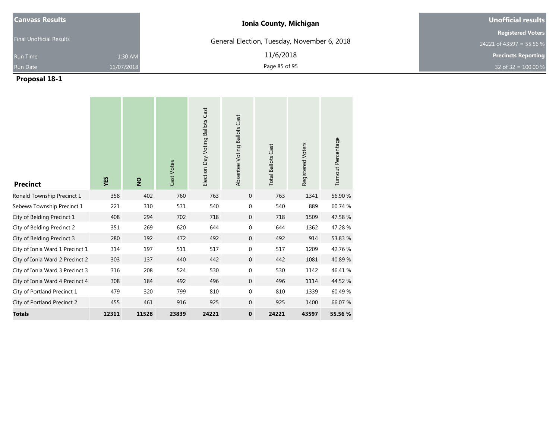| <b>Canvass Results</b>          | <b>Ionia County, Michigan</b>               | Unofficial results         |
|---------------------------------|---------------------------------------------|----------------------------|
| <b>Final Unofficial Results</b> |                                             | <b>Registered Voters</b>   |
|                                 | General Election, Tuesday, November 6, 2018 | 24221 of 43597 = 55.56 %   |
| 1:30 AM<br><b>Run Time</b>      | 11/6/2018                                   | <b>Precincts Reporting</b> |
| <b>Run Date</b><br>11/07/2018   | Page 85 of 95                               | 32 of 32 = $100.00 %$      |

| <b>Precinct</b>                 | YES   | $\overline{2}$ | Cast Votes | Election Day Voting Ballots Cast | Absentee Voting Ballots Cast | <b>Total Ballots Cast</b> | Registered Voters | Turnout Percentage |
|---------------------------------|-------|----------------|------------|----------------------------------|------------------------------|---------------------------|-------------------|--------------------|
| Ronald Township Precinct 1      | 358   | 402            | 760        | 763                              | $\mathbf{0}$                 | 763                       | 1341              | 56.90 %            |
| Sebewa Township Precinct 1      | 221   | 310            | 531        | 540                              | $\mathbf 0$                  | 540                       | 889               | 60.74 %            |
| City of Belding Precinct 1      | 408   | 294            | 702        | 718                              | $\mathbf{0}$                 | 718                       | 1509              | 47.58 %            |
| City of Belding Precinct 2      | 351   | 269            | 620        | 644                              | 0                            | 644                       | 1362              | 47.28 %            |
| City of Belding Precinct 3      | 280   | 192            | 472        | 492                              | $\mathbf{0}$                 | 492                       | 914               | 53.83 %            |
| City of Ionia Ward 1 Precinct 1 | 314   | 197            | 511        | 517                              | $\boldsymbol{0}$             | 517                       | 1209              | 42.76 %            |
| City of Ionia Ward 2 Precinct 2 | 303   | 137            | 440        | 442                              | $\overline{0}$               | 442                       | 1081              | 40.89%             |
| City of Ionia Ward 3 Precinct 3 | 316   | 208            | 524        | 530                              | $\boldsymbol{0}$             | 530                       | 1142              | 46.41 %            |
| City of Ionia Ward 4 Precinct 4 | 308   | 184            | 492        | 496                              | $\mathbf 0$                  | 496                       | 1114              | 44.52 %            |
| City of Portland Precinct 1     | 479   | 320            | 799        | 810                              | $\mathbf 0$                  | 810                       | 1339              | 60.49%             |
| City of Portland Precinct 2     | 455   | 461            | 916        | 925                              | $\mathbf{0}$                 | 925                       | 1400              | 66.07 %            |
| <b>Totals</b>                   | 12311 | 11528          | 23839      | 24221                            | $\mathbf 0$                  | 24221                     | 43597             | 55.56 %            |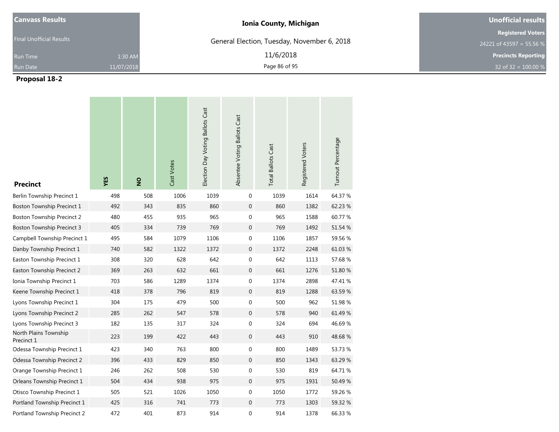| <b>Canvass Results</b>          |            | <b>Ionia County, Michigan</b>               | Unofficial results                                   |
|---------------------------------|------------|---------------------------------------------|------------------------------------------------------|
| <b>Final Unofficial Results</b> |            | General Election, Tuesday, November 6, 2018 | <b>Registered Voters</b><br>24221 of 43597 = 55.56 % |
| <b>Run Time</b>                 | 1:30 AM    | 11/6/2018                                   | <b>Precincts Reporting</b>                           |
| <b>Run Date</b>                 | 11/07/2018 | Page 86 of 95                               | 32 of 32 = $100.00 %$                                |

| <b>Precinct</b>                     | YES | $\frac{1}{2}$ | Cast Votes | Election Day Voting Ballots Cast | Absentee Voting Ballots Cast | <b>Total Ballots Cast</b> | Registered Voters | Turnout Percentage |
|-------------------------------------|-----|---------------|------------|----------------------------------|------------------------------|---------------------------|-------------------|--------------------|
| Berlin Township Precinct 1          | 498 | 508           | 1006       | 1039                             | $\mathbf 0$                  | 1039                      | 1614              | 64.37 %            |
| Boston Township Precinct 1          | 492 | 343           | 835        | 860                              | $\mathbf{0}$                 | 860                       | 1382              | 62.23 %            |
| <b>Boston Township Precinct 2</b>   | 480 | 455           | 935        | 965                              | $\boldsymbol{0}$             | 965                       | 1588              | 60.77 %            |
| <b>Boston Township Precinct 3</b>   | 405 | 334           | 739        | 769                              | $\mathbf{0}$                 | 769                       | 1492              | 51.54 %            |
| Campbell Township Precinct 1        | 495 | 584           | 1079       | 1106                             | $\boldsymbol{0}$             | 1106                      | 1857              | 59.56 %            |
| Danby Township Precinct 1           | 740 | 582           | 1322       | 1372                             | $\boldsymbol{0}$             | 1372                      | 2248              | 61.03%             |
| Easton Township Precinct 1          | 308 | 320           | 628        | 642                              | 0                            | 642                       | 1113              | 57.68 %            |
| Easton Township Precinct 2          | 369 | 263           | 632        | 661                              | $\mathbf 0$                  | 661                       | 1276              | 51.80 %            |
| Ionia Township Precinct 1           | 703 | 586           | 1289       | 1374                             | $\boldsymbol{0}$             | 1374                      | 2898              | 47.41 %            |
| Keene Township Precinct 1           | 418 | 378           | 796        | 819                              | $\mathbf{0}$                 | 819                       | 1288              | 63.59 %            |
| Lyons Township Precinct 1           | 304 | 175           | 479        | 500                              | 0                            | 500                       | 962               | 51.98 %            |
| Lyons Township Precinct 2           | 285 | 262           | 547        | 578                              | $\boldsymbol{0}$             | 578                       | 940               | 61.49 %            |
| Lyons Township Precinct 3           | 182 | 135           | 317        | 324                              | $\boldsymbol{0}$             | 324                       | 694               | 46.69%             |
| North Plains Township<br>Precinct 1 | 223 | 199           | 422        | 443                              | $\mathbf{0}$                 | 443                       | 910               | 48.68%             |
| Odessa Township Precinct 1          | 423 | 340           | 763        | 800                              | 0                            | 800                       | 1489              | 53.73 %            |
| Odessa Township Precinct 2          | 396 | 433           | 829        | 850                              | $\mathbf{0}$                 | 850                       | 1343              | 63.29 %            |
| Orange Township Precinct 1          | 246 | 262           | 508        | 530                              | 0                            | 530                       | 819               | 64.71 %            |
| Orleans Township Precinct 1         | 504 | 434           | 938        | 975                              | $\boldsymbol{0}$             | 975                       | 1931              | 50.49 %            |
| Otisco Township Precinct 1          | 505 | 521           | 1026       | 1050                             | 0                            | 1050                      | 1772              | 59.26 %            |
| Portland Township Precinct 1        | 425 | 316           | 741        | 773                              | $\mathbf 0$                  | 773                       | 1303              | 59.32 %            |
| Portland Township Precinct 2        | 472 | 401           | 873        | 914                              | 0                            | 914                       | 1378              | 66.33 %            |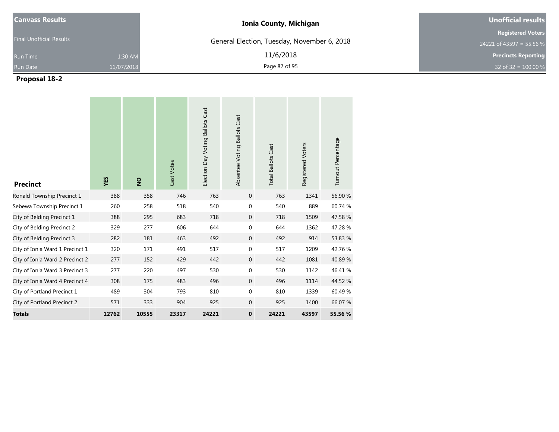| <b>Canvass Results</b>          | <b>Ionia County, Michigan</b>               | Unofficial results         |
|---------------------------------|---------------------------------------------|----------------------------|
| <b>Final Unofficial Results</b> |                                             | <b>Registered Voters</b>   |
|                                 | General Election, Tuesday, November 6, 2018 | 24221 of 43597 = 55.56 %   |
| 1:30 AM<br><b>Run Time</b>      | 11/6/2018                                   | <b>Precincts Reporting</b> |
| <b>Run Date</b><br>11/07/2018   | Page 87 of 95                               | 32 of 32 = $100.00 %$      |

| <b>Precinct</b>                 | YES   | $\overline{2}$ | Cast Votes | Election Day Voting Ballots Cast | Absentee Voting Ballots Cast | <b>Total Ballots Cast</b> | Registered Voters | Turnout Percentage |
|---------------------------------|-------|----------------|------------|----------------------------------|------------------------------|---------------------------|-------------------|--------------------|
| Ronald Township Precinct 1      | 388   | 358            | 746        | 763                              | $\mathbf 0$                  | 763                       | 1341              | 56.90 %            |
| Sebewa Township Precinct 1      | 260   | 258            | 518        | 540                              | $\mathbf 0$                  | 540                       | 889               | 60.74 %            |
| City of Belding Precinct 1      | 388   | 295            | 683        | 718                              | $\mathbf 0$                  | 718                       | 1509              | 47.58 %            |
| City of Belding Precinct 2      | 329   | 277            | 606        | 644                              | $\mathbf 0$                  | 644                       | 1362              | 47.28 %            |
| City of Belding Precinct 3      | 282   | 181            | 463        | 492                              | $\mathbf{0}$                 | 492                       | 914               | 53.83 %            |
| City of Ionia Ward 1 Precinct 1 | 320   | 171            | 491        | 517                              | $\mathbf 0$                  | 517                       | 1209              | 42.76%             |
| City of Ionia Ward 2 Precinct 2 | 277   | 152            | 429        | 442                              | $\mathbf 0$                  | 442                       | 1081              | 40.89%             |
| City of Ionia Ward 3 Precinct 3 | 277   | 220            | 497        | 530                              | $\mathbf{0}$                 | 530                       | 1142              | 46.41%             |
| City of Ionia Ward 4 Precinct 4 | 308   | 175            | 483        | 496                              | $\mathbf 0$                  | 496                       | 1114              | 44.52 %            |
| City of Portland Precinct 1     | 489   | 304            | 793        | 810                              | $\mathbf 0$                  | 810                       | 1339              | 60.49%             |
| City of Portland Precinct 2     | 571   | 333            | 904        | 925                              | $\mathbf{0}$                 | 925                       | 1400              | 66.07 %            |
| <b>Totals</b>                   | 12762 | 10555          | 23317      | 24221                            | $\mathbf 0$                  | 24221                     | 43597             | 55.56 %            |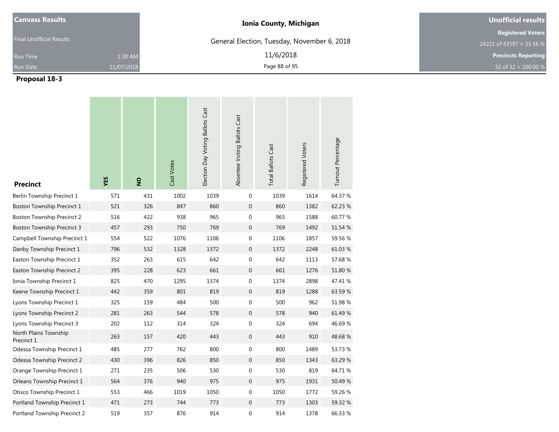| <b>Canvass Results</b>          | <b>Ionia County, Michigan</b>               | Unofficial results         |
|---------------------------------|---------------------------------------------|----------------------------|
|                                 |                                             | <b>Registered Voters</b>   |
| <b>Final Unofficial Results</b> | General Election, Tuesday, November 6, 2018 | 24221 of 43597 = 55.56 %   |
| 1:30 AM<br><b>Run Time</b>      | 11/6/2018                                   | <b>Precincts Reporting</b> |
| 11/07/2018<br><b>Run Date</b>   | Page 88 of 95                               | 32 of 32 = $100.00 %$      |

| <b>Precinct</b>                     | YES | $\frac{9}{2}$ | Cast Votes | Election Day Voting Ballots Cast | Absentee Voting Ballots Cast | <b>Total Ballots Cast</b> | Registered Voters | Turnout Percentage |
|-------------------------------------|-----|---------------|------------|----------------------------------|------------------------------|---------------------------|-------------------|--------------------|
| Berlin Township Precinct 1          | 571 | 431           | 1002       | 1039                             | 0                            | 1039                      | 1614              | 64.37 %            |
| Boston Township Precinct 1          | 521 | 326           | 847        | 860                              | $\mathbf 0$                  | 860                       | 1382              | 62.23 %            |
| <b>Boston Township Precinct 2</b>   | 516 | 422           | 938        | 965                              | 0                            | 965                       | 1588              | 60.77 %            |
| <b>Boston Township Precinct 3</b>   | 457 | 293           | 750        | 769                              | $\mathbf 0$                  | 769                       | 1492              | 51.54 %            |
| Campbell Township Precinct 1        | 554 | 522           | 1076       | 1106                             | 0                            | 1106                      | 1857              | 59.56 %            |
| Danby Township Precinct 1           | 796 | 532           | 1328       | 1372                             | $\mathbf{0}$                 | 1372                      | 2248              | 61.03%             |
| Easton Township Precinct 1          | 352 | 263           | 615        | 642                              | 0                            | 642                       | 1113              | 57.68 %            |
| Easton Township Precinct 2          | 395 | 228           | 623        | 661                              | $\mathbf 0$                  | 661                       | 1276              | 51.80 %            |
| Ionia Township Precinct 1           | 825 | 470           | 1295       | 1374                             | 0                            | 1374                      | 2898              | 47.41 %            |
| Keene Township Precinct 1           | 442 | 359           | 801        | 819                              | $\mathbf 0$                  | 819                       | 1288              | 63.59 %            |
| Lyons Township Precinct 1           | 325 | 159           | 484        | 500                              | 0                            | 500                       | 962               | 51.98 %            |
| Lyons Township Precinct 2           | 281 | 263           | 544        | 578                              | $\mathbf{0}$                 | 578                       | 940               | 61.49 %            |
| Lyons Township Precinct 3           | 202 | 112           | 314        | 324                              | 0                            | 324                       | 694               | 46.69%             |
| North Plains Township<br>Precinct 1 | 263 | 157           | 420        | 443                              | $\mathbf{0}$                 | 443                       | 910               | 48.68%             |
| Odessa Township Precinct 1          | 485 | 277           | 762        | 800                              | $\boldsymbol{0}$             | 800                       | 1489              | 53.73 %            |
| Odessa Township Precinct 2          | 430 | 396           | 826        | 850                              | $\mathbf 0$                  | 850                       | 1343              | 63.29 %            |
| Orange Township Precinct 1          | 271 | 235           | 506        | 530                              | 0                            | 530                       | 819               | 64.71 %            |
| Orleans Township Precinct 1         | 564 | 376           | 940        | 975                              | $\boldsymbol{0}$             | 975                       | 1931              | 50.49 %            |
| Otisco Township Precinct 1          | 553 | 466           | 1019       | 1050                             | 0                            | 1050                      | 1772              | 59.26 %            |
| Portland Township Precinct 1        | 471 | 273           | 744        | 773                              | $\mathbf 0$                  | 773                       | 1303              | 59.32 %            |
| Portland Township Precinct 2        | 519 | 357           | 876        | 914                              | 0                            | 914                       | 1378              | 66.33 %            |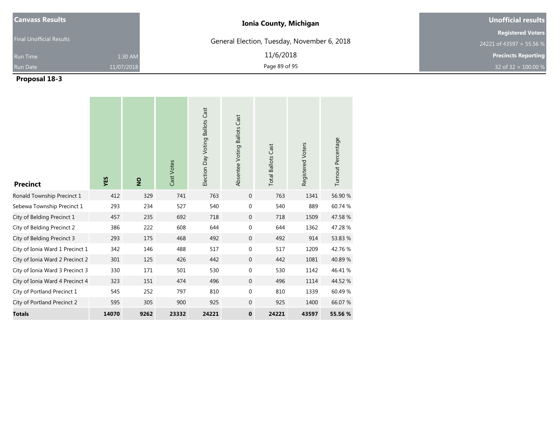| <b>Canvass Results</b>          |            | <b>Ionia County, Michigan</b>               | Unofficial results         |
|---------------------------------|------------|---------------------------------------------|----------------------------|
| <b>Final Unofficial Results</b> |            |                                             | <b>Registered Voters</b>   |
|                                 |            | General Election, Tuesday, November 6, 2018 | 24221 of 43597 = 55.56 %   |
| <b>Run Time</b>                 | 1:30 AM    | 11/6/2018                                   | <b>Precincts Reporting</b> |
| <b>Run Date</b>                 | 11/07/2018 | Page 89 of 95                               | 32 of 32 = $100.00 %$      |

| <b>Precinct</b>                 | YES   | $\frac{1}{2}$ | Cast Votes | Election Day Voting Ballots Cast | Absentee Voting Ballots Cast | <b>Total Ballots Cast</b> | Registered Voters | Turnout Percentage |
|---------------------------------|-------|---------------|------------|----------------------------------|------------------------------|---------------------------|-------------------|--------------------|
| Ronald Township Precinct 1      | 412   | 329           | 741        | 763                              | $\mathbf 0$                  | 763                       | 1341              | 56.90 %            |
| Sebewa Township Precinct 1      | 293   | 234           | 527        | 540                              | 0                            | 540                       | 889               | 60.74 %            |
| City of Belding Precinct 1      | 457   | 235           | 692        | 718                              | $\mathbf{0}$                 | 718                       | 1509              | 47.58 %            |
| City of Belding Precinct 2      | 386   | 222           | 608        | 644                              | 0                            | 644                       | 1362              | 47.28 %            |
| City of Belding Precinct 3      | 293   | 175           | 468        | 492                              | $\mathbf 0$                  | 492                       | 914               | 53.83 %            |
| City of Ionia Ward 1 Precinct 1 | 342   | 146           | 488        | 517                              | $\mathbf 0$                  | 517                       | 1209              | 42.76 %            |
| City of Ionia Ward 2 Precinct 2 | 301   | 125           | 426        | 442                              | $\overline{0}$               | 442                       | 1081              | 40.89%             |
| City of Ionia Ward 3 Precinct 3 | 330   | 171           | 501        | 530                              | $\mathbf 0$                  | 530                       | 1142              | 46.41 %            |
| City of Ionia Ward 4 Precinct 4 | 323   | 151           | 474        | 496                              | $\overline{0}$               | 496                       | 1114              | 44.52 %            |
| City of Portland Precinct 1     | 545   | 252           | 797        | 810                              | 0                            | 810                       | 1339              | 60.49%             |
| City of Portland Precinct 2     | 595   | 305           | 900        | 925                              | $\mathbf{0}$                 | 925                       | 1400              | 66.07 %            |
| <b>Totals</b>                   | 14070 | 9262          | 23332      | 24221                            | $\mathbf 0$                  | 24221                     | 43597             | 55.56 %            |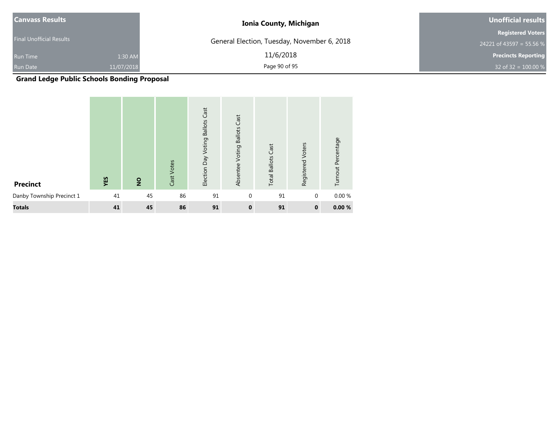| <b>Canvass Results</b>          |            | <b>Ionia County, Michigan</b>               | Unofficial results         |
|---------------------------------|------------|---------------------------------------------|----------------------------|
|                                 |            |                                             | <b>Registered Voters</b>   |
| <b>Final Unofficial Results</b> |            | General Election, Tuesday, November 6, 2018 | 24221 of 43597 = 55.56 %   |
| <b>Run Time</b>                 | 1:30 AM    | 11/6/2018                                   | <b>Precincts Reporting</b> |
| Run Date                        | 11/07/2018 | Page 90 of 95                               | 32 of 32 = $100.00 %$      |

**Grand Ledge Public Schools Bonding Proposal**

| <b>Precinct</b>           | YES | $\overline{2}$ | Cast Votes | Cast<br><b>Ballots</b><br>Voting<br>Election Day | Cast<br><b>Ballots</b><br>Voting<br>Absentee | <b>Total Ballots Cast</b> | Voters<br>Registered | Turnout Percentage |
|---------------------------|-----|----------------|------------|--------------------------------------------------|----------------------------------------------|---------------------------|----------------------|--------------------|
| Danby Township Precinct 1 | 41  | 45             | 86         | 91                                               | $\mathbf{0}$                                 | 91                        | $\mathbf{0}$         | 0.00 %             |
| <b>Totals</b>             | 41  | 45             | 86         | 91                                               | $\bf{0}$                                     | 91                        | $\mathbf 0$          | 0.00%              |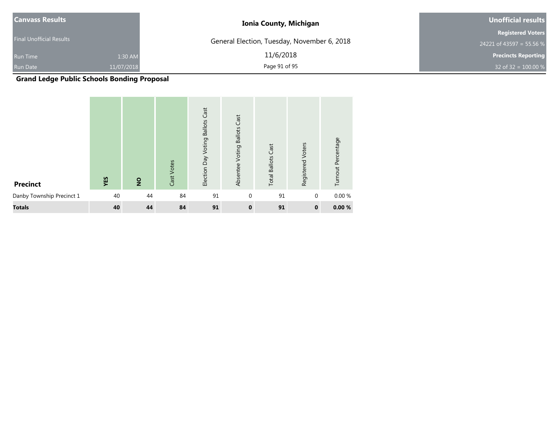| <b>Canvass Results</b>          |            | <b>Ionia County, Michigan</b>               | Unofficial results         |
|---------------------------------|------------|---------------------------------------------|----------------------------|
|                                 |            |                                             | <b>Registered Voters</b>   |
| <b>Final Unofficial Results</b> |            | General Election, Tuesday, November 6, 2018 | 24221 of 43597 = 55.56 %   |
| <b>Run Time</b>                 | 1:30 AM    | 11/6/2018                                   | <b>Precincts Reporting</b> |
| Run Date                        | 11/07/2018 | Page 91 of 95                               | 32 of 32 = $100.00 %$      |

**Grand Ledge Public Schools Bonding Proposal**

| <b>Precinct</b>           | YES | $\overline{2}$ | Cast Votes | Cast<br>Voting Ballots<br>Election Day | Cast<br><b>Ballots</b><br>Voting<br>Absentee | <b>Total Ballots Cast</b> | Voters<br>Registered | Turnout Percentage |
|---------------------------|-----|----------------|------------|----------------------------------------|----------------------------------------------|---------------------------|----------------------|--------------------|
| Danby Township Precinct 1 | 40  | 44             | 84         | 91                                     | $\mathbf{0}$                                 | 91                        | $\mathbf{0}$         | 0.00%              |
| <b>Totals</b>             | 40  | 44             | 84         | 91                                     | $\bf{0}$                                     | 91                        | $\mathbf 0$          | 0.00%              |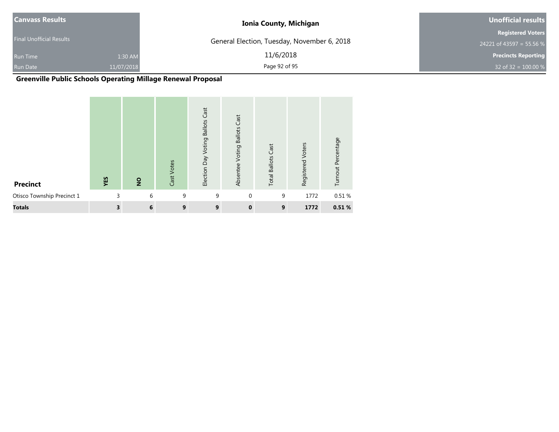| <b>Canvass Results</b>          |            | <b>Ionia County, Michigan</b>               | Unofficial results         |  |  |
|---------------------------------|------------|---------------------------------------------|----------------------------|--|--|
|                                 |            |                                             | <b>Registered Voters</b>   |  |  |
| <b>Final Unofficial Results</b> |            | General Election, Tuesday, November 6, 2018 | 24221 of 43597 = 55.56 %   |  |  |
| <b>Run Time</b>                 | 1:30 AM    | 11/6/2018                                   | <b>Precincts Reporting</b> |  |  |
| <b>Run Date</b>                 | 11/07/2018 | Page 92 of 95                               | 32 of 32 = $100.00 %$      |  |  |

# **Greenville Public Schools Operating Millage Renewal Proposal**

| <b>Precinct</b>            | YES | $\overline{2}$ | Cast Votes | Cast<br><b>Ballots</b><br>Election Day Voting | Cast<br><b>Ballots</b><br>Voting<br>Absentee | <b>Total Ballots Cast</b> | Voters<br>Registered | Turnout Percentage |
|----------------------------|-----|----------------|------------|-----------------------------------------------|----------------------------------------------|---------------------------|----------------------|--------------------|
| Otisco Township Precinct 1 |     | 6<br>3         | 9          | 9                                             | $\Omega$                                     | 9                         | 1772                 | 0.51 %             |
| <b>Totals</b>              |     | 3<br>6         | 9          | 9                                             | $\mathbf{0}$                                 | 9                         | 1772                 | 0.51%              |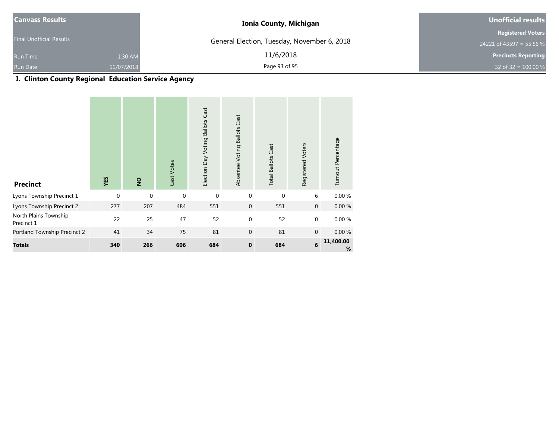| <b>Canvass Results</b>          |            | <b>Ionia County, Michigan</b>               | <b>Unofficial results</b>  |  |  |
|---------------------------------|------------|---------------------------------------------|----------------------------|--|--|
|                                 |            |                                             | <b>Registered Voters</b>   |  |  |
| <b>Final Unofficial Results</b> |            | General Election, Tuesday, November 6, 2018 | 24221 of 43597 = 55.56 %   |  |  |
| <b>Run Time</b>                 | 1:30 AM    | 11/6/2018                                   | <b>Precincts Reporting</b> |  |  |
| <b>Run Date</b>                 | 11/07/2018 | Page 93 of 95                               | 32 of 32 = $100.00\%$      |  |  |

# **I. Clinton County Regional Education Service Agency**

| <b>Precinct</b>                     | YES      | $\overline{2}$ | Cast Votes | <b>Ballots Cast</b><br>Election Day Voting | Absentee Voting Ballots Cast | <b>Total Ballots Cast</b> | Registered Voters | Turnout Percentage |
|-------------------------------------|----------|----------------|------------|--------------------------------------------|------------------------------|---------------------------|-------------------|--------------------|
| Lyons Township Precinct 1           | $\Omega$ | $\mathbf{0}$   | $\Omega$   | $\mathbf{0}$                               | $\mathbf 0$                  | $\Omega$                  | 6                 | 0.00 %             |
| Lyons Township Precinct 2           | 277      | 207            | 484        | 551                                        | $\mathbf{0}$                 | 551                       | $\mathbf 0$       | $0.00 \%$          |
| North Plains Township<br>Precinct 1 | 22       | 25             | 47         | 52                                         | $\mathbf{0}$                 | 52                        | 0                 | 0.00%              |
| Portland Township Precinct 2        | 41       | 34             | 75         | 81                                         | $\mathbf{0}$                 | 81                        | $\mathbf 0$       | 0.00%              |
| <b>Totals</b>                       | 340      | 266            | 606        | 684                                        | $\mathbf 0$                  | 684                       | 6                 | 11,400.00<br>%     |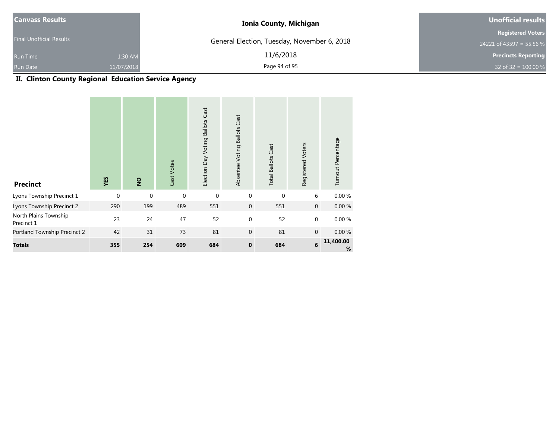| <b>Canvass Results</b>          |            | <b>Ionia County, Michigan</b>               | Unofficial results         |
|---------------------------------|------------|---------------------------------------------|----------------------------|
| <b>Final Unofficial Results</b> |            |                                             | <b>Registered Voters</b>   |
|                                 |            | General Election, Tuesday, November 6, 2018 | 24221 of 43597 = 55.56 %   |
| <b>Run Time</b>                 | 1:30 AM    | 11/6/2018                                   | <b>Precincts Reporting</b> |
| Run Date                        | 11/07/2018 | Page 94 of 95                               | 32 of 32 = $100.00 %$      |

## **II. Clinton County Regional Education Service Agency**

| <b>Precinct</b>                     | YES         | $\overline{2}$ | Cast Votes   | Election Day Voting Ballots Cast | Absentee Voting Ballots Cast | <b>Total Ballots Cast</b> | Registered Voters | Turnout Percentage |
|-------------------------------------|-------------|----------------|--------------|----------------------------------|------------------------------|---------------------------|-------------------|--------------------|
| Lyons Township Precinct 1           | $\mathbf 0$ | $\mathbf 0$    | $\mathbf{0}$ | $\mathbf 0$                      | $\mathbf{0}$                 | $\Omega$                  | 6                 | 0.00 %             |
| Lyons Township Precinct 2           | 290         | 199            | 489          | 551                              | $\mathbf 0$                  | 551                       | $\mathbf{0}$      | 0.00%              |
| North Plains Township<br>Precinct 1 | 23          | 24             | 47           | 52                               | $\mathbf{0}$                 | 52                        | 0                 | 0.00%              |
| Portland Township Precinct 2        | 42          | 31             | 73           | 81                               | $\mathbf{0}$                 | 81                        | $\overline{0}$    | 0.00%              |
| <b>Totals</b>                       | 355         | 254            | 609          | 684                              | $\mathbf{0}$                 | 684                       | 6                 | 11,400.00<br>%     |